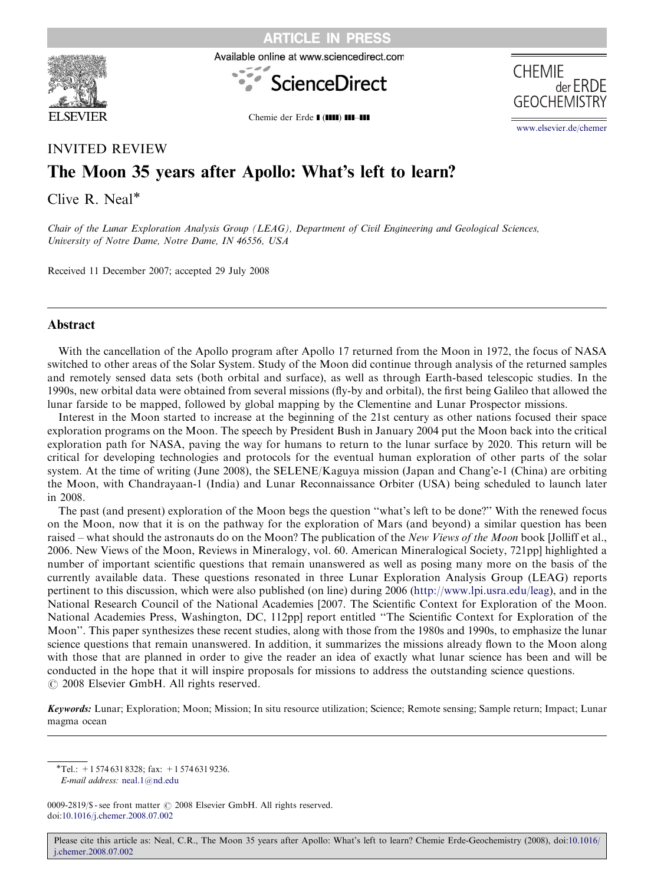

Available online at www.sciencedirect.com



**CHFMIF** der FRDF **GEOCHEMISTR** 

Chemie der Erde I (IIII) III-III

<www.elsevier.de/chemer>

# INVITED REVIEW

# The Moon 35 years after Apollo: What's left to learn?

Clive R. Neal\*

Chair of the Lunar Exploration Analysis Group (LEAG), Department of Civil Engineering and Geological Sciences, University of Notre Dame, Notre Dame, IN 46556, USA

Received 11 December 2007; accepted 29 July 2008

# Abstract

With the cancellation of the Apollo program after Apollo 17 returned from the Moon in 1972, the focus of NASA switched to other areas of the Solar System. Study of the Moon did continue through analysis of the returned samples and remotely sensed data sets (both orbital and surface), as well as through Earth-based telescopic studies. In the 1990s, new orbital data were obtained from several missions (fly-by and orbital), the first being Galileo that allowed the lunar farside to be mapped, followed by global mapping by the Clementine and Lunar Prospector missions.

Interest in the Moon started to increase at the beginning of the 21st century as other nations focused their space exploration programs on the Moon. The speech by President Bush in January 2004 put the Moon back into the critical exploration path for NASA, paving the way for humans to return to the lunar surface by 2020. This return will be critical for developing technologies and protocols for the eventual human exploration of other parts of the solar system. At the time of writing (June 2008), the SELENE/Kaguya mission (Japan and Chang'e-1 (China) are orbiting the Moon, with Chandrayaan-1 (India) and Lunar Reconnaissance Orbiter (USA) being scheduled to launch later in 2008.

The past (and present) exploration of the Moon begs the question ''what's left to be done?'' With the renewed focus on the Moon, now that it is on the pathway for the exploration of Mars (and beyond) a similar question has been raised – what should the astronauts do on the Moon? The publication of the New Views of the Moon book [Jolliff et al., 2006. New Views of the Moon, Reviews in Mineralogy, vol. 60. American Mineralogical Society, 721pp] highlighted a number of important scientific questions that remain unanswered as well as posing many more on the basis of the currently available data. These questions resonated in three Lunar Exploration Analysis Group (LEAG) reports pertinent to this discussion, which were also published (on line) during 2006 [\(http://www.lpi.usra.edu/leag\)](http://www.lpi.usra.edu/leag), and in the National Research Council of the National Academies [2007. The Scientific Context for Exploration of the Moon. National Academies Press, Washington, DC, 112pp] report entitled ''The Scientific Context for Exploration of the Moon''. This paper synthesizes these recent studies, along with those from the 1980s and 1990s, to emphasize the lunar science questions that remain unanswered. In addition, it summarizes the missions already flown to the Moon along with those that are planned in order to give the reader an idea of exactly what lunar science has been and will be conducted in the hope that it will inspire proposals for missions to address the outstanding science questions.  $\odot$  2008 Elsevier GmbH. All rights reserved.

Keywords: Lunar; Exploration; Moon; Mission; In situ resource utilization; Science; Remote sensing; Sample return; Impact; Lunar magma ocean

0009-2819/\$ - see front matter  $\odot$  2008 Elsevier GmbH. All rights reserved. doi:[10.1016/j.chemer.2008.07.002](dx.doi.org/10.1016/j.chemer.2008.07.002)

 $\overline{\text{Tel}}$ : +1 574 631 8328; fax: +1 574 631 9236. E-mail address: [neal.1@nd.edu](mailto:neal.1@nd.edu)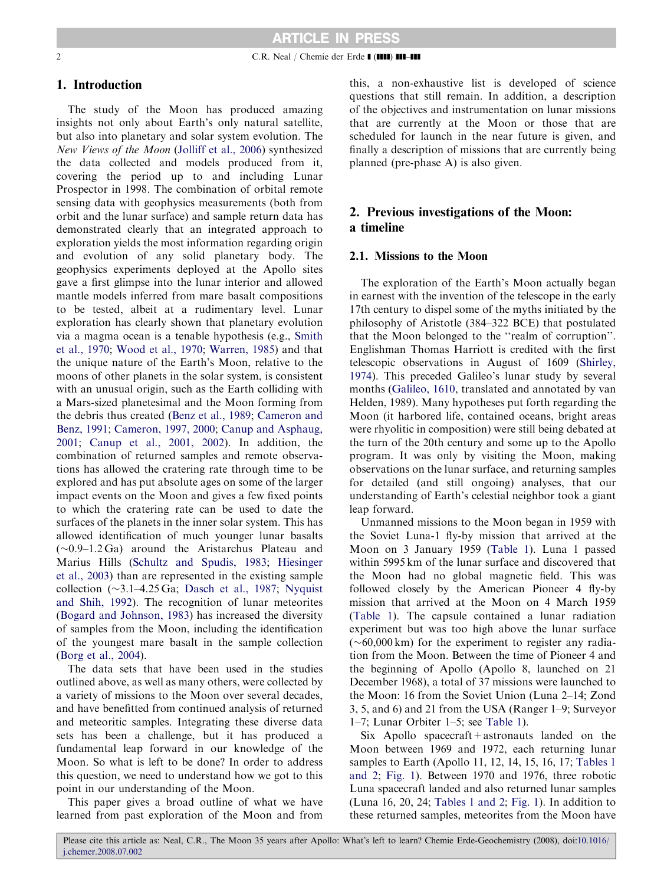# 1. Introduction

The study of the Moon has produced amazing insights not only about Earth's only natural satellite, but also into planetary and solar system evolution. The New Views of the Moon ([Jolliff et al., 2006\)](#page-34-0) synthesized the data collected and models produced from it, covering the period up to and including Lunar Prospector in 1998. The combination of orbital remote sensing data with geophysics measurements (both from orbit and the lunar surface) and sample return data has demonstrated clearly that an integrated approach to exploration yields the most information regarding origin and evolution of any solid planetary body. The geophysics experiments deployed at the Apollo sites gave a first glimpse into the lunar interior and allowed mantle models inferred from mare basalt compositions to be tested, albeit at a rudimentary level. Lunar exploration has clearly shown that planetary evolution via a magma ocean is a tenable hypothesis (e.g., [Smith](#page-39-0) [et al., 1970](#page-39-0); [Wood et al., 1970;](#page-40-0) [Warren, 1985](#page-40-0)) and that the unique nature of the Earth's Moon, relative to the moons of other planets in the solar system, is consistent with an unusual origin, such as the Earth colliding with a Mars-sized planetesimal and the Moon forming from the debris thus created [\(Benz et al., 1989](#page-28-0); [Cameron and](#page-29-0) [Benz, 1991](#page-29-0); [Cameron, 1997, 2000](#page-29-0); [Canup and Asphaug,](#page-29-0) [2001;](#page-29-0) [Canup et al., 2001, 2002](#page-29-0)). In addition, the combination of returned samples and remote observations has allowed the cratering rate through time to be explored and has put absolute ages on some of the larger impact events on the Moon and gives a few fixed points to which the cratering rate can be used to date the surfaces of the planets in the inner solar system. This has allowed identification of much younger lunar basalts  $(\sim 0.9 - 1.2 \text{ Ga})$  around the Aristarchus Plateau and Marius Hills [\(Schultz and Spudis, 1983](#page-38-0); [Hiesinger](#page-33-0) [et al., 2003](#page-33-0)) than are represented in the existing sample collection  $(\sim 3.1 - 4.25 \text{ Ga}; \text{Dasch et al., } 1987; \text{Nyquist})$  $(\sim 3.1 - 4.25 \text{ Ga}; \text{Dasch et al., } 1987; \text{Nyquist})$  $(\sim 3.1 - 4.25 \text{ Ga}; \text{Dasch et al., } 1987; \text{Nyquist})$ [and Shih, 1992\)](#page-37-0). The recognition of lunar meteorites ([Bogard and Johnson, 1983\)](#page-29-0) has increased the diversity of samples from the Moon, including the identification of the youngest mare basalt in the sample collection ([Borg et al., 2004\)](#page-29-0).

The data sets that have been used in the studies outlined above, as well as many others, were collected by a variety of missions to the Moon over several decades, and have benefitted from continued analysis of returned and meteoritic samples. Integrating these diverse data sets has been a challenge, but it has produced a fundamental leap forward in our knowledge of the Moon. So what is left to be done? In order to address this question, we need to understand how we got to this point in our understanding of the Moon.

This paper gives a broad outline of what we have learned from past exploration of the Moon and from this, a non-exhaustive list is developed of science questions that still remain. In addition, a description of the objectives and instrumentation on lunar missions that are currently at the Moon or those that are scheduled for launch in the near future is given, and finally a description of missions that are currently being planned (pre-phase A) is also given.

# 2. Previous investigations of the Moon: a timeline

# 2.1. Missions to the Moon

The exploration of the Earth's Moon actually began in earnest with the invention of the telescope in the early 17th century to dispel some of the myths initiated by the philosophy of Aristotle (384–322 BCE) that postulated that the Moon belonged to the ''realm of corruption''. Englishman Thomas Harriott is credited with the first telescopic observations in August of 1609 [\(Shirley,](#page-39-0) [1974\)](#page-39-0). This preceded Galileo's lunar study by several months ([Galileo, 1610](#page-31-0), translated and annotated by van Helden, 1989). Many hypotheses put forth regarding the Moon (it harbored life, contained oceans, bright areas were rhyolitic in composition) were still being debated at the turn of the 20th century and some up to the Apollo program. It was only by visiting the Moon, making observations on the lunar surface, and returning samples for detailed (and still ongoing) analyses, that our understanding of Earth's celestial neighbor took a giant leap forward.

Unmanned missions to the Moon began in 1959 with the Soviet Luna-1 fly-by mission that arrived at the Moon on 3 January 1959 [\(Table 1\)](#page-2-0). Luna 1 passed within 5995 km of the lunar surface and discovered that the Moon had no global magnetic field. This was followed closely by the American Pioneer 4 fly-by mission that arrived at the Moon on 4 March 1959 ([Table 1\)](#page-2-0). The capsule contained a lunar radiation experiment but was too high above the lunar surface  $(\sim 60,000 \text{ km})$  for the experiment to register any radiation from the Moon. Between the time of Pioneer 4 and the beginning of Apollo (Apollo 8, launched on 21 December 1968), a total of 37 missions were launched to the Moon: 16 from the Soviet Union (Luna 2–14; Zond 3, 5, and 6) and 21 from the USA (Ranger 1–9; Surveyor 1–7; Lunar Orbiter 1–5; see [Table 1\)](#page-2-0).

 $Six$  Apollo spacecraft + astronauts landed on the Moon between 1969 and 1972, each returning lunar samples to Earth (Apollo 11, 12, 14, 15, 16, 17; [Tables 1](#page-2-0) [and 2](#page-2-0); [Fig. 1\)](#page-4-0). Between 1970 and 1976, three robotic Luna spacecraft landed and also returned lunar samples (Luna 16, 20, 24; [Tables 1 and 2;](#page-2-0) [Fig. 1\)](#page-4-0). In addition to these returned samples, meteorites from the Moon have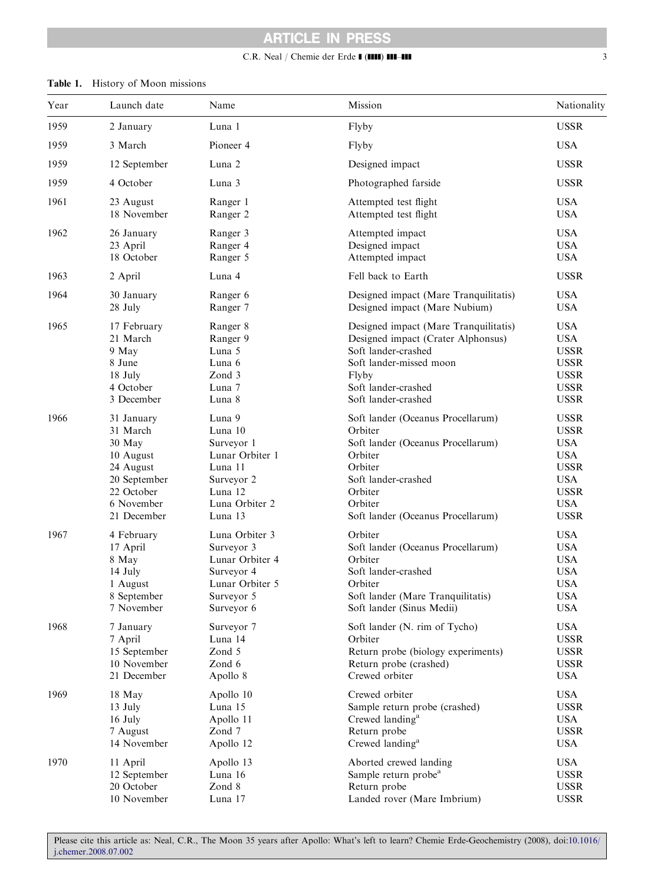# $C.R.$  Neal / Chemie der Erde  $\blacksquare$  ( $\blacksquare$ )  $\blacksquare$ ]  $\blacksquare$

# <span id="page-2-0"></span>Table 1. History of Moon missions

[j.chemer.2008.07.002](dx.doi.org/10.1016/j.chemer.2008.07.002)

| Year | Launch date  | Name                 | Mission                               | Nationality |
|------|--------------|----------------------|---------------------------------------|-------------|
| 1959 | 2 January    | Luna 1               | Flyby                                 | <b>USSR</b> |
| 1959 | 3 March      | Pioneer <sub>4</sub> | Flyby                                 | <b>USA</b>  |
| 1959 | 12 September | Luna 2               | Designed impact                       | <b>USSR</b> |
| 1959 | 4 October    | Luna 3               | Photographed farside                  | <b>USSR</b> |
| 1961 | 23 August    | Ranger 1             | Attempted test flight                 | <b>USA</b>  |
|      | 18 November  | Ranger 2             | Attempted test flight                 | <b>USA</b>  |
| 1962 | 26 January   | Ranger 3             | Attempted impact                      | <b>USA</b>  |
|      | 23 April     | Ranger 4             | Designed impact                       | <b>USA</b>  |
|      | 18 October   | Ranger 5             | Attempted impact                      | <b>USA</b>  |
| 1963 | 2 April      | Luna 4               | Fell back to Earth                    | <b>USSR</b> |
| 1964 | 30 January   | Ranger 6             | Designed impact (Mare Tranquilitatis) | <b>USA</b>  |
|      | 28 July      | Ranger 7             | Designed impact (Mare Nubium)         | <b>USA</b>  |
| 1965 | 17 February  | Ranger 8             | Designed impact (Mare Tranquilitatis) | <b>USA</b>  |
|      | 21 March     | Ranger 9             | Designed impact (Crater Alphonsus)    | <b>USA</b>  |
|      | 9 May        | Luna 5               | Soft lander-crashed                   | <b>USSR</b> |
|      | 8 June       | Luna 6               | Soft lander-missed moon               | <b>USSR</b> |
|      | 18 July      | Zond 3               | Flyby                                 | <b>USSR</b> |
|      | 4 October    | Luna 7               | Soft lander-crashed                   | <b>USSR</b> |
|      | 3 December   | Luna 8               | Soft lander-crashed                   | <b>USSR</b> |
| 1966 | 31 January   | Luna 9               | Soft lander (Oceanus Procellarum)     | <b>USSR</b> |
|      | 31 March     | Luna 10              | Orbiter                               | <b>USSR</b> |
|      | 30 May       | Surveyor 1           | Soft lander (Oceanus Procellarum)     | <b>USA</b>  |
|      | 10 August    | Lunar Orbiter 1      | Orbiter                               | <b>USA</b>  |
|      | 24 August    | Luna 11              | Orbiter                               | <b>USSR</b> |
|      | 20 September | Surveyor 2           | Soft lander-crashed                   | <b>USA</b>  |
|      | 22 October   | Luna 12              | Orbiter                               | <b>USSR</b> |
|      | 6 November   | Luna Orbiter 2       | Orbiter                               | <b>USA</b>  |
|      | 21 December  | Luna 13              | Soft lander (Oceanus Procellarum)     | <b>USSR</b> |
| 1967 | 4 February   | Luna Orbiter 3       | Orbiter                               | <b>USA</b>  |
|      | 17 April     | Surveyor 3           | Soft lander (Oceanus Procellarum)     | <b>USA</b>  |
|      | 8 May        | Lunar Orbiter 4      | Orbiter                               | <b>USA</b>  |
|      | 14 July      | Surveyor 4           | Soft lander-crashed                   | <b>USA</b>  |
|      | 1 August     | Lunar Orbiter 5      | Orbiter                               | <b>USA</b>  |
|      | 8 September  | Surveyor 5           | Soft lander (Mare Tranquilitatis)     | <b>USA</b>  |
|      | 7 November   | Surveyor 6           | Soft lander (Sinus Medii)             | <b>USA</b>  |
| 1968 | 7 January    | Surveyor 7           | Soft lander (N. rim of Tycho)         | <b>USA</b>  |
|      | 7 April      | Luna 14              | Orbiter                               | <b>USSR</b> |
|      | 15 September | Zond 5               | Return probe (biology experiments)    | <b>USSR</b> |
|      | 10 November  | Zond 6               | Return probe (crashed)                | <b>USSR</b> |
|      | 21 December  | Apollo 8             | Crewed orbiter                        | <b>USA</b>  |
| 1969 | 18 May       | Apollo 10            | Crewed orbiter                        | <b>USA</b>  |
|      | 13 July      | Luna 15              | Sample return probe (crashed)         | <b>USSR</b> |
|      | 16 July      | Apollo 11            | Crewed landing <sup>a</sup>           | <b>USA</b>  |
|      | 7 August     | Zond 7               | Return probe                          | <b>USSR</b> |
|      | 14 November  | Apollo 12            | Crewed landing <sup>a</sup>           | <b>USA</b>  |
| 1970 | 11 April     | Apollo 13            | Aborted crewed landing                | <b>USA</b>  |
|      | 12 September | Luna 16              | Sample return probe <sup>a</sup>      | <b>USSR</b> |
|      | 20 October   | Zond 8               | Return probe                          | <b>USSR</b> |
|      | 10 November  | Luna 17              | Landed rover (Mare Imbrium)           | <b>USSR</b> |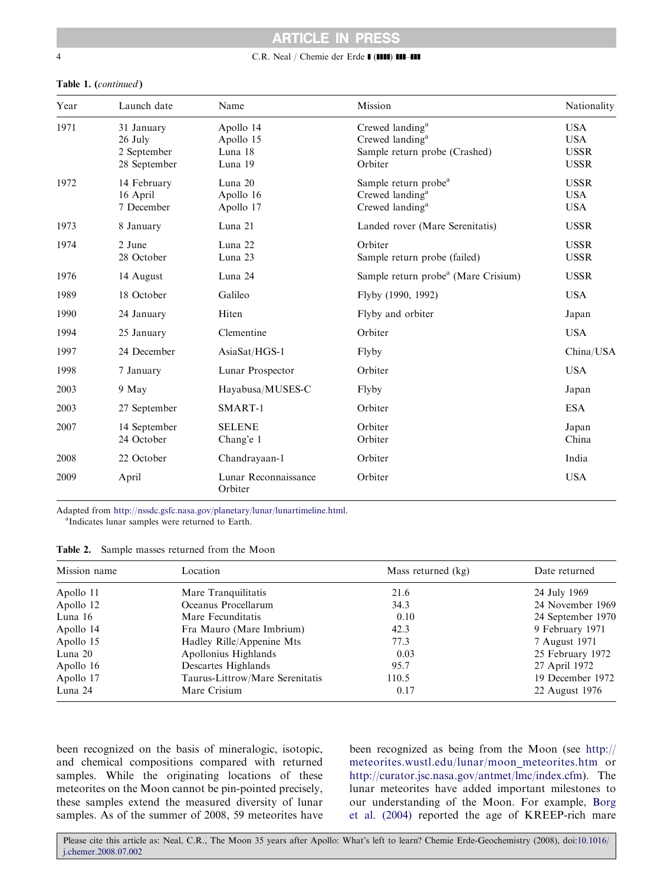#### <span id="page-3-0"></span>4 C.R. Neal / Chemie der Erde  $\blacksquare$  ( $\blacksquare$ )  $\blacksquare$

#### Table 1. (continued)

| Year | Launch date                                          | Name                                         | Mission                                                                                                | Nationality                                            |
|------|------------------------------------------------------|----------------------------------------------|--------------------------------------------------------------------------------------------------------|--------------------------------------------------------|
| 1971 | 31 January<br>26 July<br>2 September<br>28 September | Apollo 14<br>Apollo 15<br>Luna 18<br>Luna 19 | Crewed landing <sup>a</sup><br>Crewed landing <sup>a</sup><br>Sample return probe (Crashed)<br>Orbiter | <b>USA</b><br><b>USA</b><br><b>USSR</b><br><b>USSR</b> |
| 1972 | 14 February<br>16 April<br>7 December                | Luna 20<br>Apollo 16<br>Apollo 17            | Sample return probe <sup>a</sup><br>Crewed landing <sup>a</sup><br>Crewed landing <sup>a</sup>         | <b>USSR</b><br><b>USA</b><br><b>USA</b>                |
| 1973 | 8 January                                            | Luna 21                                      | Landed rover (Mare Serenitatis)                                                                        | <b>USSR</b>                                            |
| 1974 | 2 June<br>28 October                                 | Luna 22<br>Luna 23                           | Orbiter<br>Sample return probe (failed)                                                                | <b>USSR</b><br><b>USSR</b>                             |
| 1976 | 14 August                                            | Luna 24                                      | Sample return probe <sup>a</sup> (Mare Crisium)                                                        | <b>USSR</b>                                            |
| 1989 | 18 October                                           | Galileo                                      | Flyby (1990, 1992)                                                                                     | <b>USA</b>                                             |
| 1990 | 24 January                                           | Hiten                                        | Flyby and orbiter                                                                                      | Japan                                                  |
| 1994 | 25 January                                           | Clementine                                   | Orbiter                                                                                                | <b>USA</b>                                             |
| 1997 | 24 December                                          | AsiaSat/HGS-1                                | Flyby                                                                                                  | China/USA                                              |
| 1998 | 7 January                                            | Lunar Prospector                             | Orbiter                                                                                                | <b>USA</b>                                             |
| 2003 | 9 May                                                | Hayabusa/MUSES-C                             | Flyby                                                                                                  | Japan                                                  |
| 2003 | 27 September                                         | SMART-1                                      | Orbiter                                                                                                | <b>ESA</b>                                             |
| 2007 | 14 September<br>24 October                           | <b>SELENE</b><br>Chang'e 1                   | Orbiter<br>Orbiter                                                                                     | Japan<br>China                                         |
| 2008 | 22 October                                           | Chandrayaan-1                                | Orbiter                                                                                                | India                                                  |
| 2009 | April                                                | Lunar Reconnaissance<br>Orbiter              | Orbiter                                                                                                | <b>USA</b>                                             |

Adapted from [http://nssdc.gsfc.nasa.gov/planetary/lunar/lunartimeline.html.](http://nssdc.gsfc.nasa.gov/planetary/lunar/lunartimeline.html)

<sup>a</sup>Indicates lunar samples were returned to Earth.

| <b>Table 2.</b> Sample masses returned from the Moon |  |
|------------------------------------------------------|--|
|------------------------------------------------------|--|

| Mission name | Location                        | Mass returned (kg) | Date returned     |
|--------------|---------------------------------|--------------------|-------------------|
| Apollo 11    | Mare Tranquilitatis             | 21.6               | 24 July 1969      |
| Apollo 12    | Oceanus Procellarum             | 34.3               | 24 November 1969  |
| Luna 16      | Mare Fecunditatis               | 0.10               | 24 September 1970 |
| Apollo 14    | Fra Mauro (Mare Imbrium)        | 42.3               | 9 February 1971   |
| Apollo 15    | Hadley Rille/Appenine Mts       | 77.3               | 7 August 1971     |
| Luna 20      | Apollonius Highlands            | 0.03               | 25 February 1972  |
| Apollo 16    | Descartes Highlands             | 95.7               | 27 April 1972     |
| Apollo 17    | Taurus-Littrow/Mare Serenitatis | 110.5              | 19 December 1972  |
| Luna 24      | Mare Crisium                    | 0.17               | 22 August 1976    |

been recognized on the basis of mineralogic, isotopic, and chemical compositions compared with returned samples. While the originating locations of these meteorites on the Moon cannot be pin-pointed precisely, these samples extend the measured diversity of lunar samples. As of the summer of 2008, 59 meteorites have been recognized as being from the Moon (see [http://](http://meteorites.wustl.edu/lunar/moon_meteorites.htm) [meteorites.wustl.edu/lunar/moon\\_meteorites.htm](http://meteorites.wustl.edu/lunar/moon_meteorites.htm) or [http://curator.jsc.nasa.gov/antmet/lmc/index.cfm\)](http://curator.jsc.nasa.gov/antmet/lmc/index.cfm). The lunar meteorites have added important milestones to our understanding of the Moon. For example, [Borg](#page-29-0) [et al. \(2004\)](#page-29-0) reported the age of KREEP-rich mare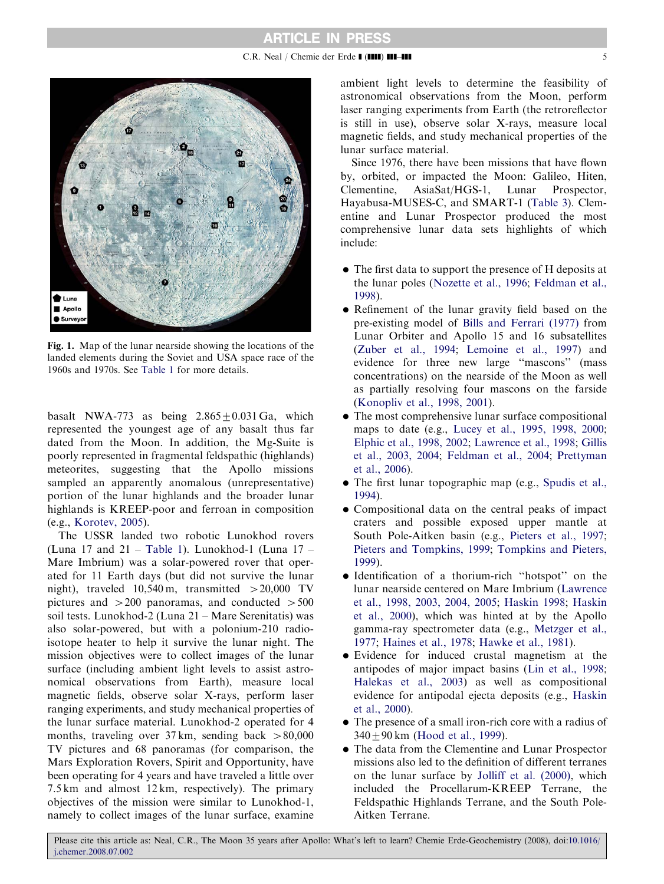#### C.R. Neal / Chemie der Erde **[(]]]] [11] 111–111** 5

<span id="page-4-0"></span>

Fig. 1. Map of the lunar nearside showing the locations of the landed elements during the Soviet and USA space race of the 1960s and 1970s. See [Table 1](#page-2-0) for more details.

basalt NWA-773 as being  $2.865 \pm 0.031$  Ga, which represented the youngest age of any basalt thus far dated from the Moon. In addition, the Mg-Suite is poorly represented in fragmental feldspathic (highlands) meteorites, suggesting that the Apollo missions sampled an apparently anomalous (unrepresentative) portion of the lunar highlands and the broader lunar highlands is KREEP-poor and ferroan in composition (e.g., [Korotev, 2005](#page-35-0)).

The USSR landed two robotic Lunokhod rovers (Luna 17 and  $21$  – [Table 1](#page-2-0)). Lunokhod-1 (Luna 17 – Mare Imbrium) was a solar-powered rover that operated for 11 Earth days (but did not survive the lunar night), traveled  $10,540 \text{ m}$ , transmitted  $>20,000 \text{ TV}$ pictures and  $>200$  panoramas, and conducted  $>500$ soil tests. Lunokhod-2 (Luna 21 – Mare Serenitatis) was also solar-powered, but with a polonium-210 radioisotope heater to help it survive the lunar night. The mission objectives were to collect images of the lunar surface (including ambient light levels to assist astronomical observations from Earth), measure local magnetic fields, observe solar X-rays, perform laser ranging experiments, and study mechanical properties of the lunar surface material. Lunokhod-2 operated for 4 months, traveling over  $37 \text{ km}$ , sending back  $> 80,000$ TV pictures and 68 panoramas (for comparison, the Mars Exploration Rovers, Spirit and Opportunity, have been operating for 4 years and have traveled a little over 7.5 km and almost 12 km, respectively). The primary objectives of the mission were similar to Lunokhod-1, namely to collect images of the lunar surface, examine

ambient light levels to determine the feasibility of astronomical observations from the Moon, perform laser ranging experiments from Earth (the retroreflector is still in use), observe solar X-rays, measure local magnetic fields, and study mechanical properties of the lunar surface material.

Since 1976, there have been missions that have flown by, orbited, or impacted the Moon: Galileo, Hiten, Clementine, AsiaSat/HGS-1, Lunar Prospector, Hayabusa-MUSES-C, and SMART-1 ([Table 3](#page-5-0)). Clementine and Lunar Prospector produced the most comprehensive lunar data sets highlights of which include:

- The first data to support the presence of H deposits at the lunar poles ([Nozette et al., 1996](#page-37-0); [Feldman et al.,](#page-31-0) [1998](#page-31-0)).
- Refinement of the lunar gravity field based on the pre-existing model of [Bills and Ferrari \(1977\)](#page-29-0) from Lunar Orbiter and Apollo 15 and 16 subsatellites ([Zuber et al., 1994;](#page-40-0) [Lemoine et al., 1997](#page-35-0)) and evidence for three new large ''mascons'' (mass concentrations) on the nearside of the Moon as well as partially resolving four mascons on the farside ([Konopliv et al., 1998, 2001](#page-35-0)).
- The most comprehensive lunar surface compositional maps to date (e.g., [Lucey et al., 1995, 1998, 2000;](#page-35-0) [Elphic et al., 1998, 2002;](#page-31-0) [Lawrence et al., 1998](#page-35-0); [Gillis](#page-32-0) [et al., 2003, 2004](#page-32-0); [Feldman et al., 2004;](#page-31-0) [Prettyman](#page-38-0) [et al., 2006\)](#page-38-0).
- The first lunar topographic map (e.g., [Spudis et al.,](#page-39-0) [1994](#page-39-0)).
- Compositional data on the central peaks of impact craters and possible exposed upper mantle at South Pole-Aitken basin (e.g., [Pieters et al., 1997;](#page-37-0) [Pieters and Tompkins, 1999;](#page-37-0) [Tompkins and Pieters,](#page-40-0) [1999](#page-40-0)).
- Identification of a thorium-rich ''hotspot'' on the lunar nearside centered on Mare Imbrium [\(Lawrence](#page-35-0) [et al., 1998, 2003, 2004, 2005;](#page-35-0) [Haskin 1998](#page-33-0); [Haskin](#page-33-0) [et al., 2000](#page-33-0)), which was hinted at by the Apollo gamma-ray spectrometer data (e.g., [Metzger et al.,](#page-36-0) [1977](#page-36-0); [Haines et al., 1978;](#page-32-0) [Hawke et al., 1981\)](#page-33-0).
- Evidence for induced crustal magnetism at the antipodes of major impact basins [\(Lin et al., 1998;](#page-35-0) [Halekas et al., 2003\)](#page-32-0) as well as compositional evidence for antipodal ejecta deposits (e.g., [Haskin](#page-33-0) [et al., 2000\)](#page-33-0).
- The presence of a small iron-rich core with a radius of  $340 \pm 90$  km [\(Hood et al., 1999\)](#page-33-0).
- The data from the Clementine and Lunar Prospector missions also led to the definition of different terranes on the lunar surface by [Jolliff et al. \(2000\),](#page-34-0) which included the Procellarum-KREEP Terrane, the Feldspathic Highlands Terrane, and the South Pole-Aitken Terrane.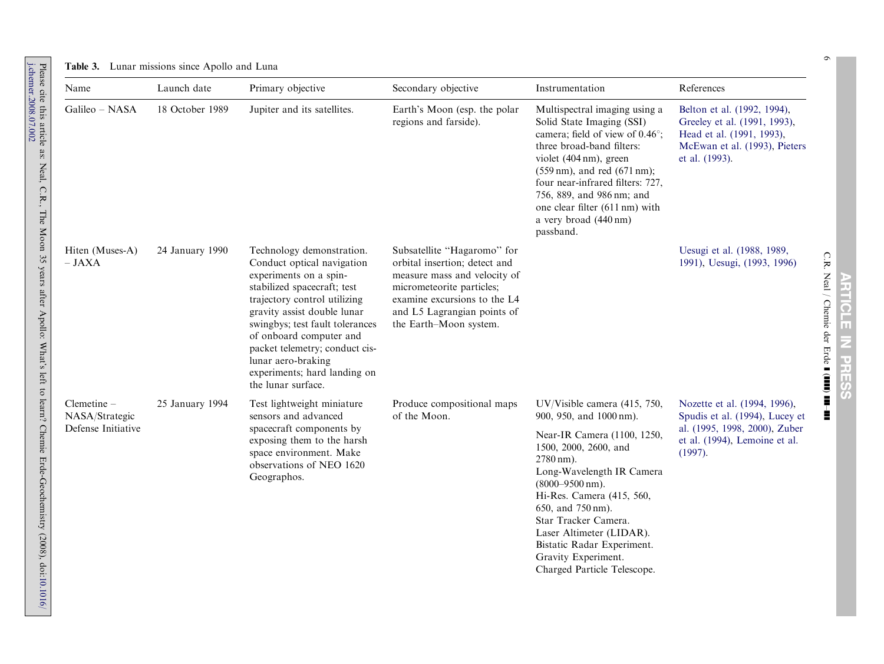<span id="page-5-0"></span>

| Name                                                     | Launch date     | Primary objective                                                                                                                                                                                                                                                                                                                                           | Secondary objective                                                                                                                                                                                                | Instrumentation                                                                                                                                                                                                                                                                                                                                                             | References                                                                                                                                  |
|----------------------------------------------------------|-----------------|-------------------------------------------------------------------------------------------------------------------------------------------------------------------------------------------------------------------------------------------------------------------------------------------------------------------------------------------------------------|--------------------------------------------------------------------------------------------------------------------------------------------------------------------------------------------------------------------|-----------------------------------------------------------------------------------------------------------------------------------------------------------------------------------------------------------------------------------------------------------------------------------------------------------------------------------------------------------------------------|---------------------------------------------------------------------------------------------------------------------------------------------|
| Galileo - NASA                                           | 18 October 1989 | Jupiter and its satellites.                                                                                                                                                                                                                                                                                                                                 | Earth's Moon (esp. the polar<br>regions and farside).                                                                                                                                                              | Multispectral imaging using a<br>Solid State Imaging (SSI)<br>camera; field of view of 0.46°;<br>three broad-band filters:<br>violet (404 nm), green<br>$(559 \text{ nm})$ , and red $(671 \text{ nm})$ ;<br>four near-infrared filters: 727,<br>756, 889, and 986 nm; and<br>one clear filter (611 nm) with<br>a very broad (440 nm)<br>passband.                          | Belton et al. (1992, 1994),<br>Greeley et al. (1991, 1993),<br>Head et al. (1991, 1993),<br>McEwan et al. (1993), Pieters<br>et al. (1993). |
| Hiten (Muses-A)<br>$-$ JAXA                              | 24 January 1990 | Technology demonstration.<br>Conduct optical navigation<br>experiments on a spin-<br>stabilized spacecraft; test<br>trajectory control utilizing<br>gravity assist double lunar<br>swingbys; test fault tolerances<br>of onboard computer and<br>packet telemetry; conduct cis-<br>lunar aero-braking<br>experiments; hard landing on<br>the lunar surface. | Subsatellite "Hagaromo" for<br>orbital insertion; detect and<br>measure mass and velocity of<br>micrometeorite particles;<br>examine excursions to the L4<br>and L5 Lagrangian points of<br>the Earth-Moon system. |                                                                                                                                                                                                                                                                                                                                                                             | Uesugi et al. (1988, 1989,<br>1991), Uesugi, (1993, 1996)                                                                                   |
| $C$ lemetine $-$<br>NASA/Strategic<br>Defense Initiative | 25 January 1994 | Test lightweight miniature<br>sensors and advanced<br>spacecraft components by<br>exposing them to the harsh<br>space environment. Make<br>observations of NEO 1620<br>Geographos.                                                                                                                                                                          | Produce compositional maps<br>of the Moon.                                                                                                                                                                         | UV/Visible camera (415, 750,<br>900, 950, and 1000 nm).<br>Near-IR Camera (1100, 1250,<br>1500, 2000, 2600, and<br>2780 nm).<br>Long-Wavelength IR Camera<br>$(8000 - 9500)$ nm).<br>Hi-Res. Camera (415, 560,<br>650, and 750 nm).<br>Star Tracker Camera.<br>Laser Altimeter (LIDAR).<br>Bistatic Radar Experiment.<br>Gravity Experiment.<br>Charged Particle Telescope. | Nozette et al. (1994, 1996),<br>Spudis et al. (1994), Lucey et<br>al. (1995, 1998, 2000), Zuber<br>et al. (1994), Lemoine et al.<br>(1997). |

#### Table 3. Lunar missions since Apollo and Luna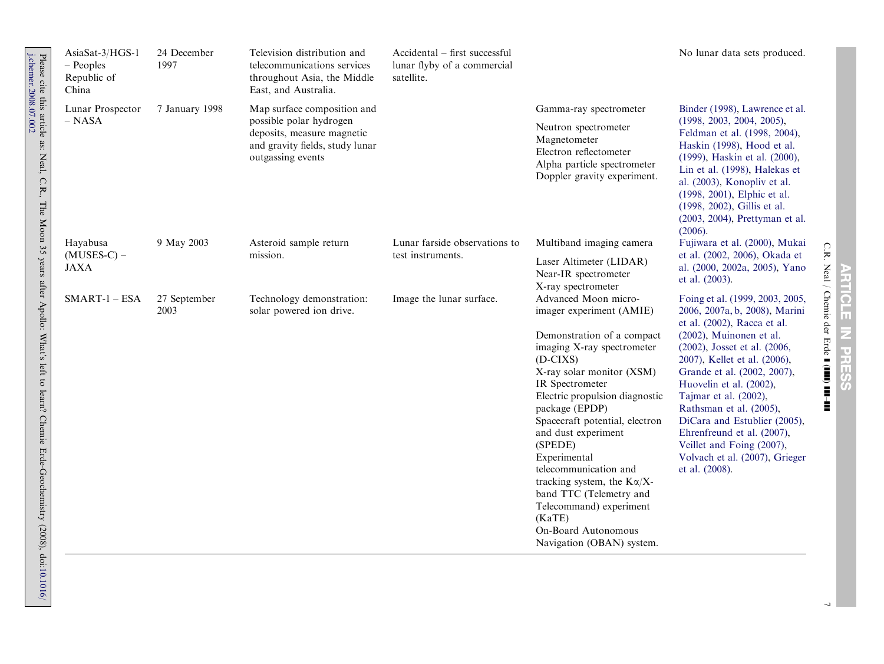| Please cite this article as:<br>j.chemer.2008.07.002 | AsiaSat-3/HGS-1<br>$-$ Peoples<br>Republic of<br>China | 24 December<br>1997  | Television distribution and<br>telecommunications services<br>throughout Asia, the Middle<br>East, and Australia. | Accidental - first successful<br>lunar flyby of a commercial<br>satellite. |                                                                                                                              | No lunar data sets produced.                                                                                                                                                                                                                                                                        |                     |
|------------------------------------------------------|--------------------------------------------------------|----------------------|-------------------------------------------------------------------------------------------------------------------|----------------------------------------------------------------------------|------------------------------------------------------------------------------------------------------------------------------|-----------------------------------------------------------------------------------------------------------------------------------------------------------------------------------------------------------------------------------------------------------------------------------------------------|---------------------|
|                                                      | Lunar Prospector                                       | 7 January 1998       | Map surface composition and                                                                                       |                                                                            | Gamma-ray spectrometer                                                                                                       | Binder (1998), Lawrence et al.                                                                                                                                                                                                                                                                      |                     |
| Neal, C.R.,                                          | $-$ NASA                                               |                      | possible polar hydrogen<br>deposits, measure magnetic<br>and gravity fields, study lunar<br>outgassing events     |                                                                            | Neutron spectrometer<br>Magnetometer<br>Electron reflectometer<br>Alpha particle spectrometer<br>Doppler gravity experiment. | (1998, 2003, 2004, 2005),<br>Feldman et al. (1998, 2004),<br>Haskin (1998), Hood et al.<br>(1999), Haskin et al. (2000),<br>Lin et al. (1998), Halekas et<br>al. (2003), Konopliv et al.<br>(1998, 2001), Elphic et al.<br>(1998, 2002), Gillis et al.<br>(2003, 2004), Prettyman et al.<br>(2006). |                     |
|                                                      | Hayabusa                                               | 9 May 2003           | Asteroid sample return                                                                                            | Lunar farside observations to                                              | Multiband imaging camera                                                                                                     | Fujiwara et al. (2000), Mukai                                                                                                                                                                                                                                                                       |                     |
|                                                      | $(MUSES-C)$ –<br><b>JAXA</b>                           |                      | mission.                                                                                                          | test instruments.                                                          | Laser Altimeter (LIDAR)<br>Near-IR spectrometer<br>X-ray spectrometer                                                        | et al. (2002, 2006), Okada et<br>al. (2000, 2002a, 2005), Yano<br>et al. (2003).                                                                                                                                                                                                                    | C.R.<br><b>Neal</b> |
| The Moon 35 years after Apollo: What's left to       | $SMART-1 - ESA$                                        | 27 September<br>2003 | Technology demonstration:<br>solar powered ion drive.                                                             | Image the lunar surface.                                                   | Advanced Moon micro-<br>imager experiment (AMIE)                                                                             | Foing et al. (1999, 2003, 2005,<br>2006, 2007a, b, 2008), Marini<br>et al. (2002), Racca et al.                                                                                                                                                                                                     | Chemie              |
|                                                      |                                                        |                      |                                                                                                                   |                                                                            | Demonstration of a compact<br>imaging X-ray spectrometer                                                                     | (2002), Muinonen et al.<br>(2002), Josset et al. (2006,                                                                                                                                                                                                                                             | der<br>Erde         |
|                                                      |                                                        |                      |                                                                                                                   |                                                                            | $(D-CIXS)$<br>X-ray solar monitor (XSM)<br>IR Spectrometer                                                                   | 2007), Kellet et al. (2006),<br>Grande et al. (2002, 2007),<br>Huovelin et al. (2002),                                                                                                                                                                                                              | Î                   |
|                                                      |                                                        |                      |                                                                                                                   |                                                                            | Electric propulsion diagnostic<br>package (EPDP)                                                                             | Tajmar et al. (2002),<br>Rathsman et al. (2005),                                                                                                                                                                                                                                                    |                     |
| learn? Chemie                                        |                                                        |                      |                                                                                                                   |                                                                            | Spacecraft potential, electron<br>and dust experiment<br>(SPEDE)                                                             | DiCara and Estublier (2005),<br>Ehrenfreund et al. (2007),<br>Veillet and Foing (2007),                                                                                                                                                                                                             |                     |
|                                                      |                                                        |                      |                                                                                                                   |                                                                            | Experimental<br>telecommunication and                                                                                        | Volvach et al. (2007), Grieger<br>et al. (2008).                                                                                                                                                                                                                                                    |                     |
|                                                      |                                                        |                      |                                                                                                                   |                                                                            | tracking system, the $K\alpha/X$ -<br>band TTC (Telemetry and                                                                |                                                                                                                                                                                                                                                                                                     |                     |
|                                                      |                                                        |                      |                                                                                                                   |                                                                            | Telecommand) experiment<br>(KaTE)                                                                                            |                                                                                                                                                                                                                                                                                                     |                     |
|                                                      |                                                        |                      |                                                                                                                   |                                                                            | On-Board Autonomous<br>Navigation (OBAN) system.                                                                             |                                                                                                                                                                                                                                                                                                     |                     |
| Erde-Geochemistry (2008), doi:10.1016,               |                                                        |                      |                                                                                                                   |                                                                            |                                                                                                                              |                                                                                                                                                                                                                                                                                                     |                     |
|                                                      |                                                        |                      |                                                                                                                   |                                                                            |                                                                                                                              |                                                                                                                                                                                                                                                                                                     |                     |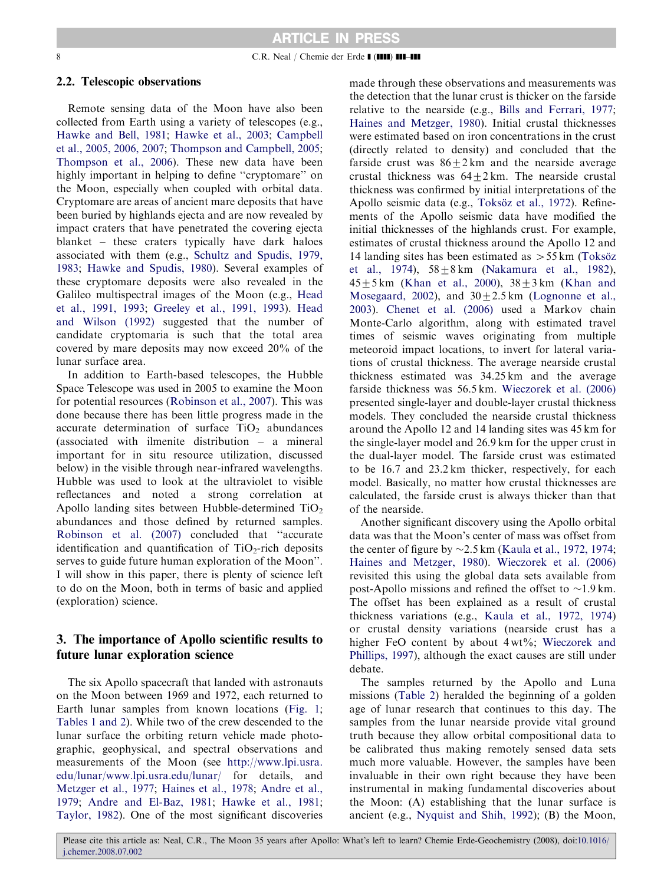## 8 C.R. Neal / Chemie der Erde 1 (1111) 111-111

#### 2.2. Telescopic observations

Remote sensing data of the Moon have also been collected from Earth using a variety of telescopes (e.g., [Hawke and Bell, 1981;](#page-33-0) [Hawke et al., 2003](#page-33-0); [Campbell](#page-29-0) [et al., 2005, 2006, 2007](#page-29-0); [Thompson and Campbell, 2005](#page-39-0); [Thompson et al., 2006\)](#page-39-0). These new data have been highly important in helping to define "cryptomare" on the Moon, especially when coupled with orbital data. Cryptomare are areas of ancient mare deposits that have been buried by highlands ejecta and are now revealed by impact craters that have penetrated the covering ejecta blanket – these craters typically have dark haloes associated with them (e.g., [Schultz and Spudis, 1979,](#page-38-0) [1983;](#page-38-0) [Hawke and Spudis, 1980](#page-33-0)). Several examples of these cryptomare deposits were also revealed in the Galileo multispectral images of the Moon (e.g., [Head](#page-33-0) [et al., 1991, 1993;](#page-33-0) [Greeley et al., 1991, 1993](#page-32-0)). [Head](#page-33-0) [and Wilson \(1992\)](#page-33-0) suggested that the number of candidate cryptomaria is such that the total area covered by mare deposits may now exceed 20% of the lunar surface area.

In addition to Earth-based telescopes, the Hubble Space Telescope was used in 2005 to examine the Moon for potential resources ([Robinson et al., 2007](#page-38-0)). This was done because there has been little progress made in the accurate determination of surface  $TiO<sub>2</sub>$  abundances (associated with ilmenite distribution – a mineral important for in situ resource utilization, discussed below) in the visible through near-infrared wavelengths. Hubble was used to look at the ultraviolet to visible reflectances and noted a strong correlation at Apollo landing sites between Hubble-determined  $TiO<sub>2</sub>$ abundances and those defined by returned samples. [Robinson et al. \(2007\)](#page-38-0) concluded that ''accurate identification and quantification of  $TiO<sub>2</sub>$ -rich deposits serves to guide future human exploration of the Moon''. I will show in this paper, there is plenty of science left to do on the Moon, both in terms of basic and applied (exploration) science.

# 3. The importance of Apollo scientific results to future lunar exploration science

The six Apollo spacecraft that landed with astronauts on the Moon between 1969 and 1972, each returned to Earth lunar samples from known locations [\(Fig. 1](#page-4-0); [Tables 1 and 2](#page-2-0)). While two of the crew descended to the lunar surface the orbiting return vehicle made photographic, geophysical, and spectral observations and measurements of the Moon (see [http://www.lpi.usra.](http://www.lpi.usra.edu/lunar/www.lpi.usra.edu/lunar/) [edu/lunar/www.lpi.usra.edu/lunar/](http://www.lpi.usra.edu/lunar/www.lpi.usra.edu/lunar/) for details, and [Metzger et al., 1977](#page-36-0); [Haines et al., 1978](#page-32-0); [Andre et al.,](#page-28-0) [1979;](#page-28-0) [Andre and El-Baz, 1981](#page-28-0); [Hawke et al., 1981](#page-33-0); [Taylor, 1982\)](#page-39-0). One of the most significant discoveries

made through these observations and measurements was the detection that the lunar crust is thicker on the farside relative to the nearside (e.g., [Bills and Ferrari, 1977](#page-29-0); [Haines and Metzger, 1980](#page-32-0)). Initial crustal thicknesses were estimated based on iron concentrations in the crust (directly related to density) and concluded that the farside crust was  $86 \pm 2 \text{ km}$  and the nearside average crustal thickness was  $64+2$  km. The nearside crustal thickness was confirmed by initial interpretations of the Apollo seismic data (e.g., Toksö[z et al., 1972](#page-40-0)). Refinements of the Apollo seismic data have modified the initial thicknesses of the highlands crust. For example, estimates of crustal thickness around the Apollo 12 and 14 landing sites has been estimated as  $> 55 \text{ km}$  ([Toks](#page-40-0)öz [et al., 1974](#page-40-0)),  $58 \pm 8 \text{ km}$  ([Nakamura et al., 1982\)](#page-36-0),  $45 \pm 5 \text{ km}$  ([Khan et al., 2000](#page-34-0)),  $38 \pm 3 \text{ km}$  ([Khan and](#page-34-0) [Mosegaard, 2002](#page-34-0)), and  $30+2.5$  km [\(Lognonne et al.,](#page-35-0) [2003\)](#page-35-0). [Chenet et al. \(2006\)](#page-29-0) used a Markov chain Monte-Carlo algorithm, along with estimated travel times of seismic waves originating from multiple meteoroid impact locations, to invert for lateral variations of crustal thickness. The average nearside crustal thickness estimated was 34.25 km and the average farside thickness was 56.5 km. [Wieczorek et al. \(2006\)](#page-40-0) presented single-layer and double-layer crustal thickness models. They concluded the nearside crustal thickness around the Apollo 12 and 14 landing sites was 45 km for the single-layer model and 26.9 km for the upper crust in the dual-layer model. The farside crust was estimated to be 16.7 and 23.2 km thicker, respectively, for each model. Basically, no matter how crustal thicknesses are calculated, the farside crust is always thicker than that of the nearside.

Another significant discovery using the Apollo orbital data was that the Moon's center of mass was offset from the center of figure by  $\sim$  2.5 km [\(Kaula et al., 1972, 1974](#page-34-0); [Haines and Metzger, 1980](#page-32-0)). [Wieczorek et al. \(2006\)](#page-40-0) revisited this using the global data sets available from post-Apollo missions and refined the offset to  $\sim$ 1.9 km. The offset has been explained as a result of crustal thickness variations (e.g., [Kaula et al., 1972, 1974](#page-34-0)) or crustal density variations (nearside crust has a higher FeO content by about  $4wt\%$ ; [Wieczorek and](#page-40-0) [Phillips, 1997](#page-40-0)), although the exact causes are still under debate.

The samples returned by the Apollo and Luna missions [\(Table 2\)](#page-3-0) heralded the beginning of a golden age of lunar research that continues to this day. The samples from the lunar nearside provide vital ground truth because they allow orbital compositional data to be calibrated thus making remotely sensed data sets much more valuable. However, the samples have been invaluable in their own right because they have been instrumental in making fundamental discoveries about the Moon: (A) establishing that the lunar surface is ancient (e.g., [Nyquist and Shih, 1992](#page-37-0)); (B) the Moon,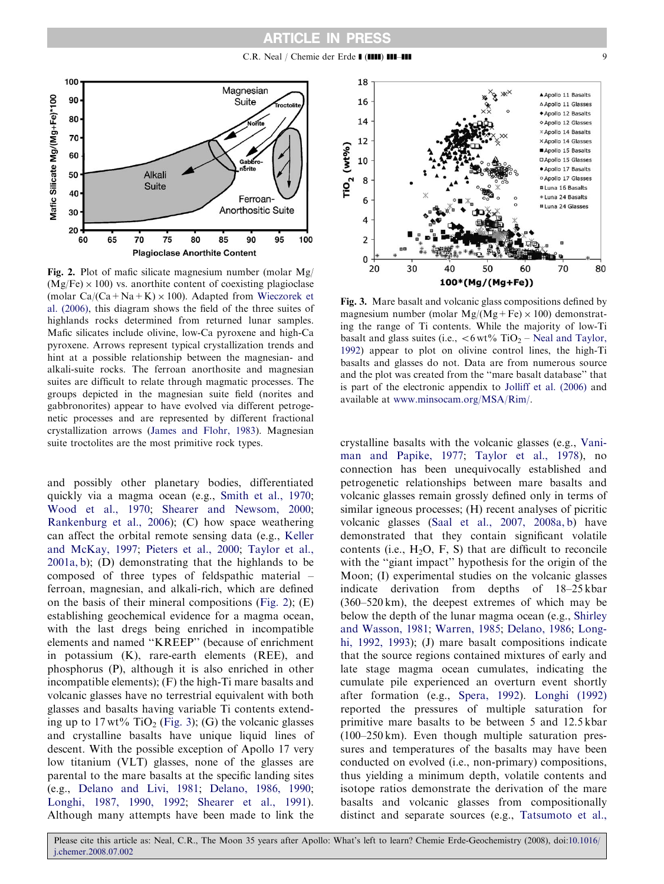C.R. Neal / Chemie der Erde I (IIII) III-III



Fig. 2. Plot of mafic silicate magnesium number (molar Mg/  $(Mg/Fe) \times 100$ ) vs. anorthite content of coexisting plagioclase (molar  $Ca/(Ca + Na + K) \times 100$ ). Adapted from [Wieczorek et](#page-40-0) [al. \(2006\)](#page-40-0), this diagram shows the field of the three suites of highlands rocks determined from returned lunar samples. Mafic silicates include olivine, low-Ca pyroxene and high-Ca pyroxene. Arrows represent typical crystallization trends and hint at a possible relationship between the magnesian- and alkali-suite rocks. The ferroan anorthosite and magnesian suites are difficult to relate through magmatic processes. The groups depicted in the magnesian suite field (norites and gabbronorites) appear to have evolved via different petrogenetic processes and are represented by different fractional crystallization arrows [\(James and Flohr, 1983](#page-34-0)). Magnesian suite troctolites are the most primitive rock types.

and possibly other planetary bodies, differentiated quickly via a magma ocean (e.g., [Smith et al., 1970;](#page-39-0) [Wood et al., 1970;](#page-40-0) [Shearer and Newsom, 2000;](#page-38-0) [Rankenburg et al., 2006\)](#page-38-0); (C) how space weathering can affect the orbital remote sensing data (e.g., [Keller](#page-34-0) [and McKay, 1997](#page-34-0); [Pieters et al., 2000;](#page-37-0) [Taylor et al.,](#page-39-0) [2001a, b](#page-39-0)); (D) demonstrating that the highlands to be composed of three types of feldspathic material – ferroan, magnesian, and alkali-rich, which are defined on the basis of their mineral compositions (Fig. 2); (E) establishing geochemical evidence for a magma ocean, with the last dregs being enriched in incompatible elements and named ''KREEP'' (because of enrichment in potassium (K), rare-earth elements (REE), and phosphorus (P), although it is also enriched in other incompatible elements); (F) the high-Ti mare basalts and volcanic glasses have no terrestrial equivalent with both glasses and basalts having variable Ti contents extending up to  $17 \text{ wt\%}$  TiO<sub>2</sub> (Fig. 3); (G) the volcanic glasses and crystalline basalts have unique liquid lines of descent. With the possible exception of Apollo 17 very low titanium (VLT) glasses, none of the glasses are parental to the mare basalts at the specific landing sites (e.g., [Delano and Livi, 1981](#page-30-0); [Delano, 1986, 1990;](#page-30-0) [Longhi, 1987, 1990, 1992](#page-35-0); [Shearer et al., 1991\)](#page-38-0). Although many attempts have been made to link the



Fig. 3. Mare basalt and volcanic glass compositions defined by magnesium number (molar  $Mg/(Mg + Fe) \times 100$ ) demonstrating the range of Ti contents. While the majority of low-Ti basalt and glass suites (i.e.,  $<6$  wt% TiO<sub>2</sub> – [Neal and Taylor,](#page-36-0) [1992](#page-36-0)) appear to plot on olivine control lines, the high-Ti basalts and glasses do not. Data are from numerous source and the plot was created from the ''mare basalt database'' that is part of the electronic appendix to [Jolliff et al. \(2006\)](#page-34-0) and available at [www.minsocam.org/MSA/Rim/](http://www.minsocam.org/MSA/Rim/).

crystalline basalts with the volcanic glasses (e.g., [Vani](#page-40-0)[man and Papike, 1977;](#page-40-0) [Taylor et al., 1978\)](#page-39-0), no connection has been unequivocally established and petrogenetic relationships between mare basalts and volcanic glasses remain grossly defined only in terms of similar igneous processes; (H) recent analyses of picritic volcanic glasses ([Saal et al., 2007, 2008a, b\)](#page-38-0) have demonstrated that they contain significant volatile contents (i.e.,  $H_2O$ , F, S) that are difficult to reconcile with the "giant impact" hypothesis for the origin of the Moon; (I) experimental studies on the volcanic glasses indicate derivation from depths of 18–25 kbar (360–520 km), the deepest extremes of which may be below the depth of the lunar magma ocean (e.g., [Shirley](#page-39-0) [and Wasson, 1981;](#page-39-0) [Warren, 1985](#page-40-0); [Delano, 1986;](#page-30-0) [Long](#page-35-0)[hi, 1992, 1993](#page-35-0)); (J) mare basalt compositions indicate that the source regions contained mixtures of early and late stage magma ocean cumulates, indicating the cumulate pile experienced an overturn event shortly after formation (e.g., [Spera, 1992](#page-39-0)). [Longhi \(1992\)](#page-35-0) reported the pressures of multiple saturation for primitive mare basalts to be between 5 and 12.5 kbar (100–250 km). Even though multiple saturation pressures and temperatures of the basalts may have been conducted on evolved (i.e., non-primary) compositions, thus yielding a minimum depth, volatile contents and isotope ratios demonstrate the derivation of the mare basalts and volcanic glasses from compositionally distinct and separate sources (e.g., [Tatsumoto et al.,](#page-39-0)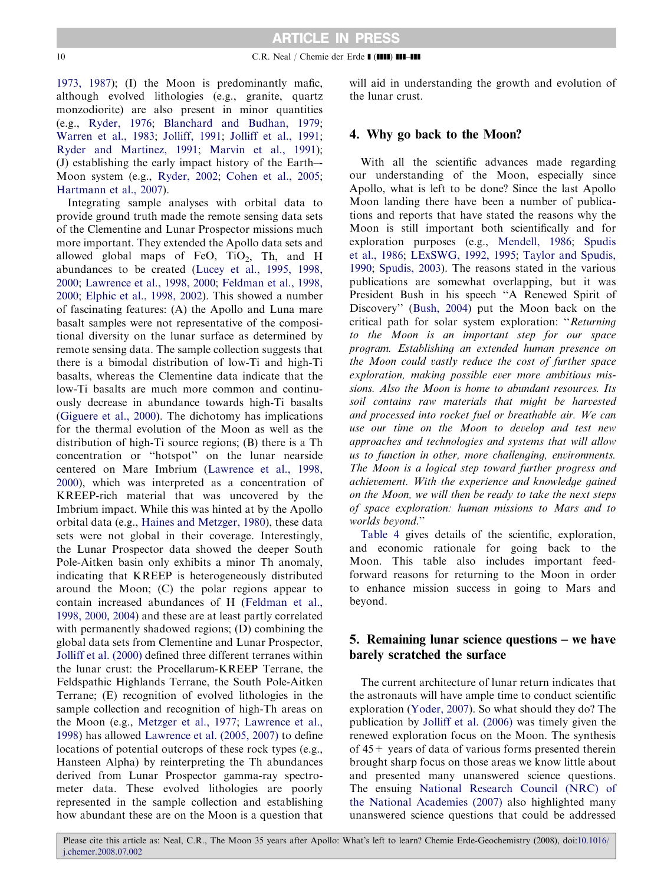[1973, 1987\)](#page-39-0); (I) the Moon is predominantly mafic, although evolved lithologies (e.g., granite, quartz monzodiorite) are also present in minor quantities (e.g., [Ryder, 1976](#page-38-0); [Blanchard and Budhan, 1979](#page-29-0); [Warren et al., 1983;](#page-40-0) [Jolliff, 1991;](#page-34-0) [Jolliff et al., 1991](#page-34-0); [Ryder and Martinez, 1991;](#page-38-0) [Marvin et al., 1991\)](#page-35-0); (J) establishing the early impact history of the Earth–- Moon system (e.g., [Ryder, 2002;](#page-38-0) [Cohen et al., 2005](#page-30-0); [Hartmann et al., 2007\)](#page-32-0).

Integrating sample analyses with orbital data to provide ground truth made the remote sensing data sets of the Clementine and Lunar Prospector missions much more important. They extended the Apollo data sets and allowed global maps of FeO,  $TiO<sub>2</sub>$ , Th, and H abundances to be created ([Lucey et al., 1995, 1998,](#page-35-0) [2000;](#page-35-0) [Lawrence et al., 1998, 2000](#page-35-0); [Feldman et al., 1998,](#page-31-0) [2000;](#page-31-0) [Elphic et al., 1998, 2002](#page-31-0)). This showed a number of fascinating features: (A) the Apollo and Luna mare basalt samples were not representative of the compositional diversity on the lunar surface as determined by remote sensing data. The sample collection suggests that there is a bimodal distribution of low-Ti and high-Ti basalts, whereas the Clementine data indicate that the low-Ti basalts are much more common and continuously decrease in abundance towards high-Ti basalts ([Giguere et al., 2000](#page-32-0)). The dichotomy has implications for the thermal evolution of the Moon as well as the distribution of high-Ti source regions; (B) there is a Th concentration or ''hotspot'' on the lunar nearside centered on Mare Imbrium [\(Lawrence et al., 1998,](#page-35-0) [2000\)](#page-35-0), which was interpreted as a concentration of KREEP-rich material that was uncovered by the Imbrium impact. While this was hinted at by the Apollo orbital data (e.g., [Haines and Metzger, 1980](#page-32-0)), these data sets were not global in their coverage. Interestingly, the Lunar Prospector data showed the deeper South Pole-Aitken basin only exhibits a minor Th anomaly, indicating that KREEP is heterogeneously distributed around the Moon; (C) the polar regions appear to contain increased abundances of H ([Feldman et al.,](#page-31-0) [1998, 2000, 2004](#page-31-0)) and these are at least partly correlated with permanently shadowed regions; (D) combining the global data sets from Clementine and Lunar Prospector, [Jolliff et al. \(2000\)](#page-34-0) defined three different terranes within the lunar crust: the Procellarum-KREEP Terrane, the Feldspathic Highlands Terrane, the South Pole-Aitken Terrane; (E) recognition of evolved lithologies in the sample collection and recognition of high-Th areas on the Moon (e.g., [Metzger et al., 1977](#page-36-0); [Lawrence et al.,](#page-35-0) [1998\)](#page-35-0) has allowed [Lawrence et al. \(2005, 2007\)](#page-35-0) to define locations of potential outcrops of these rock types (e.g., Hansteen Alpha) by reinterpreting the Th abundances derived from Lunar Prospector gamma-ray spectrometer data. These evolved lithologies are poorly represented in the sample collection and establishing how abundant these are on the Moon is a question that

will aid in understanding the growth and evolution of the lunar crust.

#### 4. Why go back to the Moon?

With all the scientific advances made regarding our understanding of the Moon, especially since Apollo, what is left to be done? Since the last Apollo Moon landing there have been a number of publications and reports that have stated the reasons why the Moon is still important both scientifically and for exploration purposes (e.g., [Mendell, 1986;](#page-36-0) [Spudis](#page-39-0) [et al., 1986;](#page-39-0) [LExSWG, 1992, 1995;](#page-35-0) [Taylor and Spudis,](#page-39-0) [1990;](#page-39-0) [Spudis, 2003\)](#page-39-0). The reasons stated in the various publications are somewhat overlapping, but it was President Bush in his speech ''A Renewed Spirit of Discovery'' [\(Bush, 2004\)](#page-29-0) put the Moon back on the critical path for solar system exploration: ''Returning to the Moon is an important step for our space program. Establishing an extended human presence on the Moon could vastly reduce the cost of further space exploration, making possible ever more ambitious missions. Also the Moon is home to abundant resources. Its soil contains raw materials that might be harvested and processed into rocket fuel or breathable air. We can use our time on the Moon to develop and test new approaches and technologies and systems that will allow us to function in other, more challenging, environments. The Moon is a logical step toward further progress and achievement. With the experience and knowledge gained on the Moon, we will then be ready to take the next steps of space exploration: human missions to Mars and to worlds beyond.''

[Table 4](#page-10-0) gives details of the scientific, exploration, and economic rationale for going back to the Moon. This table also includes important feedforward reasons for returning to the Moon in order to enhance mission success in going to Mars and beyond.

# 5. Remaining lunar science questions – we have barely scratched the surface

The current architecture of lunar return indicates that the astronauts will have ample time to conduct scientific exploration ([Yoder, 2007\)](#page-40-0). So what should they do? The publication by [Jolliff et al. \(2006\)](#page-34-0) was timely given the renewed exploration focus on the Moon. The synthesis of  $45+$  years of data of various forms presented therein brought sharp focus on those areas we know little about and presented many unanswered science questions. The ensuing [National Research Council \(NRC\) of](#page-36-0) [the National Academies \(2007\)](#page-36-0) also highlighted many unanswered science questions that could be addressed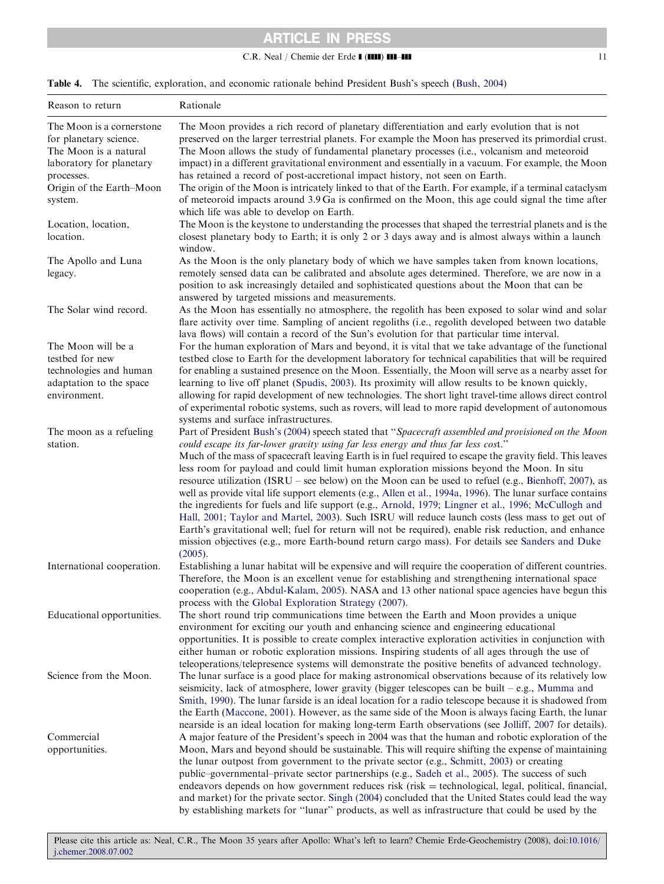# $C.R.$  Neal / Chemie der Erde  $\blacksquare$  ( $\blacksquare$ )  $\blacksquare$ ] 11

<span id="page-10-0"></span>

|  | <b>Table 4.</b> The scientific, exploration, and economic rationale behind President Bush's speech (Bush, 2004) |  |  |  |  |  |  |  |  |  |  |
|--|-----------------------------------------------------------------------------------------------------------------|--|--|--|--|--|--|--|--|--|--|
|--|-----------------------------------------------------------------------------------------------------------------|--|--|--|--|--|--|--|--|--|--|

| Reason to return                                                                                                                                               | Rationale                                                                                                                                                                                                                                                                                                                                                                                                                                                                                                                                                                                                                                                                                                                                                                                                                                                                                                                                                                                                                                                   |
|----------------------------------------------------------------------------------------------------------------------------------------------------------------|-------------------------------------------------------------------------------------------------------------------------------------------------------------------------------------------------------------------------------------------------------------------------------------------------------------------------------------------------------------------------------------------------------------------------------------------------------------------------------------------------------------------------------------------------------------------------------------------------------------------------------------------------------------------------------------------------------------------------------------------------------------------------------------------------------------------------------------------------------------------------------------------------------------------------------------------------------------------------------------------------------------------------------------------------------------|
| The Moon is a cornerstone.<br>for planetary science.<br>The Moon is a natural<br>laboratory for planetary<br>processes.<br>Origin of the Earth-Moon<br>system. | The Moon provides a rich record of planetary differentiation and early evolution that is not<br>preserved on the larger terrestrial planets. For example the Moon has preserved its primordial crust.<br>The Moon allows the study of fundamental planetary processes (i.e., volcanism and meteoroid<br>impact) in a different gravitational environment and essentially in a vacuum. For example, the Moon<br>has retained a record of post-accretional impact history, not seen on Earth.<br>The origin of the Moon is intricately linked to that of the Earth. For example, if a terminal cataclysm<br>of meteoroid impacts around 3.9 Ga is confirmed on the Moon, this age could signal the time after                                                                                                                                                                                                                                                                                                                                                 |
| Location, location,<br>location.                                                                                                                               | which life was able to develop on Earth.<br>The Moon is the keystone to understanding the processes that shaped the terrestrial planets and is the<br>closest planetary body to Earth; it is only 2 or 3 days away and is almost always within a launch                                                                                                                                                                                                                                                                                                                                                                                                                                                                                                                                                                                                                                                                                                                                                                                                     |
| The Apollo and Luna<br>legacy.                                                                                                                                 | window.<br>As the Moon is the only planetary body of which we have samples taken from known locations,<br>remotely sensed data can be calibrated and absolute ages determined. Therefore, we are now in a<br>position to ask increasingly detailed and sophisticated questions about the Moon that can be                                                                                                                                                                                                                                                                                                                                                                                                                                                                                                                                                                                                                                                                                                                                                   |
| The Solar wind record.                                                                                                                                         | answered by targeted missions and measurements.<br>As the Moon has essentially no atmosphere, the regolith has been exposed to solar wind and solar<br>flare activity over time. Sampling of ancient regoliths (i.e., regolith developed between two datable<br>lava flows) will contain a record of the Sun's evolution for that particular time interval.                                                                                                                                                                                                                                                                                                                                                                                                                                                                                                                                                                                                                                                                                                 |
| The Moon will be a<br>testbed for new<br>technologies and human<br>adaptation to the space<br>environment.                                                     | For the human exploration of Mars and beyond, it is vital that we take advantage of the functional<br>testbed close to Earth for the development laboratory for technical capabilities that will be required<br>for enabling a sustained presence on the Moon. Essentially, the Moon will serve as a nearby asset for<br>learning to live off planet (Spudis, 2003). Its proximity will allow results to be known quickly,<br>allowing for rapid development of new technologies. The short light travel-time allows direct control<br>of experimental robotic systems, such as rovers, will lead to more rapid development of autonomous<br>systems and surface infrastructures.                                                                                                                                                                                                                                                                                                                                                                           |
| The moon as a refueling<br>station.                                                                                                                            | Part of President Bush's (2004) speech stated that "Spacecraft assembled and provisioned on the Moon<br>could escape its far-lower gravity using far less energy and thus far less cost."<br>Much of the mass of spacecraft leaving Earth is in fuel required to escape the gravity field. This leaves<br>less room for payload and could limit human exploration missions beyond the Moon. In situ<br>resource utilization (ISRU – see below) on the Moon can be used to refuel (e.g., Bienhoff, 2007), as<br>well as provide vital life support elements (e.g., Allen et al., 1994a, 1996). The lunar surface contains<br>the ingredients for fuels and life support (e.g., Arnold, 1979; Lingner et al., 1996; McCullogh and<br>Hall, 2001; Taylor and Martel, 2003). Such ISRU will reduce launch costs (less mass to get out of<br>Earth's gravitational well; fuel for return will not be required), enable risk reduction, and enhance<br>mission objectives (e.g., more Earth-bound return cargo mass). For details see Sanders and Duke<br>(2005). |
| International cooperation.                                                                                                                                     | Establishing a lunar habitat will be expensive and will require the cooperation of different countries.<br>Therefore, the Moon is an excellent venue for establishing and strengthening international space<br>cooperation (e.g., Abdul-Kalam, 2005). NASA and 13 other national space agencies have begun this<br>process with the Global Exploration Strategy (2007).                                                                                                                                                                                                                                                                                                                                                                                                                                                                                                                                                                                                                                                                                     |
| Educational opportunities.                                                                                                                                     | The short round trip communications time between the Earth and Moon provides a unique<br>environment for exciting our youth and enhancing science and engineering educational<br>opportunities. It is possible to create complex interactive exploration activities in conjunction with<br>either human or robotic exploration missions. Inspiring students of all ages through the use of<br>teleoperations/telepresence systems will demonstrate the positive benefits of advanced technology.                                                                                                                                                                                                                                                                                                                                                                                                                                                                                                                                                            |
| Science from the Moon.                                                                                                                                         | The lunar surface is a good place for making astronomical observations because of its relatively low<br>seismicity, lack of atmosphere, lower gravity (bigger telescopes can be built $-e.g.,$ Mumma and<br>Smith, 1990). The lunar farside is an ideal location for a radio telescope because it is shadowed from<br>the Earth (Maccone, 2001). However, as the same side of the Moon is always facing Earth, the lunar<br>nearside is an ideal location for making long-term Earth observations (see Jolliff, 2007 for details).                                                                                                                                                                                                                                                                                                                                                                                                                                                                                                                          |
| Commercial<br>opportunities.                                                                                                                                   | A major feature of the President's speech in 2004 was that the human and robotic exploration of the<br>Moon, Mars and beyond should be sustainable. This will require shifting the expense of maintaining<br>the lunar outpost from government to the private sector (e.g., Schmitt, 2003) or creating<br>public-governmental-private sector partnerships (e.g., Sadeh et al., 2005). The success of such<br>endeavors depends on how government reduces risk (risk $=$ technological, legal, political, financial,<br>and market) for the private sector. Singh (2004) concluded that the United States could lead the way<br>by establishing markets for "lunar" products, as well as infrastructure that could be used by the                                                                                                                                                                                                                                                                                                                            |

Please cite this article as: Neal, C.R., The Moon 35 years after Apollo: What's left to learn? Chemie Erde-Geochemistry (2008), doi:[10.1016/](dx.doi.org/10.1016/j.chemer.2008.07.002) [j.chemer.2008.07.002](dx.doi.org/10.1016/j.chemer.2008.07.002)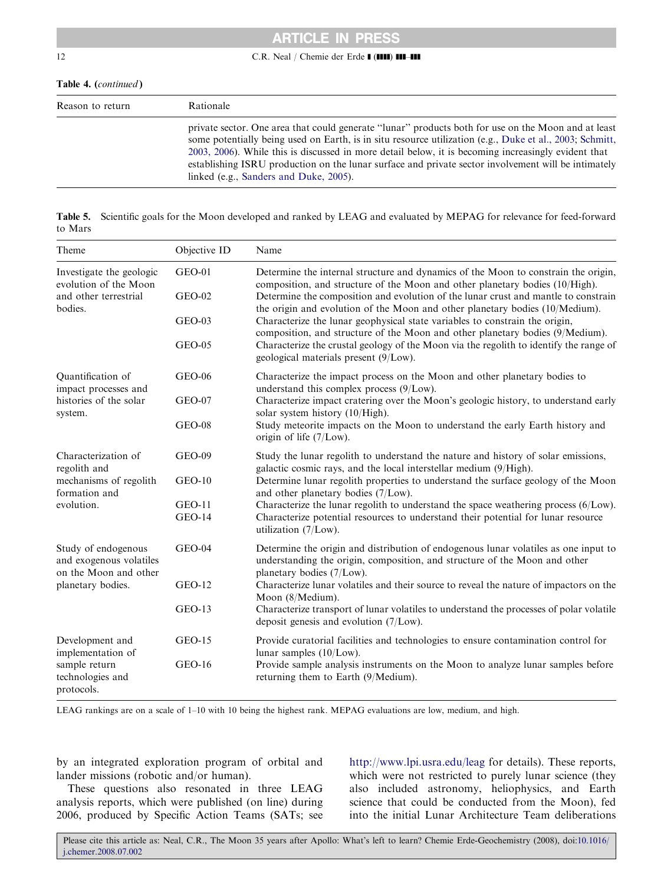#### <span id="page-11-0"></span>12 C.R. Neal / Chemie der Erde I (IIII) III-III

#### Table 4. (continued)

| Reason to return | Rationale                                                                                                                                                                                                                                                                                                                                                                                                                     |
|------------------|-------------------------------------------------------------------------------------------------------------------------------------------------------------------------------------------------------------------------------------------------------------------------------------------------------------------------------------------------------------------------------------------------------------------------------|
|                  | private sector. One area that could generate "lunar" products both for use on the Moon and at least<br>some potentially being used on Earth, is in situ resource utilization (e.g., Duke et al., 2003; Schmitt,<br>2003, 2006). While this is discussed in more detail below, it is becoming increasingly evident that<br>establishing ISRU production on the lunar surface and private sector involvement will be intimately |
|                  | linked (e.g., Sanders and Duke, 2005).                                                                                                                                                                                                                                                                                                                                                                                        |

Table 5. Scientific goals for the Moon developed and ranked by LEAG and evaluated by MEPAG for relevance for feed-forward to Mars

| Theme                                                                   | Objective ID              | Name                                                                                                                                                                                           |
|-------------------------------------------------------------------------|---------------------------|------------------------------------------------------------------------------------------------------------------------------------------------------------------------------------------------|
| Investigate the geologic<br>evolution of the Moon                       | GEO-01                    | Determine the internal structure and dynamics of the Moon to constrain the origin,<br>composition, and structure of the Moon and other planetary bodies (10/High).                             |
| and other terrestrial<br>bodies.                                        | $GEO-02$                  | Determine the composition and evolution of the lunar crust and mantle to constrain<br>the origin and evolution of the Moon and other planetary bodies (10/Medium).                             |
|                                                                         | $GEO-03$                  | Characterize the lunar geophysical state variables to constrain the origin,<br>composition, and structure of the Moon and other planetary bodies (9/Medium).                                   |
|                                                                         | $GEO-05$                  | Characterize the crustal geology of the Moon via the regolith to identify the range of<br>geological materials present (9/Low).                                                                |
| Quantification of<br>impact processes and                               | <b>GEO-06</b>             | Characterize the impact process on the Moon and other planetary bodies to<br>understand this complex process (9/Low).                                                                          |
| histories of the solar<br>system.                                       | <b>GEO-07</b>             | Characterize impact cratering over the Moon's geologic history, to understand early<br>solar system history (10/High).                                                                         |
|                                                                         | <b>GEO-08</b>             | Study meteorite impacts on the Moon to understand the early Earth history and<br>origin of life $(7/Low)$ .                                                                                    |
| Characterization of<br>regolith and                                     | <b>GEO-09</b>             | Study the lunar regolith to understand the nature and history of solar emissions,<br>galactic cosmic rays, and the local interstellar medium (9/High).                                         |
| mechanisms of regolith<br>formation and                                 | $GEO-10$                  | Determine lunar regolith properties to understand the surface geology of the Moon<br>and other planetary bodies (7/Low).                                                                       |
| evolution.                                                              | $GEO-11$<br><b>GEO-14</b> | Characterize the lunar regolith to understand the space weathering process $(6/Low)$ .                                                                                                         |
|                                                                         |                           | Characterize potential resources to understand their potential for lunar resource<br>utilization (7/Low).                                                                                      |
| Study of endogenous<br>and exogenous volatiles<br>on the Moon and other | $GEO-04$                  | Determine the origin and distribution of endogenous lunar volatiles as one input to<br>understanding the origin, composition, and structure of the Moon and other<br>planetary bodies (7/Low). |
| planetary bodies.                                                       | <b>GEO-12</b>             | Characterize lunar volatiles and their source to reveal the nature of impactors on the<br>Moon (8/Medium).                                                                                     |
|                                                                         | <b>GEO-13</b>             | Characterize transport of lunar volatiles to understand the processes of polar volatile<br>deposit genesis and evolution $(7/Low)$ .                                                           |
| Development and<br>implementation of                                    | <b>GEO-15</b>             | Provide curatorial facilities and technologies to ensure contamination control for<br>lunar samples $(10/Low)$ .                                                                               |
| sample return<br>technologies and<br>protocols.                         | <b>GEO-16</b>             | Provide sample analysis instruments on the Moon to analyze lunar samples before<br>returning them to Earth (9/Medium).                                                                         |

LEAG rankings are on a scale of 1–10 with 10 being the highest rank. MEPAG evaluations are low, medium, and high.

by an integrated exploration program of orbital and lander missions (robotic and/or human).

These questions also resonated in three LEAG analysis reports, which were published (on line) during 2006, produced by Specific Action Teams (SATs; see

<http://www.lpi.usra.edu/leag> for details). These reports, which were not restricted to purely lunar science (they also included astronomy, heliophysics, and Earth science that could be conducted from the Moon), fed into the initial Lunar Architecture Team deliberations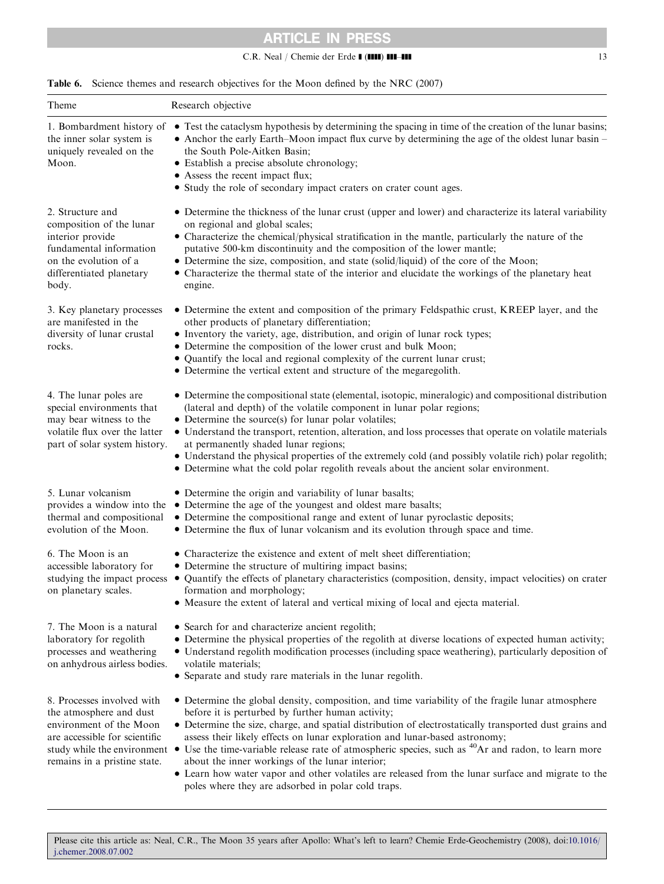# $C.R.$  Neal / Chemie der Erde  $I$  ( $III$ )  $III$ – $III$   $13$

| Theme                                                                                                                                                     | Research objective                                                                                                                                                                                                                                                                                                                                                                                                                                                                                                                                                                                                                                                                                            |
|-----------------------------------------------------------------------------------------------------------------------------------------------------------|---------------------------------------------------------------------------------------------------------------------------------------------------------------------------------------------------------------------------------------------------------------------------------------------------------------------------------------------------------------------------------------------------------------------------------------------------------------------------------------------------------------------------------------------------------------------------------------------------------------------------------------------------------------------------------------------------------------|
| the inner solar system is<br>uniquely revealed on the<br>Moon.                                                                                            | 1. Bombardment history of $\bullet$ Test the cataclysm hypothesis by determining the spacing in time of the creation of the lunar basins;<br>• Anchor the early Earth–Moon impact flux curve by determining the age of the oldest lunar basin –<br>the South Pole-Aitken Basin;<br>• Establish a precise absolute chronology;<br>• Assess the recent impact flux;<br>• Study the role of secondary impact craters on crater count ages.                                                                                                                                                                                                                                                                       |
| 2. Structure and<br>composition of the lunar<br>interior provide<br>fundamental information<br>on the evolution of a<br>differentiated planetary<br>body. | • Determine the thickness of the lunar crust (upper and lower) and characterize its lateral variability<br>on regional and global scales;<br>• Characterize the chemical/physical stratification in the mantle, particularly the nature of the<br>putative 500-km discontinuity and the composition of the lower mantle;<br>• Determine the size, composition, and state (solid/liquid) of the core of the Moon;<br>• Characterize the thermal state of the interior and elucidate the workings of the planetary heat<br>engine.                                                                                                                                                                              |
| 3. Key planetary processes<br>are manifested in the<br>diversity of lunar crustal<br>rocks.                                                               | • Determine the extent and composition of the primary Feldspathic crust, KREEP layer, and the<br>other products of planetary differentiation;<br>• Inventory the variety, age, distribution, and origin of lunar rock types;<br>• Determine the composition of the lower crust and bulk Moon;<br>• Quantify the local and regional complexity of the current lunar crust;<br>• Determine the vertical extent and structure of the megaregolith.                                                                                                                                                                                                                                                               |
| 4. The lunar poles are<br>special environments that<br>may bear witness to the<br>volatile flux over the latter<br>part of solar system history.          | • Determine the compositional state (elemental, isotopic, mineralogic) and compositional distribution<br>(lateral and depth) of the volatile component in lunar polar regions;<br>• Determine the source(s) for lunar polar volatiles;<br>• Understand the transport, retention, alteration, and loss processes that operate on volatile materials<br>at permanently shaded lunar regions;<br>• Understand the physical properties of the extremely cold (and possibly volatile rich) polar regolith;<br>• Determine what the cold polar regolith reveals about the ancient solar environment.                                                                                                                |
| 5. Lunar volcanism<br>thermal and compositional<br>evolution of the Moon.                                                                                 | • Determine the origin and variability of lunar basalts;<br>provides a window into the $\bullet$ Determine the age of the youngest and oldest mare basalts;<br>• Determine the compositional range and extent of lunar pyroclastic deposits;<br>• Determine the flux of lunar volcanism and its evolution through space and time.                                                                                                                                                                                                                                                                                                                                                                             |
| 6. The Moon is an<br>accessible laboratory for<br>on planetary scales.                                                                                    | • Characterize the existence and extent of melt sheet differentiation;<br>• Determine the structure of multiring impact basins;<br>studying the impact process • Quantify the effects of planetary characteristics (composition, density, impact velocities) on crater<br>formation and morphology;<br>• Measure the extent of lateral and vertical mixing of local and ejecta material.                                                                                                                                                                                                                                                                                                                      |
| 7. The Moon is a natural<br>laboratory for regolith<br>processes and weathering<br>on anhydrous airless bodies.                                           | • Search for and characterize ancient regolith;<br>• Determine the physical properties of the regolith at diverse locations of expected human activity;<br>• Understand regolith modification processes (including space weathering), particularly deposition of<br>volatile materials;<br>• Separate and study rare materials in the lunar regolith.                                                                                                                                                                                                                                                                                                                                                         |
| 8. Processes involved with<br>the atmosphere and dust<br>environment of the Moon<br>are accessible for scientific<br>remains in a pristine state.         | • Determine the global density, composition, and time variability of the fragile lunar atmosphere<br>before it is perturbed by further human activity;<br>• Determine the size, charge, and spatial distribution of electrostatically transported dust grains and<br>assess their likely effects on lunar exploration and lunar-based astronomy;<br>study while the environment • Use the time-variable release rate of atmospheric species, such as <sup>40</sup> Ar and radon, to learn more<br>about the inner workings of the lunar interior;<br>• Learn how water vapor and other volatiles are released from the lunar surface and migrate to the<br>poles where they are adsorbed in polar cold traps. |

<span id="page-12-0"></span>Table 6. Science themes and research objectives for the Moon defined by the NRC (2007)

Please cite this article as: Neal, C.R., The Moon 35 years after Apollo: What's left to learn? Chemie Erde-Geochemistry (2008), doi:[10.1016/](dx.doi.org/10.1016/j.chemer.2008.07.002) [j.chemer.2008.07.002](dx.doi.org/10.1016/j.chemer.2008.07.002)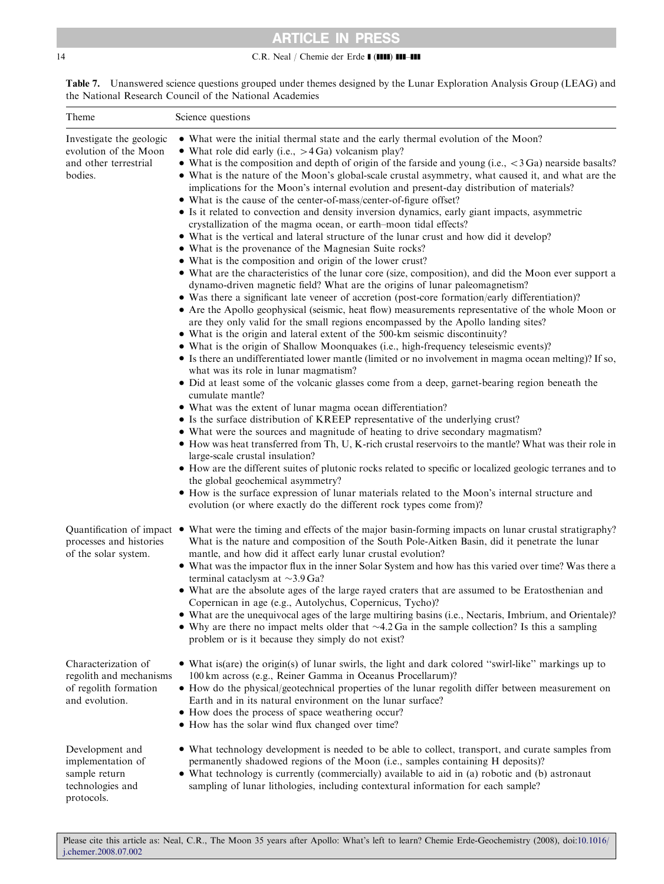#### <span id="page-13-0"></span>14 C.R. Neal / Chemie der Erde **I (IIII) III-III**

| Unanswered science questions grouped under themes designed by the Lunar Exploration Analysis Group (LEAG) and<br>Table 7.<br>the National Research Council of the National Academies |                                                                                                                     |  |  |  |
|--------------------------------------------------------------------------------------------------------------------------------------------------------------------------------------|---------------------------------------------------------------------------------------------------------------------|--|--|--|
| Theme                                                                                                                                                                                | Science questions                                                                                                   |  |  |  |
|                                                                                                                                                                                      | Investigate the geologic $\bullet$ What were the initial thermal state and the early thermal evolution of the Moon? |  |  |  |

stigate the geologic evolution of the Moon and other terrestrial bodies. What were the initial thermal state and the early thermal evolution of the Moon? • What role did early (i.e.,  $>4$  Ga) volcanism play? • What is the composition and depth of origin of the farside and young (i.e.,  $\langle 3\,\text{Ga} \rangle$  nearside basalts? What is the nature of the Moon's global-scale crustal asymmetry, what caused it, and what are the implications for the Moon's internal evolution and present-day distribution of materials? What is the cause of the center-of-mass/center-of-figure offset? Is it related to convection and density inversion dynamics, early giant impacts, asymmetric crystallization of the magma ocean, or earth–moon tidal effects? What is the vertical and lateral structure of the lunar crust and how did it develop? What is the provenance of the Magnesian Suite rocks? What is the composition and origin of the lower crust? What are the characteristics of the lunar core (size, composition), and did the Moon ever support a dynamo-driven magnetic field? What are the origins of lunar paleomagnetism? Was there a significant late veneer of accretion (post-core formation/early differentiation)? Are the Apollo geophysical (seismic, heat flow) measurements representative of the whole Moon or are they only valid for the small regions encompassed by the Apollo landing sites? What is the origin and lateral extent of the 500-km seismic discontinuity? What is the origin of Shallow Moonquakes (i.e., high-frequency teleseismic events)? Is there an undifferentiated lower mantle (limited or no involvement in magma ocean melting)? If so, what was its role in lunar magmatism? Did at least some of the volcanic glasses come from a deep, garnet-bearing region beneath the cumulate mantle? What was the extent of lunar magma ocean differentiation? Is the surface distribution of KREEP representative of the underlying crust? What were the sources and magnitude of heating to drive secondary magmatism? How was heat transferred from Th, U, K-rich crustal reservoirs to the mantle? What was their role in large-scale crustal insulation? How are the different suites of plutonic rocks related to specific or localized geologic terranes and to the global geochemical asymmetry? How is the surface expression of lunar materials related to the Moon's internal structure and evolution (or where exactly do the different rock types come from)? Quantification of impact • What were the timing and effects of the major basin-forming impacts on lunar crustal stratigraphy? processes and histories of the solar system. What is the nature and composition of the South Pole-Aitken Basin, did it penetrate the lunar mantle, and how did it affect early lunar crustal evolution? What was the impactor flux in the inner Solar System and how has this varied over time? Was there a terminal cataclysm at  $\sim$ 3.9 Ga? What are the absolute ages of the large rayed craters that are assumed to be Eratosthenian and Copernican in age (e.g., Autolychus, Copernicus, Tycho)? What are the unequivocal ages of the large multiring basins (i.e., Nectaris, Imbrium, and Orientale)? • Why are there no impact melts older that  $\sim$  4.2 Ga in the sample collection? Is this a sampling problem or is it because they simply do not exist? Characterization of regolith and mechanisms of regolith formation and evolution. What is(are) the origin(s) of lunar swirls, the light and dark colored ''swirl-like'' markings up to 100 km across (e.g., Reiner Gamma in Oceanus Procellarum)? How do the physical/geotechnical properties of the lunar regolith differ between measurement on Earth and in its natural environment on the lunar surface? How does the process of space weathering occur? • How has the solar wind flux changed over time? Development and What technology development is needed to be able to collect, transport, and curate samples from permanently shadowed regions of the Moon (i.e., samples containing H deposits)?

> What technology is currently (commercially) available to aid in (a) robotic and (b) astronaut sampling of lunar lithologies, including contextural information for each sample?

implementation of sample return technologies and protocols.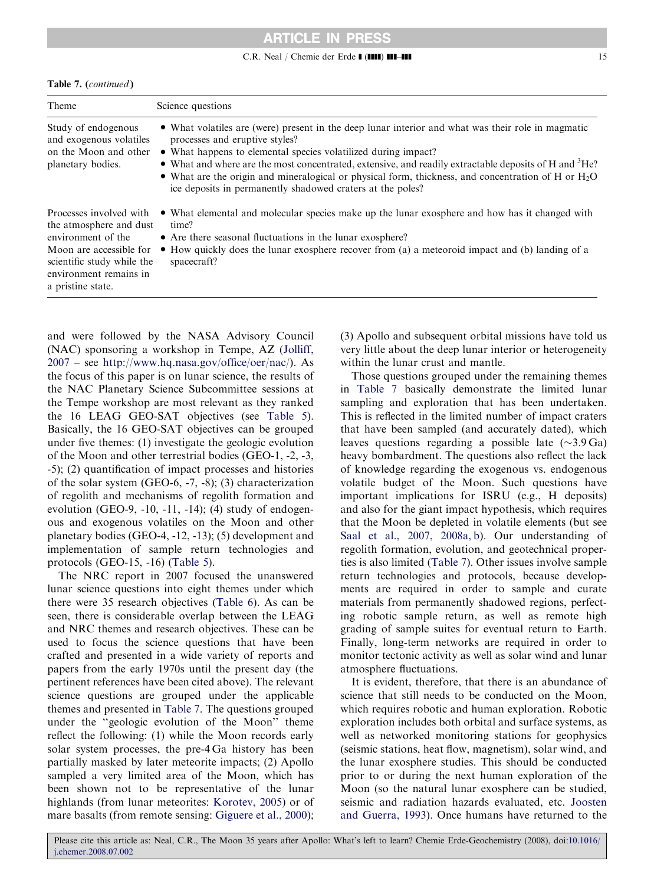C.R. Neal / Chemie der Erde **I (IIII) III-III** 15

#### Table 7. (continued )

environment remains in

a pristine state.

| Theme                                                                                                                             | Science questions                                                                                                                                                                                                                                                                                                                                                                                                                                                                                  |
|-----------------------------------------------------------------------------------------------------------------------------------|----------------------------------------------------------------------------------------------------------------------------------------------------------------------------------------------------------------------------------------------------------------------------------------------------------------------------------------------------------------------------------------------------------------------------------------------------------------------------------------------------|
| Study of endogenous<br>and exogenous volatiles<br>on the Moon and other<br>planetary bodies.                                      | • What volatiles are (were) present in the deep lunar interior and what was their role in magmatic<br>processes and eruptive styles?<br>• What happens to elemental species volatilized during impact?<br>• What and where are the most concentrated, extensive, and readily extractable deposits of H and <sup>3</sup> He?<br>• What are the origin and mineralogical or physical form, thickness, and concentration of H or $H_2O$<br>ice deposits in permanently shadowed craters at the poles? |
| Processes involved with<br>the atmosphere and dust<br>environment of the<br>Moon are accessible for<br>scientific study while the | • What elemental and molecular species make up the lunar exosphere and how has it changed with<br>time?<br>• Are there seasonal fluctuations in the lunar exosphere?<br>• How quickly does the lunar exosphere recover from (a) a meteoroid impact and (b) landing of a<br>spacecraft?                                                                                                                                                                                                             |

and were followed by the NASA Advisory Council (NAC) sponsoring a workshop in Tempe, AZ [\(Jolliff,](#page-34-0) [2007](#page-34-0) – see [http://www.hq.nasa.gov/office/oer/nac/\)](http://www.hq.nasa.gov/office/oer/nac/). As the focus of this paper is on lunar science, the results of the NAC Planetary Science Subcommittee sessions at the Tempe workshop are most relevant as they ranked the 16 LEAG GEO-SAT objectives (see [Table 5\)](#page-11-0). Basically, the 16 GEO-SAT objectives can be grouped under five themes: (1) investigate the geologic evolution of the Moon and other terrestrial bodies (GEO-1, -2, -3, -5); (2) quantification of impact processes and histories of the solar system (GEO-6, -7, -8); (3) characterization of regolith and mechanisms of regolith formation and evolution (GEO-9, -10, -11, -14); (4) study of endogenous and exogenous volatiles on the Moon and other planetary bodies (GEO-4, -12, -13); (5) development and implementation of sample return technologies and protocols (GEO-15, -16) [\(Table 5](#page-11-0)).

The NRC report in 2007 focused the unanswered lunar science questions into eight themes under which there were 35 research objectives ([Table 6](#page-12-0)). As can be seen, there is considerable overlap between the LEAG and NRC themes and research objectives. These can be used to focus the science questions that have been crafted and presented in a wide variety of reports and papers from the early 1970s until the present day (the pertinent references have been cited above). The relevant science questions are grouped under the applicable themes and presented in [Table 7](#page-13-0). The questions grouped under the ''geologic evolution of the Moon'' theme reflect the following: (1) while the Moon records early solar system processes, the pre-4 Ga history has been partially masked by later meteorite impacts; (2) Apollo sampled a very limited area of the Moon, which has been shown not to be representative of the lunar highlands (from lunar meteorites: [Korotev, 2005](#page-35-0)) or of mare basalts (from remote sensing: [Giguere et al., 2000\)](#page-32-0);

(3) Apollo and subsequent orbital missions have told us very little about the deep lunar interior or heterogeneity within the lunar crust and mantle.

Those questions grouped under the remaining themes in [Table 7](#page-13-0) basically demonstrate the limited lunar sampling and exploration that has been undertaken. This is reflected in the limited number of impact craters that have been sampled (and accurately dated), which leaves questions regarding a possible late  $(\sim 3.9 \text{ Ga})$ heavy bombardment. The questions also reflect the lack of knowledge regarding the exogenous vs. endogenous volatile budget of the Moon. Such questions have important implications for ISRU (e.g., H deposits) and also for the giant impact hypothesis, which requires that the Moon be depleted in volatile elements (but see [Saal et al., 2007, 2008a, b](#page-38-0)). Our understanding of regolith formation, evolution, and geotechnical properties is also limited ([Table 7\)](#page-13-0). Other issues involve sample return technologies and protocols, because developments are required in order to sample and curate materials from permanently shadowed regions, perfecting robotic sample return, as well as remote high grading of sample suites for eventual return to Earth. Finally, long-term networks are required in order to monitor tectonic activity as well as solar wind and lunar atmosphere fluctuations.

It is evident, therefore, that there is an abundance of science that still needs to be conducted on the Moon, which requires robotic and human exploration. Robotic exploration includes both orbital and surface systems, as well as networked monitoring stations for geophysics (seismic stations, heat flow, magnetism), solar wind, and the lunar exosphere studies. This should be conducted prior to or during the next human exploration of the Moon (so the natural lunar exosphere can be studied, seismic and radiation hazards evaluated, etc. [Joosten](#page-34-0) [and Guerra, 1993](#page-34-0)). Once humans have returned to the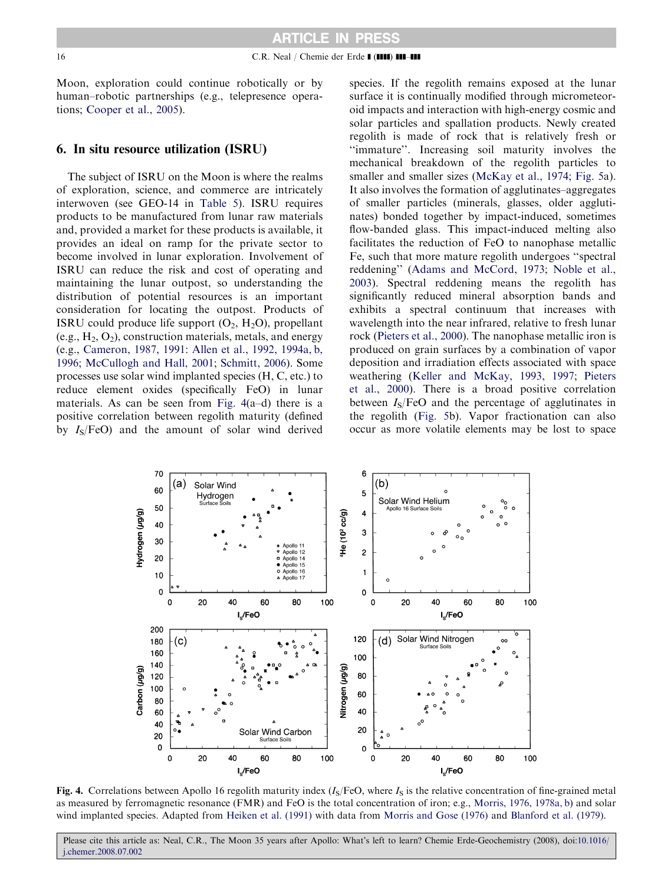<span id="page-15-0"></span>Moon, exploration could continue robotically or by human–robotic partnerships (e.g., telepresence operations; [Cooper et al., 2005](#page-30-0)).

# 6. In situ resource utilization (ISRU)

The subject of ISRU on the Moon is where the realms of exploration, science, and commerce are intricately interwoven (see GEO-14 in [Table 5\)](#page-11-0). ISRU requires products to be manufactured from lunar raw materials and, provided a market for these products is available, it provides an ideal on ramp for the private sector to become involved in lunar exploration. Involvement of ISRU can reduce the risk and cost of operating and maintaining the lunar outpost, so understanding the distribution of potential resources is an important consideration for locating the outpost. Products of ISRU could produce life support  $(O_2, H_2O)$ , propellant (e.g.,  $H_2$ ,  $O_2$ ), construction materials, metals, and energy (e.g., [Cameron, 1987, 1991](#page-29-0): [Allen et al., 1992, 1994a, b,](#page-28-0) [1996;](#page-28-0) [McCullogh and Hall, 2001](#page-36-0); [Schmitt, 2006\)](#page-38-0). Some processes use solar wind implanted species (H, C, etc.) to reduce element oxides (specifically FeO) in lunar materials. As can be seen from Fig. 4(a–d) there is a positive correlation between regolith maturity (defined by  $I_s/FeO$ ) and the amount of solar wind derived

species. If the regolith remains exposed at the lunar surface it is continually modified through micrometeoroid impacts and interaction with high-energy cosmic and solar particles and spallation products. Newly created regolith is made of rock that is relatively fresh or ''immature''. Increasing soil maturity involves the mechanical breakdown of the regolith particles to smaller and smaller sizes ([McKay et al., 1974](#page-36-0); [Fig. 5a](#page-16-0)). It also involves the formation of agglutinates–aggregates of smaller particles (minerals, glasses, older agglutinates) bonded together by impact-induced, sometimes flow-banded glass. This impact-induced melting also facilitates the reduction of FeO to nanophase metallic Fe, such that more mature regolith undergoes ''spectral reddening'' [\(Adams and McCord, 1973;](#page-28-0) [Noble et al.,](#page-36-0) [2003\)](#page-36-0). Spectral reddening means the regolith has significantly reduced mineral absorption bands and exhibits a spectral continuum that increases with wavelength into the near infrared, relative to fresh lunar rock ([Pieters et al., 2000\)](#page-37-0). The nanophase metallic iron is produced on grain surfaces by a combination of vapor deposition and irradiation effects associated with space weathering [\(Keller and McKay, 1993, 1997](#page-34-0); [Pieters](#page-37-0) [et al., 2000](#page-37-0)). There is a broad positive correlation between  $I_s$  FeO and the percentage of agglutinates in the regolith ([Fig. 5b](#page-16-0)). Vapor fractionation can also occur as more volatile elements may be lost to space



Fig. 4. Correlations between Apollo 16 regolith maturity index  $(I<sub>S</sub>/FeO,$  where  $I<sub>S</sub>$  is the relative concentration of fine-grained metal as measured by ferromagnetic resonance (FMR) and FeO is the total concentration of iron; e.g., [Morris, 1976, 1978a, b](#page-36-0)) and solar wind implanted species. Adapted from [Heiken et al. \(1991\)](#page-33-0) with data from [Morris and Gose \(1976\)](#page-36-0) and [Blanford et al. \(1979\).](#page-29-0)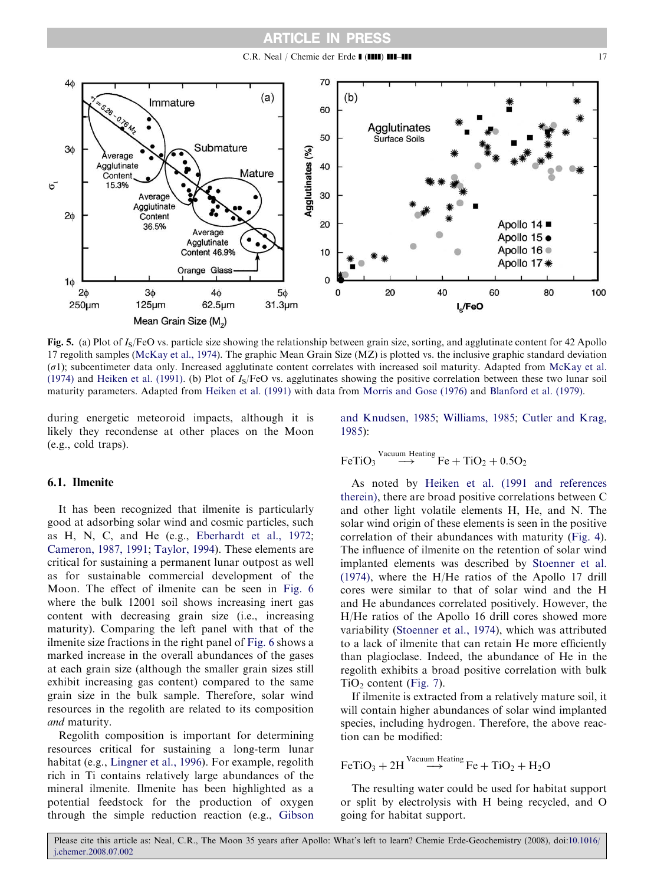<span id="page-16-0"></span>ARTICLE IN PRESS C.R. Neal / Chemie der Erde  $\blacksquare$  ( $\blacksquare$ )  $\blacksquare$ ] 17 70  $4<sub>0</sub>$  $(b)$  $(a)$ Immature 60 Agglutinates 50 Surface Soils Submature  $3<sub>\phi</sub>$ Agglutinates (%) Àverage Agglutinate 40 Mature Content 6 15.3% 30 Average Agglutinate  $2\phi$ Content 20 Apollo 14 ■ 36.5% Average Apollo 15 · Agglutinate Apollo 16 · Content 46.9% 10 Apollo 17 \* Orange Glass  $\mathbf 0$  $1\phi$  $2<sub>0</sub>$  $3<sub>0</sub>$  $4<sub>φ</sub>$ 5ф  $\mathbf 0$ 20 40 60 80 100  $250 \mu m$  $125 \mu m$  $62.5 \mu m$  $31.3 \mu m$  $I_s$ /FeO Mean Grain Size (M<sub>-</sub>)

Fig. 5. (a) Plot of  $I_{S}/FeO$  vs. particle size showing the relationship between grain size, sorting, and agglutinate content for 42 Apollo 17 regolith samples [\(McKay et al., 1974](#page-36-0)). The graphic Mean Grain Size (MZ) is plotted vs. the inclusive graphic standard deviation  $(\sigma_1)$ ; subcentimeter data only. Increased agglutinate content correlates with increased soil maturity. Adapted from [McKay et al.](#page-36-0) [\(1974\)](#page-36-0) and [Heiken et al. \(1991\)](#page-33-0). (b) Plot of  $I<sub>S</sub>/FeO$  vs. agglutinates showing the positive correlation between these two lunar soil maturity parameters. Adapted from [Heiken et al. \(1991\)](#page-33-0) with data from [Morris and Gose \(1976\)](#page-36-0) and [Blanford et al. \(1979\).](#page-29-0)

during energetic meteoroid impacts, although it is likely they recondense at other places on the Moon (e.g., cold traps).

# 6.1. Ilmenite

It has been recognized that ilmenite is particularly good at adsorbing solar wind and cosmic particles, such as H, N, C, and He (e.g., [Eberhardt et al., 1972;](#page-30-0) [Cameron, 1987, 1991](#page-29-0); [Taylor, 1994\)](#page-39-0). These elements are critical for sustaining a permanent lunar outpost as well as for sustainable commercial development of the Moon. The effect of ilmenite can be seen in [Fig. 6](#page-17-0) where the bulk 12001 soil shows increasing inert gas content with decreasing grain size (i.e., increasing maturity). Comparing the left panel with that of the ilmenite size fractions in the right panel of [Fig. 6](#page-17-0) shows a marked increase in the overall abundances of the gases at each grain size (although the smaller grain sizes still exhibit increasing gas content) compared to the same grain size in the bulk sample. Therefore, solar wind resources in the regolith are related to its composition and maturity.

Regolith composition is important for determining resources critical for sustaining a long-term lunar habitat (e.g., [Lingner et al., 1996\)](#page-35-0). For example, regolith rich in Ti contains relatively large abundances of the mineral ilmenite. Ilmenite has been highlighted as a potential feedstock for the production of oxygen through the simple reduction reaction (e.g., [Gibson](#page-32-0) [and Knudsen, 1985;](#page-32-0) [Williams, 1985](#page-40-0); [Cutler and Krag,](#page-30-0) [1985](#page-30-0)):

$$
FeTiO3Vacuum Heating Fe + TiO2 + 0.5O2
$$

As noted by [Heiken et al. \(1991 and references](#page-33-0) [therein\),](#page-33-0) there are broad positive correlations between C and other light volatile elements H, He, and N. The solar wind origin of these elements is seen in the positive correlation of their abundances with maturity ([Fig. 4\)](#page-15-0). The influence of ilmenite on the retention of solar wind implanted elements was described by [Stoenner et al.](#page-39-0) [\(1974\)](#page-39-0), where the H/He ratios of the Apollo 17 drill cores were similar to that of solar wind and the H and He abundances correlated positively. However, the H/He ratios of the Apollo 16 drill cores showed more variability ([Stoenner et al., 1974\)](#page-39-0), which was attributed to a lack of ilmenite that can retain He more efficiently than plagioclase. Indeed, the abundance of He in the regolith exhibits a broad positive correlation with bulk  $TiO<sub>2</sub>$  content [\(Fig. 7\)](#page-18-0).

If ilmenite is extracted from a relatively mature soil, it will contain higher abundances of solar wind implanted species, including hydrogen. Therefore, the above reaction can be modified:

$$
FeTiO3 + 2HVacuum Heating Fe + TiO2 + H2O
$$

The resulting water could be used for habitat support or split by electrolysis with H being recycled, and O going for habitat support.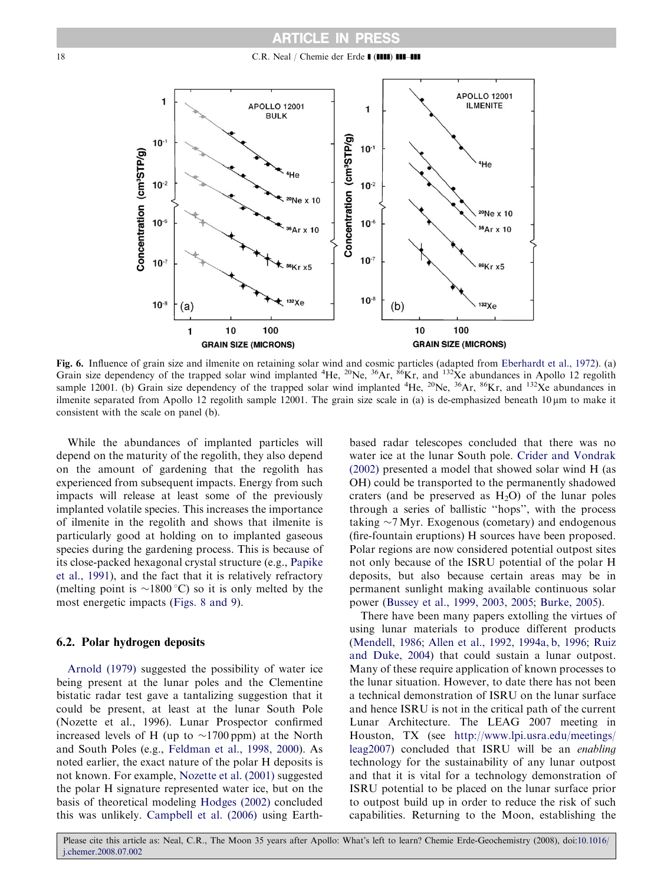<span id="page-17-0"></span>18 C.R. Neal / Chemie der Erde I (IIII) III-III



Fig. 6. Influence of grain size and ilmenite on retaining solar wind and cosmic particles (adapted from [Eberhardt et al., 1972](#page-30-0)). (a) Grain size dependency of the trapped solar wind implanted  ${}^{4}$ He,  ${}^{20}$ Ne,  ${}^{36}$ Ar,  ${}^{86}$ Kr, and  ${}^{132}$ Xe abundances in Apollo 12 regolith sample 12001. (b) Grain size dependency of the trapped solar wind implanted  ${}^{4}$ He,  ${}^{20}$ Ne,  ${}^{36}$ Ar,  ${}^{86}$ Kr, and  ${}^{132}$ Xe abundances in ilmenite separated from Apollo 12 regolith sample 12001. The grain size scale in (a) is de-emphasized beneath  $10 \mu m$  to make it consistent with the scale on panel (b).

While the abundances of implanted particles will depend on the maturity of the regolith, they also depend on the amount of gardening that the regolith has experienced from subsequent impacts. Energy from such impacts will release at least some of the previously implanted volatile species. This increases the importance of ilmenite in the regolith and shows that ilmenite is particularly good at holding on to implanted gaseous species during the gardening process. This is because of its close-packed hexagonal crystal structure (e.g., [Papike](#page-37-0) [et al., 1991\)](#page-37-0), and the fact that it is relatively refractory (melting point is  $\sim$ 1800 °C) so it is only melted by the most energetic impacts ([Figs. 8 and 9](#page-18-0)).

#### 6.2. Polar hydrogen deposits

[Arnold \(1979\)](#page-28-0) suggested the possibility of water ice being present at the lunar poles and the Clementine bistatic radar test gave a tantalizing suggestion that it could be present, at least at the lunar South Pole (Nozette et al., 1996). Lunar Prospector confirmed increased levels of H (up to  $\sim$ 1700 ppm) at the North and South Poles (e.g., [Feldman et al., 1998, 2000](#page-31-0)). As noted earlier, the exact nature of the polar H deposits is not known. For example, [Nozette et al. \(2001\)](#page-37-0) suggested the polar H signature represented water ice, but on the basis of theoretical modeling [Hodges \(2002\)](#page-33-0) concluded this was unlikely. [Campbell et al. \(2006\)](#page-29-0) using Earth-

based radar telescopes concluded that there was no water ice at the lunar South pole. [Crider and Vondrak](#page-30-0) [\(2002\)](#page-30-0) presented a model that showed solar wind H (as OH) could be transported to the permanently shadowed craters (and be preserved as  $H_2O$ ) of the lunar poles through a series of ballistic ''hops'', with the process taking  $\sim$ 7 Myr. Exogenous (cometary) and endogenous (fire-fountain eruptions) H sources have been proposed. Polar regions are now considered potential outpost sites not only because of the ISRU potential of the polar H deposits, but also because certain areas may be in permanent sunlight making available continuous solar power ([Bussey et al., 1999, 2003, 2005;](#page-29-0) [Burke, 2005\)](#page-29-0).

There have been many papers extolling the virtues of using lunar materials to produce different products ([Mendell, 1986](#page-36-0); [Allen et al., 1992, 1994a, b, 1996](#page-28-0); [Ruiz](#page-38-0) [and Duke, 2004\)](#page-38-0) that could sustain a lunar outpost. Many of these require application of known processes to the lunar situation. However, to date there has not been a technical demonstration of ISRU on the lunar surface and hence ISRU is not in the critical path of the current Lunar Architecture. The LEAG 2007 meeting in Houston, TX (see [http://www.lpi.usra.edu/meetings/](http://www.lpi.usra.edu/meetings/leag2007) [leag2007\)](http://www.lpi.usra.edu/meetings/leag2007) concluded that ISRU will be an enabling technology for the sustainability of any lunar outpost and that it is vital for a technology demonstration of ISRU potential to be placed on the lunar surface prior to outpost build up in order to reduce the risk of such capabilities. Returning to the Moon, establishing the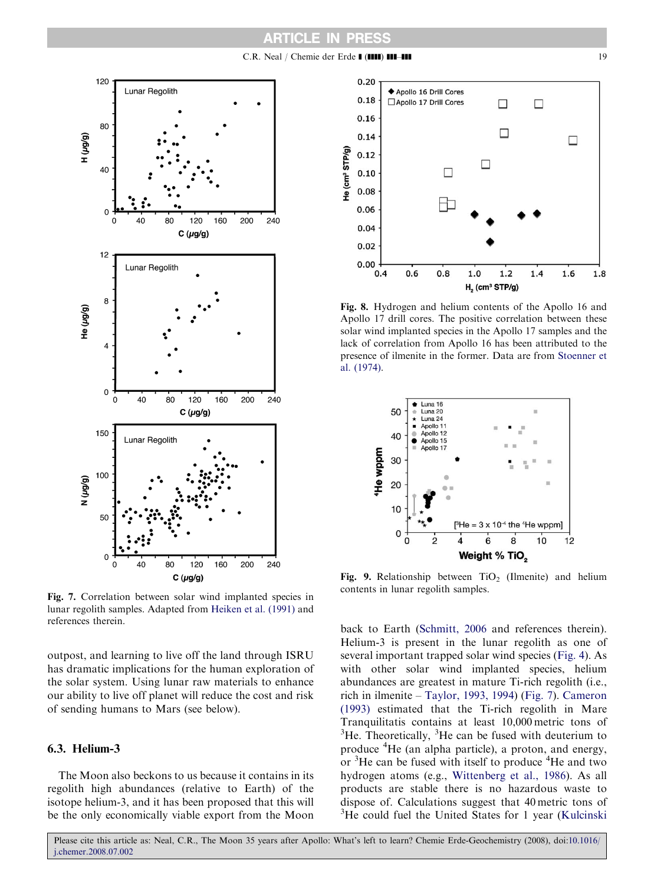C.R. Neal / Chemie der Erde **I (IIII) III-III** 19

<span id="page-18-0"></span>

Fig. 7. Correlation between solar wind implanted species in lunar regolith samples. Adapted from [Heiken et al. \(1991\)](#page-33-0) and references therein.

outpost, and learning to live off the land through ISRU has dramatic implications for the human exploration of the solar system. Using lunar raw materials to enhance our ability to live off planet will reduce the cost and risk of sending humans to Mars (see below).

# 6.3. Helium-3

The Moon also beckons to us because it contains in its regolith high abundances (relative to Earth) of the isotope helium-3, and it has been proposed that this will be the only economically viable export from the Moon



Fig. 8. Hydrogen and helium contents of the Apollo 16 and Apollo 17 drill cores. The positive correlation between these solar wind implanted species in the Apollo 17 samples and the lack of correlation from Apollo 16 has been attributed to the presence of ilmenite in the former. Data are from [Stoenner et](#page-39-0) [al. \(1974\).](#page-39-0)



Fig. 9. Relationship between  $TiO<sub>2</sub>$  (Ilmenite) and helium contents in lunar regolith samples.

back to Earth [\(Schmitt, 2006](#page-38-0) and references therein). Helium-3 is present in the lunar regolith as one of several important trapped solar wind species ([Fig. 4\)](#page-15-0). As with other solar wind implanted species, helium abundances are greatest in mature Ti-rich regolith (i.e., rich in ilmenite – [Taylor, 1993, 1994](#page-39-0)) (Fig. 7). [Cameron](#page-29-0) [\(1993\)](#page-29-0) estimated that the Ti-rich regolith in Mare Tranquilitatis contains at least 10,000 metric tons of  ${}^{3}$ He. Theoretically,  ${}^{3}$ He can be fused with deuterium to produce <sup>4</sup>He (an alpha particle), a proton, and energy, or <sup>3</sup>He can be fused with itself to produce <sup>4</sup>He and two hydrogen atoms (e.g., [Wittenberg et al., 1986\)](#page-40-0). As all products are stable there is no hazardous waste to dispose of. Calculations suggest that 40 metric tons of <sup>3</sup>He could fuel the United States for 1 year ([Kulcinski](#page-35-0)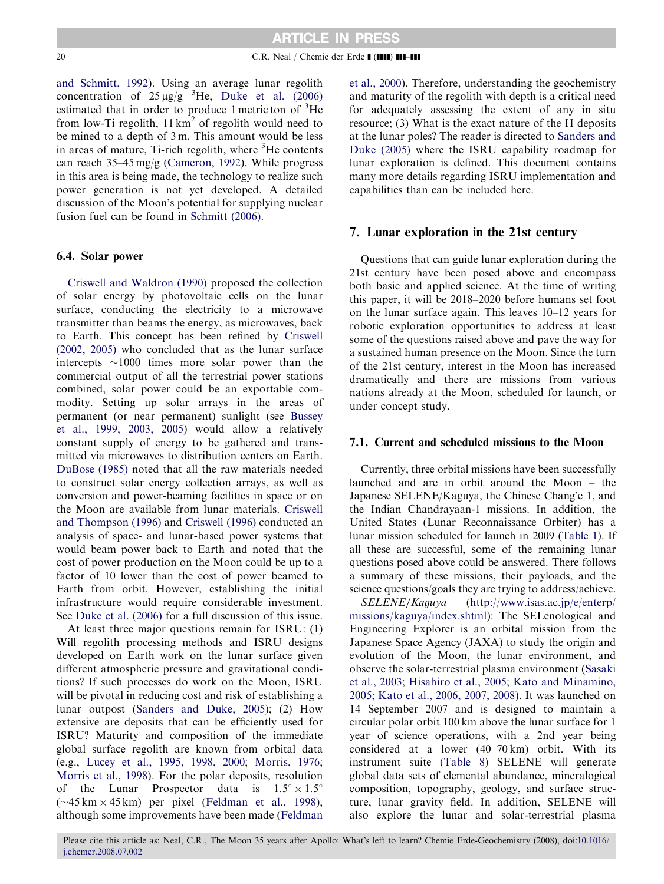[and Schmitt, 1992](#page-35-0)). Using an average lunar regolith concentration of  $25 \mu g/g$ <sup>3</sup>He, [Duke et al. \(2006\)](#page-30-0) estimated that in order to produce 1 metric ton of <sup>3</sup>He from low-Ti regolith,  $11 \text{ km}^2$  of regolith would need to be mined to a depth of 3 m. This amount would be less in areas of mature, Ti-rich regolith, where <sup>3</sup>He contents can reach 35–45 mg/g [\(Cameron, 1992\)](#page-29-0). While progress in this area is being made, the technology to realize such power generation is not yet developed. A detailed discussion of the Moon's potential for supplying nuclear fusion fuel can be found in [Schmitt \(2006\)](#page-38-0).

## 6.4. Solar power

[Criswell and Waldron \(1990\)](#page-30-0) proposed the collection of solar energy by photovoltaic cells on the lunar surface, conducting the electricity to a microwave transmitter than beams the energy, as microwaves, back to Earth. This concept has been refined by [Criswell](#page-30-0) [\(2002, 2005\)](#page-30-0) who concluded that as the lunar surface intercepts  $\sim$ 1000 times more solar power than the commercial output of all the terrestrial power stations combined, solar power could be an exportable commodity. Setting up solar arrays in the areas of permanent (or near permanent) sunlight (see [Bussey](#page-29-0) [et al., 1999, 2003, 2005\)](#page-29-0) would allow a relatively constant supply of energy to be gathered and transmitted via microwaves to distribution centers on Earth. [DuBose \(1985\)](#page-30-0) noted that all the raw materials needed to construct solar energy collection arrays, as well as conversion and power-beaming facilities in space or on the Moon are available from lunar materials. [Criswell](#page-30-0) [and Thompson \(1996\)](#page-30-0) and [Criswell \(1996\)](#page-30-0) conducted an analysis of space- and lunar-based power systems that would beam power back to Earth and noted that the cost of power production on the Moon could be up to a factor of 10 lower than the cost of power beamed to Earth from orbit. However, establishing the initial infrastructure would require considerable investment. See [Duke et al. \(2006\)](#page-30-0) for a full discussion of this issue.

At least three major questions remain for ISRU: (1) Will regolith processing methods and ISRU designs developed on Earth work on the lunar surface given different atmospheric pressure and gravitational conditions? If such processes do work on the Moon, ISRU will be pivotal in reducing cost and risk of establishing a lunar outpost [\(Sanders and Duke, 2005\)](#page-38-0); (2) How extensive are deposits that can be efficiently used for ISRU? Maturity and composition of the immediate global surface regolith are known from orbital data (e.g., [Lucey et al., 1995, 1998, 2000;](#page-35-0) [Morris, 1976](#page-36-0); [Morris et al., 1998\)](#page-36-0). For the polar deposits, resolution of the Lunar Prospector data is  $1.5^{\circ} \times 1.5^{\circ}$  $(\sim 45 \text{ km} \times 45 \text{ km})$  per pixel ([Feldman et al., 1998\)](#page-31-0), although some improvements have been made ([Feldman](#page-31-0) [et al., 2000](#page-31-0)). Therefore, understanding the geochemistry and maturity of the regolith with depth is a critical need for adequately assessing the extent of any in situ resource; (3) What is the exact nature of the H deposits at the lunar poles? The reader is directed to [Sanders and](#page-38-0) [Duke \(2005\)](#page-38-0) where the ISRU capability roadmap for lunar exploration is defined. This document contains many more details regarding ISRU implementation and capabilities than can be included here.

# 7. Lunar exploration in the 21st century

Questions that can guide lunar exploration during the 21st century have been posed above and encompass both basic and applied science. At the time of writing this paper, it will be 2018–2020 before humans set foot on the lunar surface again. This leaves 10–12 years for robotic exploration opportunities to address at least some of the questions raised above and pave the way for a sustained human presence on the Moon. Since the turn of the 21st century, interest in the Moon has increased dramatically and there are missions from various nations already at the Moon, scheduled for launch, or under concept study.

#### 7.1. Current and scheduled missions to the Moon

Currently, three orbital missions have been successfully launched and are in orbit around the Moon – the Japanese SELENE/Kaguya, the Chinese Chang'e 1, and the Indian Chandrayaan-1 missions. In addition, the United States (Lunar Reconnaissance Orbiter) has a lunar mission scheduled for launch in 2009 [\(Table 1](#page-2-0)). If all these are successful, some of the remaining lunar questions posed above could be answered. There follows a summary of these missions, their payloads, and the science questions/goals they are trying to address/achieve.

SELENE/Kaguya ([http://www.isas.ac.jp/e/enterp/](http://www.isas.ac.jp/e/enterp/missions/kaguya/index.shtml) [missions/kaguya/index.shtml\)](http://www.isas.ac.jp/e/enterp/missions/kaguya/index.shtml): The SELenological and Engineering Explorer is an orbital mission from the Japanese Space Agency (JAXA) to study the origin and evolution of the Moon, the lunar environment, and observe the solar-terrestrial plasma environment [\(Sasaki](#page-38-0) [et al., 2003;](#page-38-0) [Hisahiro et al., 2005;](#page-33-0) [Kato and Minamino,](#page-34-0) [2005;](#page-34-0) [Kato et al., 2006, 2007, 2008](#page-34-0)). It was launched on 14 September 2007 and is designed to maintain a circular polar orbit 100 km above the lunar surface for 1 year of science operations, with a 2nd year being considered at a lower (40–70 km) orbit. With its instrument suite [\(Table 8](#page-20-0)) SELENE will generate global data sets of elemental abundance, mineralogical composition, topography, geology, and surface structure, lunar gravity field. In addition, SELENE will also explore the lunar and solar-terrestrial plasma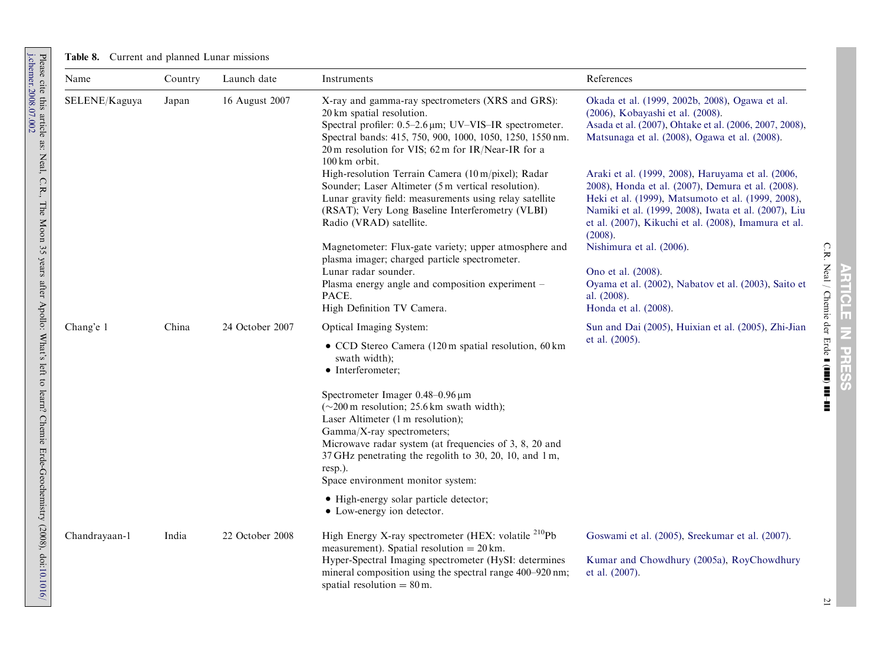<span id="page-20-0"></span>

| Name          | Country | Launch date     | Instruments                                                                                                                                                                                                                                                                 | References                                                                                                                                                                                                                                                                              |
|---------------|---------|-----------------|-----------------------------------------------------------------------------------------------------------------------------------------------------------------------------------------------------------------------------------------------------------------------------|-----------------------------------------------------------------------------------------------------------------------------------------------------------------------------------------------------------------------------------------------------------------------------------------|
| SELENE/Kaguya | Japan   | 16 August 2007  | X-ray and gamma-ray spectrometers (XRS and GRS):<br>20 km spatial resolution.<br>Spectral profiler: 0.5-2.6 µm; UV-VIS-IR spectrometer.<br>Spectral bands: 415, 750, 900, 1000, 1050, 1250, 1550 nm.<br>20 m resolution for VIS; 62 m for IR/Near-IR for a<br>100 km orbit. | Okada et al. (1999, 2002b, 2008), Ogawa et al.<br>(2006), Kobayashi et al. (2008).<br>Asada et al. (2007), Ohtake et al. (2006, 2007, 2008),<br>Matsunaga et al. (2008), Ogawa et al. (2008).                                                                                           |
|               |         |                 | High-resolution Terrain Camera (10 m/pixel); Radar<br>Sounder; Laser Altimeter (5 m vertical resolution).<br>Lunar gravity field: measurements using relay satellite<br>(RSAT); Very Long Baseline Interferometry (VLBI)<br>Radio (VRAD) satellite.                         | Araki et al. (1999, 2008), Haruyama et al. (2006,<br>2008), Honda et al. (2007), Demura et al. (2008).<br>Heki et al. (1999), Matsumoto et al. (1999, 2008),<br>Namiki et al. (1999, 2008), Iwata et al. (2007), Liu<br>et al. (2007), Kikuchi et al. (2008), Imamura et al.<br>(2008). |
|               |         |                 | Magnetometer: Flux-gate variety; upper atmosphere and<br>plasma imager; charged particle spectrometer.                                                                                                                                                                      | Nishimura et al. (2006).                                                                                                                                                                                                                                                                |
|               |         |                 | Lunar radar sounder.<br>Plasma energy angle and composition experiment -<br>PACE.                                                                                                                                                                                           | Ono et al. (2008).<br>Oyama et al. (2002), Nabatov et al. (2003), Saito et<br>al. (2008).                                                                                                                                                                                               |
|               |         |                 | High Definition TV Camera.                                                                                                                                                                                                                                                  | Honda et al. (2008).                                                                                                                                                                                                                                                                    |
| Chang'e 1     | China   | 24 October 2007 | Optical Imaging System:<br>• CCD Stereo Camera (120 m spatial resolution, 60 km<br>swath width);<br>• Interferometer;                                                                                                                                                       | Sun and Dai (2005), Huixian et al. (2005), Zhi-Jian<br>et al. (2005).                                                                                                                                                                                                                   |
|               |         |                 | Spectrometer Imager 0.48-0.96 µm<br>$(\sim 200 \text{ m}$ resolution; 25.6 km swath width);<br>Laser Altimeter (1 m resolution);                                                                                                                                            |                                                                                                                                                                                                                                                                                         |
|               |         |                 | Gamma/X-ray spectrometers;<br>Microwave radar system (at frequencies of 3, 8, 20 and<br>37 GHz penetrating the regolith to 30, 20, 10, and 1 m,<br>resp.).<br>Space environment monitor system:                                                                             |                                                                                                                                                                                                                                                                                         |
|               |         |                 | • High-energy solar particle detector;<br>• Low-energy ion detector.                                                                                                                                                                                                        |                                                                                                                                                                                                                                                                                         |
| Chandrayaan-1 | India   | 22 October 2008 | High Energy X-ray spectrometer (HEX: volatile $^{210}Pb$                                                                                                                                                                                                                    | Goswami et al. (2005), Sreekumar et al. (2007).                                                                                                                                                                                                                                         |
|               |         |                 | measurement). Spatial resolution $= 20$ km.<br>Hyper-Spectral Imaging spectrometer (HySI: determines<br>mineral composition using the spectral range 400–920 nm;<br>spatial resolution = $80 \text{ m}$ .                                                                   | Kumar and Chowdhury (2005a), RoyChowdhury<br>et al. (2007).                                                                                                                                                                                                                             |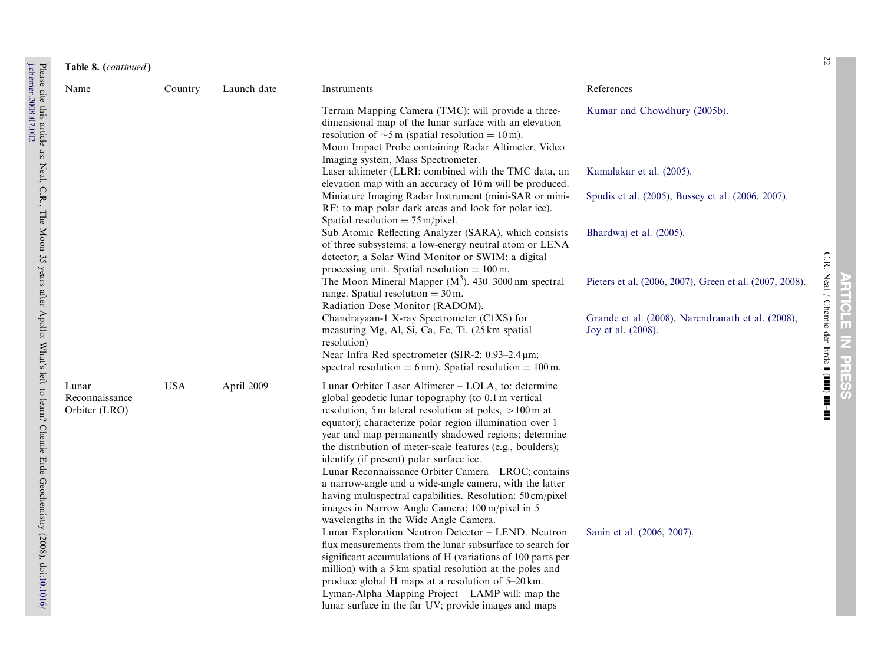| Name                                     | Country    | Launch date | Instruments                                                                                                                                                                                                                                                                                                                                                                                                                                                                                                                                                                                                                                                                              | References                                                              |
|------------------------------------------|------------|-------------|------------------------------------------------------------------------------------------------------------------------------------------------------------------------------------------------------------------------------------------------------------------------------------------------------------------------------------------------------------------------------------------------------------------------------------------------------------------------------------------------------------------------------------------------------------------------------------------------------------------------------------------------------------------------------------------|-------------------------------------------------------------------------|
|                                          |            |             | Terrain Mapping Camera (TMC): will provide a three-<br>dimensional map of the lunar surface with an elevation<br>resolution of $\sim$ 5 m (spatial resolution = 10 m).<br>Moon Impact Probe containing Radar Altimeter, Video<br>Imaging system, Mass Spectrometer.                                                                                                                                                                                                                                                                                                                                                                                                                      | Kumar and Chowdhury (2005b).                                            |
|                                          |            |             | Laser altimeter (LLRI: combined with the TMC data, an<br>elevation map with an accuracy of 10 m will be produced.                                                                                                                                                                                                                                                                                                                                                                                                                                                                                                                                                                        | Kamalakar et al. (2005).                                                |
|                                          |            |             | Miniature Imaging Radar Instrument (mini-SAR or mini-<br>RF: to map polar dark areas and look for polar ice).                                                                                                                                                                                                                                                                                                                                                                                                                                                                                                                                                                            | Spudis et al. (2005), Bussey et al. (2006, 2007).                       |
|                                          |            |             | Spatial resolution = $75 \text{ m/pixel}$ .<br>Sub Atomic Reflecting Analyzer (SARA), which consists<br>of three subsystems: a low-energy neutral atom or LENA<br>detector; a Solar Wind Monitor or SWIM; a digital                                                                                                                                                                                                                                                                                                                                                                                                                                                                      | Bhardwaj et al. (2005).                                                 |
|                                          |            |             | processing unit. Spatial resolution = $100 \text{ m}$ .<br>The Moon Mineral Mapper $(M3)$ . 430–3000 nm spectral<br>range. Spatial resolution = $30 \text{ m}$ .<br>Radiation Dose Monitor (RADOM).                                                                                                                                                                                                                                                                                                                                                                                                                                                                                      | Pieters et al. (2006, 2007), Green et al. (2007, 2008).                 |
|                                          |            |             | Chandrayaan-1 X-ray Spectrometer (C1XS) for<br>measuring Mg, Al, Si, Ca, Fe, Ti. (25 km spatial<br>resolution)<br>Near Infra Red spectrometer (SIR-2: 0.93-2.4 µm;                                                                                                                                                                                                                                                                                                                                                                                                                                                                                                                       | Grande et al. (2008), Narendranath et al. (2008),<br>Joy et al. (2008). |
|                                          |            |             | spectral resolution = $6 \text{ nm}$ ). Spatial resolution = $100 \text{ m}$ .                                                                                                                                                                                                                                                                                                                                                                                                                                                                                                                                                                                                           |                                                                         |
| Lunar<br>Reconnaissance<br>Orbiter (LRO) | <b>USA</b> | April 2009  | Lunar Orbiter Laser Altimeter - LOLA, to: determine<br>global geodetic lunar topography (to 0.1 m vertical<br>resolution, 5 m lateral resolution at poles, $>100 \text{ m}$ at<br>equator); characterize polar region illumination over 1<br>year and map permanently shadowed regions; determine<br>the distribution of meter-scale features (e.g., boulders);<br>identify (if present) polar surface ice.<br>Lunar Reconnaissance Orbiter Camera - LROC; contains<br>a narrow-angle and a wide-angle camera, with the latter<br>having multispectral capabilities. Resolution: 50 cm/pixel<br>images in Narrow Angle Camera; 100 m/pixel in 5<br>wavelengths in the Wide Angle Camera. |                                                                         |
|                                          |            |             | Lunar Exploration Neutron Detector - LEND. Neutron<br>flux measurements from the lunar subsurface to search for<br>significant accumulations of H (variations of 100 parts per<br>million) with a 5 km spatial resolution at the poles and<br>produce global H maps at a resolution of 5-20 km.<br>Lyman-Alpha Mapping Project - LAMP will: map the<br>lunar surface in the far UV; provide images and maps                                                                                                                                                                                                                                                                              | Sanin et al. (2006, 2007).                                              |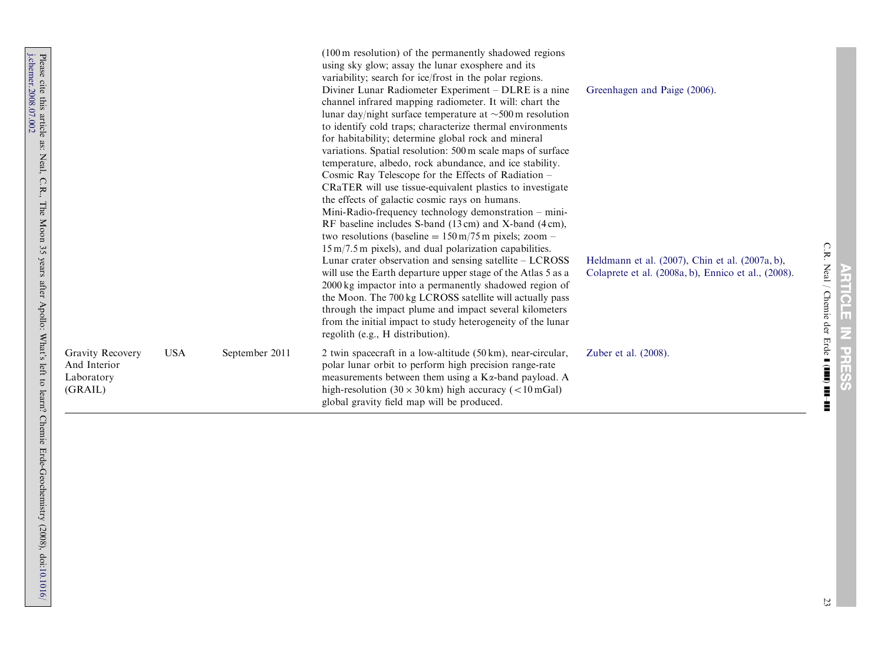|                                                           |            |                | (100 m resolution) of the permanently shadowed regions<br>using sky glow; assay the lunar exosphere and its<br>variability; search for ice/frost in the polar regions.<br>Diviner Lunar Radiometer Experiment – DLRE is a nine<br>channel infrared mapping radiometer. It will: chart the<br>lunar day/night surface temperature at $\sim$ 500 m resolution<br>to identify cold traps; characterize thermal environments<br>for habitability; determine global rock and mineral<br>variations. Spatial resolution: 500 m scale maps of surface<br>temperature, albedo, rock abundance, and ice stability.<br>Cosmic Ray Telescope for the Effects of Radiation –<br>CRaTER will use tissue-equivalent plastics to investigate<br>the effects of galactic cosmic rays on humans.<br>Mini-Radio-frequency technology demonstration - mini-<br>RF baseline includes S-band (13 cm) and X-band (4 cm),<br>two resolutions (baseline = $150 \text{ m}/75 \text{ m}$ pixels; zoom -<br>$15 \,\mathrm{m}/7.5 \,\mathrm{m}$ pixels), and dual polarization capabilities.<br>Lunar crater observation and sensing satellite $-$ LCROSS<br>will use the Earth departure upper stage of the Atlas 5 as a<br>2000 kg impactor into a permanently shadowed region of<br>the Moon. The 700 kg LCROSS satellite will actually pass<br>through the impact plume and impact several kilometers<br>from the initial impact to study heterogeneity of the lunar<br>regolith (e.g., H distribution). | Greenhagen and Paige (2006).<br>Heldmann et al. $(2007)$ , Chin et al. $(2007a, b)$ ,<br>Colaprete et al. (2008a, b), Ennico et al., (2008). |
|-----------------------------------------------------------|------------|----------------|----------------------------------------------------------------------------------------------------------------------------------------------------------------------------------------------------------------------------------------------------------------------------------------------------------------------------------------------------------------------------------------------------------------------------------------------------------------------------------------------------------------------------------------------------------------------------------------------------------------------------------------------------------------------------------------------------------------------------------------------------------------------------------------------------------------------------------------------------------------------------------------------------------------------------------------------------------------------------------------------------------------------------------------------------------------------------------------------------------------------------------------------------------------------------------------------------------------------------------------------------------------------------------------------------------------------------------------------------------------------------------------------------------------------------------------------------------------------------------|----------------------------------------------------------------------------------------------------------------------------------------------|
| Gravity Recovery<br>And Interior<br>Laboratory<br>(GRAIL) | <b>USA</b> | September 2011 | 2 twin spacecraft in a low-altitude (50 km), near-circular,<br>polar lunar orbit to perform high precision range-rate<br>measurements between them using a $K\alpha$ -band payload. A<br>high-resolution $(30 \times 30 \text{ km})$ high accuracy (<10 mGal)<br>global gravity field map will be produced.                                                                                                                                                                                                                                                                                                                                                                                                                                                                                                                                                                                                                                                                                                                                                                                                                                                                                                                                                                                                                                                                                                                                                                      | Zuber et al. $(2008)$ .                                                                                                                      |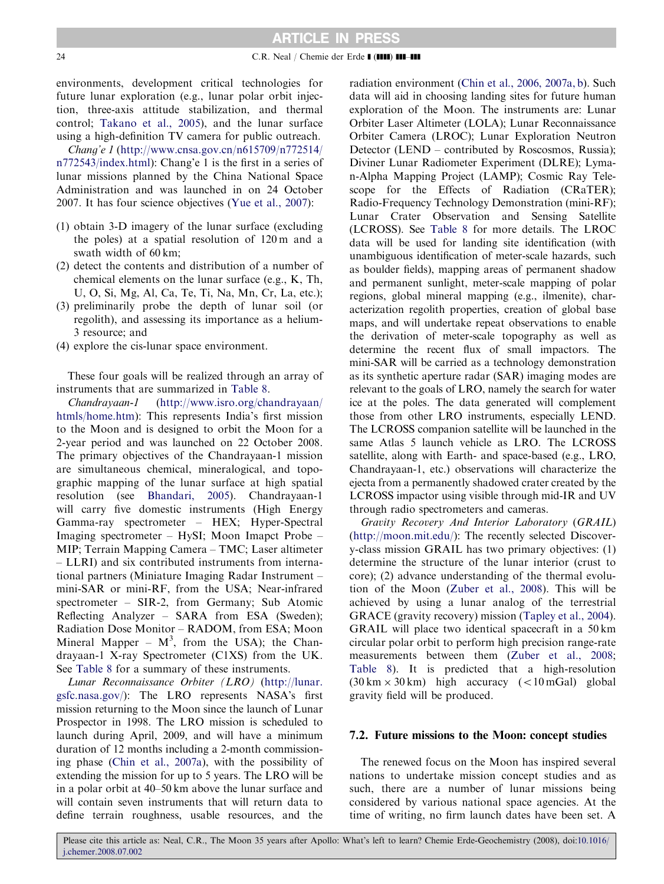environments, development critical technologies for future lunar exploration (e.g., lunar polar orbit injection, three-axis attitude stabilization, and thermal control; [Takano et al., 2005\)](#page-39-0), and the lunar surface using a high-definition TV camera for public outreach.

Chang'e 1 [\(http://www.cnsa.gov.cn/n615709/n772514/](http://www.cnsa.gov.cn/n615709/n772514/n772543/index.html) [n772543/index.html\)](http://www.cnsa.gov.cn/n615709/n772514/n772543/index.html): Chang'e 1 is the first in a series of lunar missions planned by the China National Space Administration and was launched in on 24 October 2007. It has four science objectives [\(Yue et al., 2007\)](#page-40-0):

- (1) obtain 3-D imagery of the lunar surface (excluding the poles) at a spatial resolution of 120 m and a swath width of 60 km;
- (2) detect the contents and distribution of a number of chemical elements on the lunar surface (e.g., K, Th, U, O, Si, Mg, Al, Ca, Te, Ti, Na, Mn, Cr, La, etc.);
- (3) preliminarily probe the depth of lunar soil (or regolith), and assessing its importance as a helium-3 resource; and
- (4) explore the cis-lunar space environment.

These four goals will be realized through an array of instruments that are summarized in [Table 8.](#page-20-0)

Chandrayaan-1 ([http://www.isro.org/chandrayaan/](http://www.isro.org/chandrayaan/htmls/home.htm) [htmls/home.htm\)](http://www.isro.org/chandrayaan/htmls/home.htm): This represents India's first mission to the Moon and is designed to orbit the Moon for a 2-year period and was launched on 22 October 2008. The primary objectives of the Chandrayaan-1 mission are simultaneous chemical, mineralogical, and topographic mapping of the lunar surface at high spatial resolution (see [Bhandari, 2005\)](#page-28-0). Chandrayaan-1 will carry five domestic instruments (High Energy Gamma-ray spectrometer – HEX; Hyper-Spectral Imaging spectrometer – HySI; Moon Imapct Probe – MIP; Terrain Mapping Camera – TMC; Laser altimeter – LLRI) and six contributed instruments from international partners (Miniature Imaging Radar Instrument – mini-SAR or mini-RF, from the USA; Near-infrared spectrometer – SIR-2, from Germany; Sub Atomic Reflecting Analyzer – SARA from ESA (Sweden); Radiation Dose Monitor – RADOM, from ESA; Moon Mineral Mapper –  $M^3$ , from the USA); the Chandrayaan-1 X-ray Spectrometer (C1XS) from the UK. See [Table 8](#page-20-0) for a summary of these instruments.

Lunar Reconnaissance Orbiter (LRO) [\(http://lunar.](http://lunar.gsfc.nasa.gov/) [gsfc.nasa.gov/\)](http://lunar.gsfc.nasa.gov/): The LRO represents NASA's first mission returning to the Moon since the launch of Lunar Prospector in 1998. The LRO mission is scheduled to launch during April, 2009, and will have a minimum duration of 12 months including a 2-month commissioning phase ([Chin et al., 2007a](#page-29-0)), with the possibility of extending the mission for up to 5 years. The LRO will be in a polar orbit at 40–50 km above the lunar surface and will contain seven instruments that will return data to define terrain roughness, usable resources, and the

radiation environment [\(Chin et al., 2006, 2007a, b](#page-29-0)). Such data will aid in choosing landing sites for future human exploration of the Moon. The instruments are: Lunar Orbiter Laser Altimeter (LOLA); Lunar Reconnaissance Orbiter Camera (LROC); Lunar Exploration Neutron Detector (LEND – contributed by Roscosmos, Russia); Diviner Lunar Radiometer Experiment (DLRE); Lyman-Alpha Mapping Project (LAMP); Cosmic Ray Telescope for the Effects of Radiation (CRaTER); Radio-Frequency Technology Demonstration (mini-RF); Lunar Crater Observation and Sensing Satellite (LCROSS). See [Table 8](#page-20-0) for more details. The LROC data will be used for landing site identification (with unambiguous identification of meter-scale hazards, such as boulder fields), mapping areas of permanent shadow and permanent sunlight, meter-scale mapping of polar regions, global mineral mapping (e.g., ilmenite), characterization regolith properties, creation of global base maps, and will undertake repeat observations to enable the derivation of meter-scale topography as well as determine the recent flux of small impactors. The mini-SAR will be carried as a technology demonstration as its synthetic aperture radar (SAR) imaging modes are relevant to the goals of LRO, namely the search for water ice at the poles. The data generated will complement those from other LRO instruments, especially LEND. The LCROSS companion satellite will be launched in the same Atlas 5 launch vehicle as LRO. The LCROSS satellite, along with Earth- and space-based (e.g., LRO, Chandrayaan-1, etc.) observations will characterize the ejecta from a permanently shadowed crater created by the LCROSS impactor using visible through mid-IR and UV through radio spectrometers and cameras.

Gravity Recovery And Interior Laboratory (GRAIL) (<http://moon.mit.edu/>): The recently selected Discovery-class mission GRAIL has two primary objectives: (1) determine the structure of the lunar interior (crust to core); (2) advance understanding of the thermal evolution of the Moon ([Zuber et al., 2008\)](#page-40-0). This will be achieved by using a lunar analog of the terrestrial GRACE (gravity recovery) mission [\(Tapley et al., 2004\)](#page-39-0). GRAIL will place two identical spacecraft in a 50 km circular polar orbit to perform high precision range-rate measurements between them [\(Zuber et al., 2008](#page-40-0); [Table 8\)](#page-20-0). It is predicted that a high-resolution  $(30 \text{ km} \times 30 \text{ km})$  high accuracy  $(<10 \text{ mGal})$  global gravity field will be produced.

#### 7.2. Future missions to the Moon: concept studies

The renewed focus on the Moon has inspired several nations to undertake mission concept studies and as such, there are a number of lunar missions being considered by various national space agencies. At the time of writing, no firm launch dates have been set. A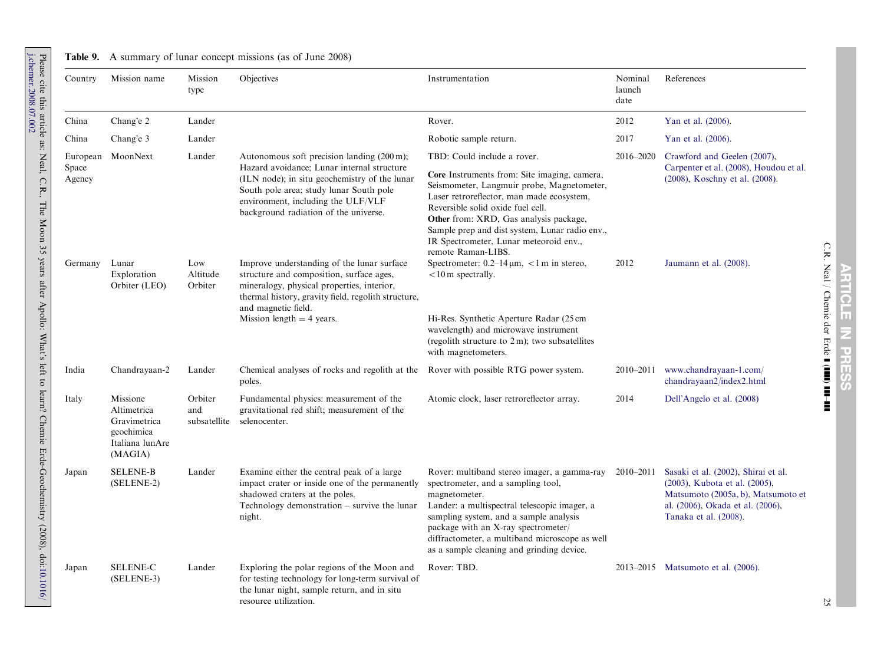# Table 9. A summary of lunar concept missions (as of June 2008)

<span id="page-24-0"></span>

| Country         | Mission name                                                                        | Mission<br>type                | Objectives                                                                                                                                                                                                         | Instrumentation                                                                                                                                                                                                                                                                                                                    | Nominal<br>launch<br>date | References                                                                                                                                                                        |  |  |
|-----------------|-------------------------------------------------------------------------------------|--------------------------------|--------------------------------------------------------------------------------------------------------------------------------------------------------------------------------------------------------------------|------------------------------------------------------------------------------------------------------------------------------------------------------------------------------------------------------------------------------------------------------------------------------------------------------------------------------------|---------------------------|-----------------------------------------------------------------------------------------------------------------------------------------------------------------------------------|--|--|
| China           | Chang'e 2                                                                           | Lander                         |                                                                                                                                                                                                                    | Rover.                                                                                                                                                                                                                                                                                                                             | 2012                      | Yan et al. (2006).                                                                                                                                                                |  |  |
| China           | Chang'e 3                                                                           | Lander                         |                                                                                                                                                                                                                    | Robotic sample return.                                                                                                                                                                                                                                                                                                             | 2017                      | Yan et al. (2006).                                                                                                                                                                |  |  |
| Space<br>Agency | European MoonNext                                                                   | Lander                         | Autonomous soft precision landing (200 m);<br>Hazard avoidance; Lunar internal structure<br>(ILN node); in situ geochemistry of the lunar<br>South pole area; study lunar South pole                               | TBD: Could include a rover.<br>Core Instruments from: Site imaging, camera,<br>Seismometer, Langmuir probe, Magnetometer,<br>Laser retroreflector, man made ecosystem,                                                                                                                                                             |                           | $2016 - 2020$ Crawford and Geelen (2007),<br>Carpenter et al. (2008), Houdou et al.<br>(2008), Koschny et al. (2008).                                                             |  |  |
|                 | environment, including the ULF/VLF<br>background radiation of the universe.         |                                | Reversible solid oxide fuel cell.<br>Other from: XRD, Gas analysis package,<br>Sample prep and dist system, Lunar radio env.,<br>IR Spectrometer, Lunar meteoroid env.,<br>remote Raman-LIBS.                      |                                                                                                                                                                                                                                                                                                                                    |                           |                                                                                                                                                                                   |  |  |
| Germany Lunar   | Exploration<br>Orbiter (LEO)                                                        | Low<br>Altitude<br>Orbiter     | Improve understanding of the lunar surface<br>structure and composition, surface ages,<br>mineralogy, physical properties, interior,<br>thermal history, gravity field, regolith structure,<br>and magnetic field. | Spectrometer: $0.2-14 \mu m$ , <1 m in stereo,<br>$<$ 10 m spectrally.                                                                                                                                                                                                                                                             | 2012                      | Jaumann et al. (2008).                                                                                                                                                            |  |  |
|                 |                                                                                     |                                | Mission length $=$ 4 years.                                                                                                                                                                                        | Hi-Res. Synthetic Aperture Radar (25 cm)<br>wavelength) and microwave instrument<br>(regolith structure to 2m); two subsatellites<br>with magnetometers.                                                                                                                                                                           |                           |                                                                                                                                                                                   |  |  |
| India           | Chandrayaan-2                                                                       | Lander                         | Chemical analyses of rocks and regolith at the<br>poles.                                                                                                                                                           | Rover with possible RTG power system.                                                                                                                                                                                                                                                                                              |                           | 2010–2011 www.chandrayaan-1.com/<br>chandrayaan2/index2.html                                                                                                                      |  |  |
| Italy           | Missione<br>Altimetrica<br>Gravimetrica<br>geochimica<br>Italiana lunAre<br>(MAGIA) | Orbiter<br>and<br>subsatellite | Fundamental physics: measurement of the<br>gravitational red shift; measurement of the<br>selenocenter.                                                                                                            | Atomic clock, laser retroreflector array.                                                                                                                                                                                                                                                                                          | 2014                      | Dell'Angelo et al. (2008)                                                                                                                                                         |  |  |
| Japan           | <b>SELENE-B</b><br>$(SELENE-2)$                                                     | Lander                         | Examine either the central peak of a large<br>impact crater or inside one of the permanently<br>shadowed craters at the poles.<br>Technology demonstration - survive the lunar<br>night.                           | Rover: multiband stereo imager, a gamma-ray<br>spectrometer, and a sampling tool,<br>magnetometer.<br>Lander: a multispectral telescopic imager, a<br>sampling system, and a sample analysis<br>package with an X-ray spectrometer/<br>diffractometer, a multiband microscope as well<br>as a sample cleaning and grinding device. |                           | 2010–2011 Sasaki et al. (2002), Shirai et al.<br>(2003), Kubota et al. (2005),<br>Matsumoto (2005a, b), Matsumoto et<br>al. (2006), Okada et al. (2006),<br>Tanaka et al. (2008). |  |  |
| Japan           | SELENE-C<br>(SELENE-3)                                                              | Lander                         | Exploring the polar regions of the Moon and<br>for testing technology for long-term survival of<br>the lunar night, sample return, and in situ<br>resource utilization.                                            | Rover: TBD.                                                                                                                                                                                                                                                                                                                        |                           | 2013–2015 Matsumoto et al. (2006).                                                                                                                                                |  |  |

25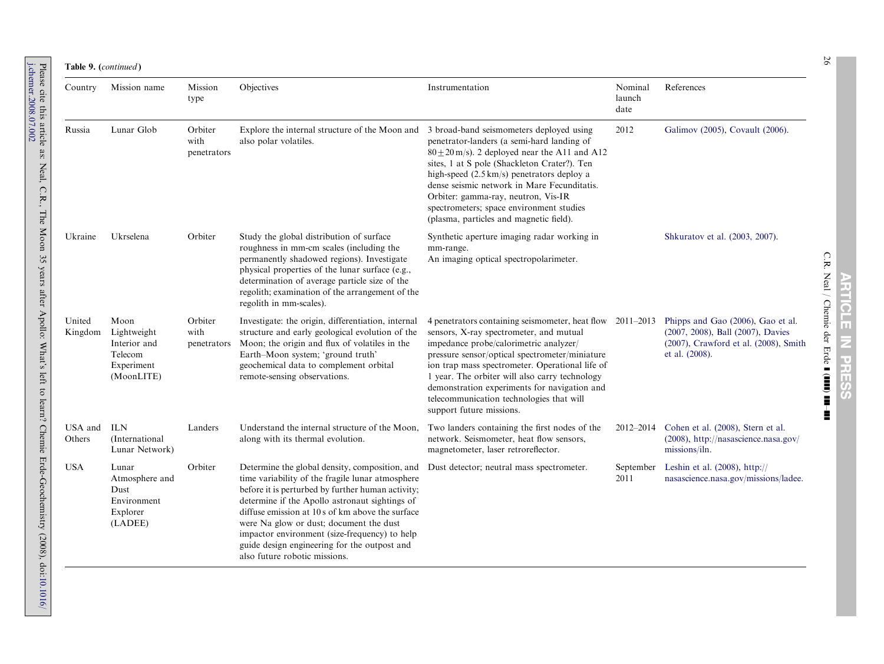|  | Table 9. (continued) |
|--|----------------------|
|--|----------------------|

| Country           | Mission name                                                               | Mission<br>type                | Objectives                                                                                                                                                                                                                                                                                                                                                                                                                                | Instrumentation                                                                                                                                                                                                                                                                                                                                                                                                                                                 | Nominal<br>launch<br>date | References                                                                                   |
|-------------------|----------------------------------------------------------------------------|--------------------------------|-------------------------------------------------------------------------------------------------------------------------------------------------------------------------------------------------------------------------------------------------------------------------------------------------------------------------------------------------------------------------------------------------------------------------------------------|-----------------------------------------------------------------------------------------------------------------------------------------------------------------------------------------------------------------------------------------------------------------------------------------------------------------------------------------------------------------------------------------------------------------------------------------------------------------|---------------------------|----------------------------------------------------------------------------------------------|
| Russia            | Lunar Glob                                                                 | Orbiter<br>with<br>penetrators | Explore the internal structure of the Moon and<br>also polar volatiles.                                                                                                                                                                                                                                                                                                                                                                   | 3 broad-band seismometers deployed using<br>penetrator-landers (a semi-hard landing of<br>$80 \pm 20$ m/s). 2 deployed near the A11 and A12<br>sites, 1 at S pole (Shackleton Crater?). Ten<br>high-speed $(2.5 \text{ km/s})$ penetrators deploy a<br>dense seismic network in Mare Fecunditatis.<br>Orbiter: gamma-ray, neutron, Vis-IR<br>spectrometers; space environment studies<br>(plasma, particles and magnetic field).                                | 2012                      | Galimov (2005), Covault (2006).                                                              |
| Ukraine           | Ukrselena                                                                  | Orbiter                        | Study the global distribution of surface<br>roughness in mm-cm scales (including the<br>permanently shadowed regions). Investigate<br>physical properties of the lunar surface (e.g.,<br>determination of average particle size of the<br>regolith; examination of the arrangement of the<br>regolith in mm-scales).                                                                                                                      | Synthetic aperture imaging radar working in<br>mm-range.<br>An imaging optical spectropolarimeter.                                                                                                                                                                                                                                                                                                                                                              |                           | Shkuratov et al. (2003, 2007).                                                               |
| United<br>Kingdom | Moon<br>Lightweight<br>Interior and<br>Telecom<br>Experiment<br>(MoonLITE) | Orbiter<br>with<br>penetrators | Investigate: the origin, differentiation, internal<br>structure and early geological evolution of the<br>Moon; the origin and flux of volatiles in the<br>Earth-Moon system; 'ground truth'<br>geochemical data to complement orbital<br>remote-sensing observations.                                                                                                                                                                     | 4 penetrators containing seismometer, heat flow 2011-2013 Phipps and Gao (2006), Gao et al.<br>sensors, X-ray spectrometer, and mutual<br>impedance probe/calorimetric analyzer/<br>pressure sensor/optical spectrometer/miniature<br>ion trap mass spectrometer. Operational life of<br>1 year. The orbiter will also carry technology<br>demonstration experiments for navigation and<br>telecommunication technologies that will<br>support future missions. |                           | (2007, 2008), Ball (2007), Davies<br>(2007), Crawford et al. (2008), Smith<br>et al. (2008). |
| USA and<br>Others | <b>ILN</b><br>(International<br>Lunar Network)                             | Landers                        | Understand the internal structure of the Moon,<br>along with its thermal evolution.                                                                                                                                                                                                                                                                                                                                                       | Two landers containing the first nodes of the<br>network. Seismometer, heat flow sensors,<br>magnetometer, laser retroreflector.                                                                                                                                                                                                                                                                                                                                | 2012–2014                 | Cohen et al. (2008), Stern et al.<br>(2008), http://nasascience.nasa.gov/<br>missions/iln.   |
| <b>USA</b>        | Lunar<br>Atmosphere and<br>Dust<br>Environment<br>Explorer<br>(LADEE)      | Orbiter                        | Determine the global density, composition, and<br>time variability of the fragile lunar atmosphere<br>before it is perturbed by further human activity;<br>determine if the Apollo astronaut sightings of<br>diffuse emission at 10s of km above the surface<br>were Na glow or dust; document the dust<br>impactor environment (size-frequency) to help<br>guide design engineering for the outpost and<br>also future robotic missions. | Dust detector; neutral mass spectrometer.                                                                                                                                                                                                                                                                                                                                                                                                                       | September<br>2011         | Leshin et al. $(2008)$ , http://<br>nasascience.nasa.gov/missions/ladee.                     |

26 C.R. Neal / Chemie der Erde  $\blacksquare$  ( $\blacksquare$  )  $\blacksquare$ C.R. Neal / Chemie der Erde ARTICLE IN PRESS **RTICLE IN PRE** ] (]]]]) 77 ]]]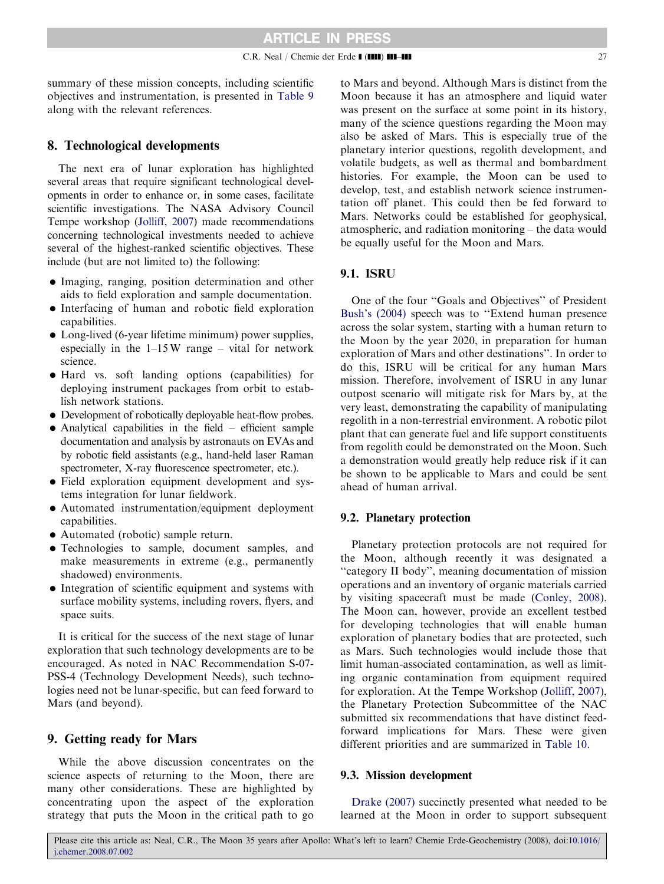summary of these mission concepts, including scientific objectives and instrumentation, is presented in [Table 9](#page-24-0) along with the relevant references.

# 8. Technological developments

The next era of lunar exploration has highlighted several areas that require significant technological developments in order to enhance or, in some cases, facilitate scientific investigations. The NASA Advisory Council Tempe workshop [\(Jolliff, 2007\)](#page-34-0) made recommendations concerning technological investments needed to achieve several of the highest-ranked scientific objectives. These include (but are not limited to) the following:

- Imaging, ranging, position determination and other aids to field exploration and sample documentation.
- Interfacing of human and robotic field exploration capabilities.
- Long-lived (6-year lifetime minimum) power supplies, especially in the 1–15 W range – vital for network science.
- Hard vs. soft landing options (capabilities) for deploying instrument packages from orbit to establish network stations.
- Development of robotically deployable heat-flow probes.
- Analytical capabilities in the field efficient sample documentation and analysis by astronauts on EVAs and by robotic field assistants (e.g., hand-held laser Raman spectrometer, X-ray fluorescence spectrometer, etc.).
- Field exploration equipment development and systems integration for lunar fieldwork.
- Automated instrumentation/equipment deployment capabilities.
- Automated (robotic) sample return.
- Technologies to sample, document samples, and make measurements in extreme (e.g., permanently shadowed) environments.
- Integration of scientific equipment and systems with surface mobility systems, including rovers, flyers, and space suits.

It is critical for the success of the next stage of lunar exploration that such technology developments are to be encouraged. As noted in NAC Recommendation S-07- PSS-4 (Technology Development Needs), such technologies need not be lunar-specific, but can feed forward to Mars (and beyond).

# 9. Getting ready for Mars

While the above discussion concentrates on the science aspects of returning to the Moon, there are many other considerations. These are highlighted by concentrating upon the aspect of the exploration strategy that puts the Moon in the critical path to go to Mars and beyond. Although Mars is distinct from the Moon because it has an atmosphere and liquid water was present on the surface at some point in its history, many of the science questions regarding the Moon may also be asked of Mars. This is especially true of the planetary interior questions, regolith development, and volatile budgets, as well as thermal and bombardment histories. For example, the Moon can be used to develop, test, and establish network science instrumentation off planet. This could then be fed forward to Mars. Networks could be established for geophysical, atmospheric, and radiation monitoring – the data would be equally useful for the Moon and Mars.

## 9.1. ISRU

One of the four ''Goals and Objectives'' of President [Bush's \(2004\)](#page-29-0) speech was to ''Extend human presence across the solar system, starting with a human return to the Moon by the year 2020, in preparation for human exploration of Mars and other destinations''. In order to do this, ISRU will be critical for any human Mars mission. Therefore, involvement of ISRU in any lunar outpost scenario will mitigate risk for Mars by, at the very least, demonstrating the capability of manipulating regolith in a non-terrestrial environment. A robotic pilot plant that can generate fuel and life support constituents from regolith could be demonstrated on the Moon. Such a demonstration would greatly help reduce risk if it can be shown to be applicable to Mars and could be sent ahead of human arrival.

#### 9.2. Planetary protection

Planetary protection protocols are not required for the Moon, although recently it was designated a ''category II body'', meaning documentation of mission operations and an inventory of organic materials carried by visiting spacecraft must be made [\(Conley, 2008\)](#page-30-0). The Moon can, however, provide an excellent testbed for developing technologies that will enable human exploration of planetary bodies that are protected, such as Mars. Such technologies would include those that limit human-associated contamination, as well as limiting organic contamination from equipment required for exploration. At the Tempe Workshop ([Jolliff, 2007\)](#page-34-0), the Planetary Protection Subcommittee of the NAC submitted six recommendations that have distinct feedforward implications for Mars. These were given different priorities and are summarized in [Table 10.](#page-27-0)

#### 9.3. Mission development

[Drake \(2007\)](#page-30-0) succinctly presented what needed to be learned at the Moon in order to support subsequent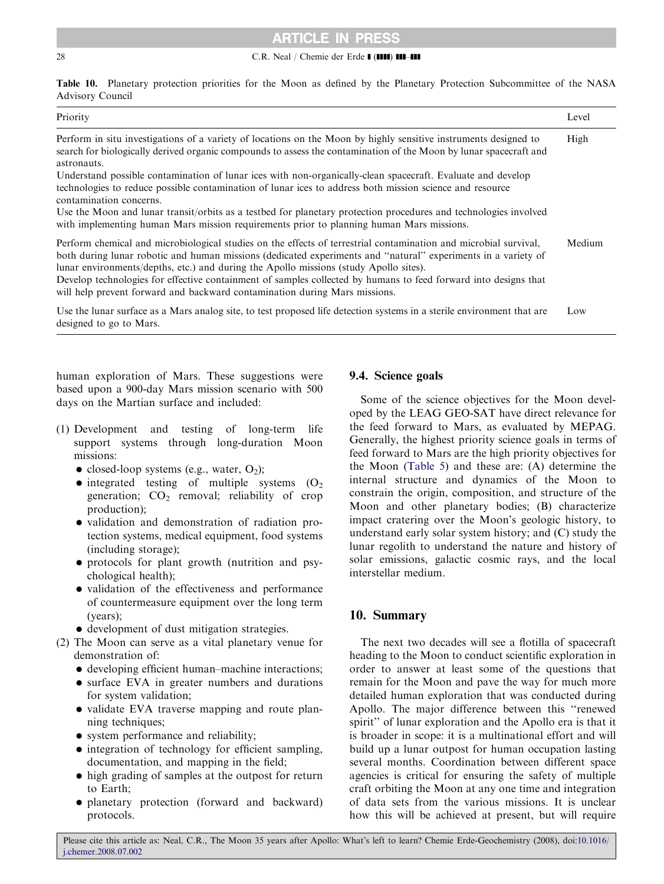#### <span id="page-27-0"></span>28 C.R. Neal / Chemie der Erde **[(IIII) III-III**

Table 10. Planetary protection priorities for the Moon as defined by the Planetary Protection Subcommittee of the NASA Advisory Council

| Priority | Level |  |  |
|----------|-------|--|--|
|----------|-------|--|--|

| Perform in situ investigations of a variety of locations on the Moon by highly sensitive instruments designed to<br>search for biologically derived organic compounds to assess the contamination of the Moon by lunar spacecraft and<br>astronauts.                                                                                                                                                                                                                                                                        | High   |
|-----------------------------------------------------------------------------------------------------------------------------------------------------------------------------------------------------------------------------------------------------------------------------------------------------------------------------------------------------------------------------------------------------------------------------------------------------------------------------------------------------------------------------|--------|
| Understand possible contamination of lunar ices with non-organically-clean spacecraft. Evaluate and develop<br>technologies to reduce possible contamination of lunar ices to address both mission science and resource<br>contamination concerns.<br>Use the Moon and lunar transit/orbits as a testbed for planetary protection procedures and technologies involved<br>with implementing human Mars mission requirements prior to planning human Mars missions.                                                          |        |
| Perform chemical and microbiological studies on the effects of terrestrial contamination and microbial survival,<br>both during lunar robotic and human missions (dedicated experiments and "natural" experiments in a variety of<br>lunar environments/depths, etc.) and during the Apollo missions (study Apollo sites).<br>Develop technologies for effective containment of samples collected by humans to feed forward into designs that<br>will help prevent forward and backward contamination during Mars missions. | Medium |
| $\mathbf{r}$ and $\mathbf{r}$ and $\mathbf{r}$ and $\mathbf{r}$ and $\mathbf{r}$ and $\mathbf{r}$ and $\mathbf{r}$ and $\mathbf{r}$                                                                                                                                                                                                                                                                                                                                                                                         |        |

Use the lunar surface as a Mars analog site, to test proposed life detection systems in a sterile environment that are designed to go to Mars.  $\Gamma_{\text{OM}}$ 

human exploration of Mars. These suggestions were based upon a 900-day Mars mission scenario with 500 days on the Martian surface and included:

- (1) Development and testing of long-term life support systems through long-duration Moon missions:
	- closed-loop systems (e.g., water,  $O_2$ );
	- $\bullet$  integrated testing of multiple systems  $(O_2)$ generation;  $CO<sub>2</sub>$  removal; reliability of crop production);
	- validation and demonstration of radiation protection systems, medical equipment, food systems (including storage);
	- protocols for plant growth (nutrition and psychological health);
	- validation of the effectiveness and performance of countermeasure equipment over the long term (years);
	- development of dust mitigation strategies.
- (2) The Moon can serve as a vital planetary venue for demonstration of:
	- developing efficient human–machine interactions;
	- surface EVA in greater numbers and durations for system validation;
	- validate EVA traverse mapping and route planning techniques;
	- system performance and reliability;
	- integration of technology for efficient sampling, documentation, and mapping in the field;
	- high grading of samples at the outpost for return to Earth;
	- planetary protection (forward and backward) protocols.

# 9.4. Science goals

Some of the science objectives for the Moon developed by the LEAG GEO-SAT have direct relevance for the feed forward to Mars, as evaluated by MEPAG. Generally, the highest priority science goals in terms of feed forward to Mars are the high priority objectives for the Moon ([Table 5](#page-11-0)) and these are: (A) determine the internal structure and dynamics of the Moon to constrain the origin, composition, and structure of the Moon and other planetary bodies; (B) characterize impact cratering over the Moon's geologic history, to understand early solar system history; and (C) study the lunar regolith to understand the nature and history of solar emissions, galactic cosmic rays, and the local interstellar medium.

# 10. Summary

The next two decades will see a flotilla of spacecraft heading to the Moon to conduct scientific exploration in order to answer at least some of the questions that remain for the Moon and pave the way for much more detailed human exploration that was conducted during Apollo. The major difference between this ''renewed spirit'' of lunar exploration and the Apollo era is that it is broader in scope: it is a multinational effort and will build up a lunar outpost for human occupation lasting several months. Coordination between different space agencies is critical for ensuring the safety of multiple craft orbiting the Moon at any one time and integration of data sets from the various missions. It is unclear how this will be achieved at present, but will require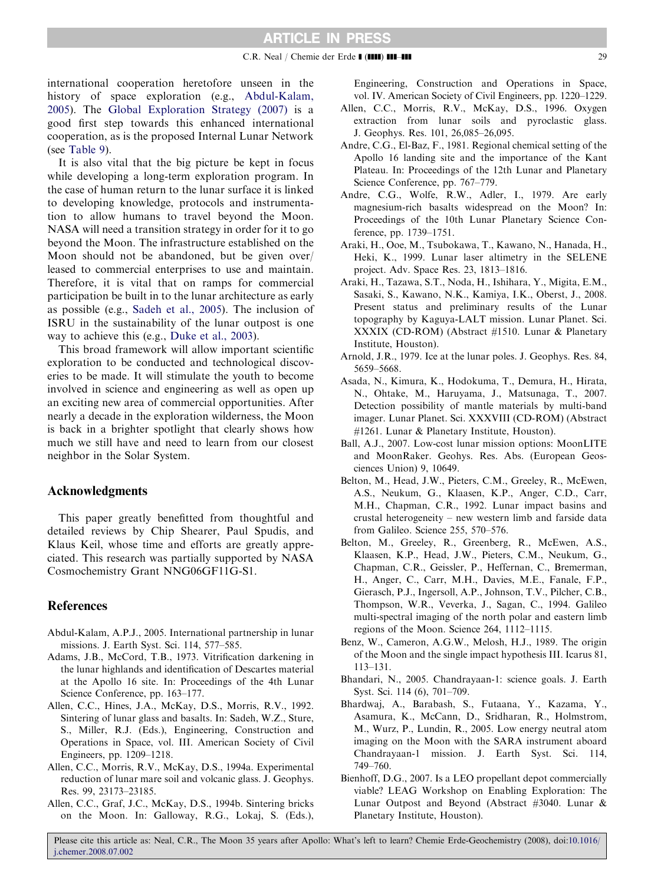<span id="page-28-0"></span>international cooperation heretofore unseen in the history of space exploration (e.g., Abdul-Kalam, 2005). The [Global Exploration Strategy \(2007\)](#page-32-0) is a good first step towards this enhanced international cooperation, as is the proposed Internal Lunar Network (see [Table 9](#page-24-0)).

It is also vital that the big picture be kept in focus while developing a long-term exploration program. In the case of human return to the lunar surface it is linked to developing knowledge, protocols and instrumentation to allow humans to travel beyond the Moon. NASA will need a transition strategy in order for it to go beyond the Moon. The infrastructure established on the Moon should not be abandoned, but be given over/ leased to commercial enterprises to use and maintain. Therefore, it is vital that on ramps for commercial participation be built in to the lunar architecture as early as possible (e.g., [Sadeh et al., 2005\)](#page-38-0). The inclusion of ISRU in the sustainability of the lunar outpost is one way to achieve this (e.g., [Duke et al., 2003\)](#page-30-0).

This broad framework will allow important scientific exploration to be conducted and technological discoveries to be made. It will stimulate the youth to become involved in science and engineering as well as open up an exciting new area of commercial opportunities. After nearly a decade in the exploration wilderness, the Moon is back in a brighter spotlight that clearly shows how much we still have and need to learn from our closest neighbor in the Solar System.

# Acknowledgments

This paper greatly benefitted from thoughtful and detailed reviews by Chip Shearer, Paul Spudis, and Klaus Keil, whose time and efforts are greatly appreciated. This research was partially supported by NASA Cosmochemistry Grant NNG06GF11G-S1.

# References

- Abdul-Kalam, A.P.J., 2005. International partnership in lunar missions. J. Earth Syst. Sci. 114, 577–585.
- Adams, J.B., McCord, T.B., 1973. Vitrification darkening in the lunar highlands and identification of Descartes material at the Apollo 16 site. In: Proceedings of the 4th Lunar Science Conference, pp. 163–177.
- Allen, C.C., Hines, J.A., McKay, D.S., Morris, R.V., 1992. Sintering of lunar glass and basalts. In: Sadeh, W.Z., Sture, S., Miller, R.J. (Eds.), Engineering, Construction and Operations in Space, vol. III. American Society of Civil Engineers, pp. 1209–1218.
- Allen, C.C., Morris, R.V., McKay, D.S., 1994a. Experimental reduction of lunar mare soil and volcanic glass. J. Geophys. Res. 99, 23173–23185.
- Allen, C.C., Graf, J.C., McKay, D.S., 1994b. Sintering bricks on the Moon. In: Galloway, R.G., Lokaj, S. (Eds.),

Engineering, Construction and Operations in Space, vol. IV. American Society of Civil Engineers, pp. 1220–1229.

- Allen, C.C., Morris, R.V., McKay, D.S., 1996. Oxygen extraction from lunar soils and pyroclastic glass. J. Geophys. Res. 101, 26,085–26,095.
- Andre, C.G., El-Baz, F., 1981. Regional chemical setting of the Apollo 16 landing site and the importance of the Kant Plateau. In: Proceedings of the 12th Lunar and Planetary Science Conference, pp. 767–779.
- Andre, C.G., Wolfe, R.W., Adler, I., 1979. Are early magnesium-rich basalts widespread on the Moon? In: Proceedings of the 10th Lunar Planetary Science Conference, pp. 1739–1751.
- Araki, H., Ooe, M., Tsubokawa, T., Kawano, N., Hanada, H., Heki, K., 1999. Lunar laser altimetry in the SELENE project. Adv. Space Res. 23, 1813–1816.
- Araki, H., Tazawa, S.T., Noda, H., Ishihara, Y., Migita, E.M., Sasaki, S., Kawano, N.K., Kamiya, I.K., Oberst, J., 2008. Present status and preliminary results of the Lunar topography by Kaguya-LALT mission. Lunar Planet. Sci. XXXIX (CD-ROM) (Abstract #1510. Lunar & Planetary Institute, Houston).
- Arnold, J.R., 1979. Ice at the lunar poles. J. Geophys. Res. 84, 5659–5668.
- Asada, N., Kimura, K., Hodokuma, T., Demura, H., Hirata, N., Ohtake, M., Haruyama, J., Matsunaga, T., 2007. Detection possibility of mantle materials by multi-band imager. Lunar Planet. Sci. XXXVIII (CD-ROM) (Abstract #1261. Lunar & Planetary Institute, Houston).
- Ball, A.J., 2007. Low-cost lunar mission options: MoonLITE and MoonRaker. Geohys. Res. Abs. (European Geosciences Union) 9, 10649.
- Belton, M., Head, J.W., Pieters, C.M., Greeley, R., McEwen, A.S., Neukum, G., Klaasen, K.P., Anger, C.D., Carr, M.H., Chapman, C.R., 1992. Lunar impact basins and crustal heterogeneity – new western limb and farside data from Galileo. Science 255, 570–576.
- Belton, M., Greeley, R., Greenberg, R., McEwen, A.S., Klaasen, K.P., Head, J.W., Pieters, C.M., Neukum, G., Chapman, C.R., Geissler, P., Heffernan, C., Bremerman, H., Anger, C., Carr, M.H., Davies, M.E., Fanale, F.P., Gierasch, P.J., Ingersoll, A.P., Johnson, T.V., Pilcher, C.B., Thompson, W.R., Veverka, J., Sagan, C., 1994. Galileo multi-spectral imaging of the north polar and eastern limb regions of the Moon. Science 264, 1112–1115.
- Benz, W., Cameron, A.G.W., Melosh, H.J., 1989. The origin of the Moon and the single impact hypothesis III. Icarus 81, 113–131.
- Bhandari, N., 2005. Chandrayaan-1: science goals. J. Earth Syst. Sci. 114 (6), 701–709.
- Bhardwaj, A., Barabash, S., Futaana, Y., Kazama, Y., Asamura, K., McCann, D., Sridharan, R., Holmstrom, M., Wurz, P., Lundin, R., 2005. Low energy neutral atom imaging on the Moon with the SARA instrument aboard Chandrayaan-1 mission. J. Earth Syst. Sci. 114, 749–760.
- Bienhoff, D.G., 2007. Is a LEO propellant depot commercially viable? LEAG Workshop on Enabling Exploration: The Lunar Outpost and Beyond (Abstract #3040. Lunar & Planetary Institute, Houston).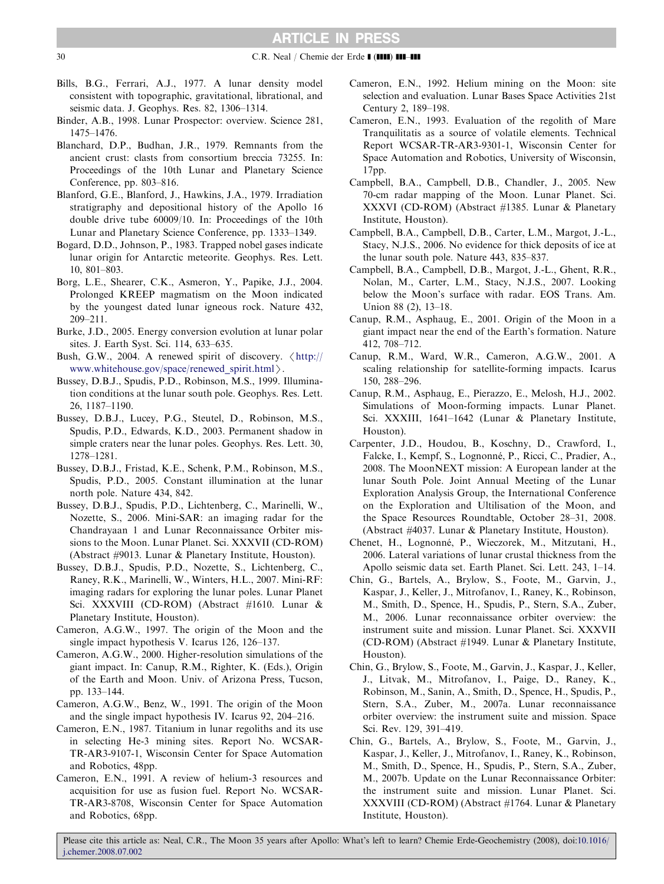- <span id="page-29-0"></span>Bills, B.G., Ferrari, A.J., 1977. A lunar density model consistent with topographic, gravitational, librational, and seismic data. J. Geophys. Res. 82, 1306–1314.
- Binder, A.B., 1998. Lunar Prospector: overview. Science 281, 1475–1476.
- Blanchard, D.P., Budhan, J.R., 1979. Remnants from the ancient crust: clasts from consortium breccia 73255. In: Proceedings of the 10th Lunar and Planetary Science Conference, pp. 803–816.
- Blanford, G.E., Blanford, J., Hawkins, J.A., 1979. Irradiation stratigraphy and depositional history of the Apollo 16 double drive tube 60009/10. In: Proceedings of the 10th Lunar and Planetary Science Conference, pp. 1333–1349.
- Bogard, D.D., Johnson, P., 1983. Trapped nobel gases indicate lunar origin for Antarctic meteorite. Geophys. Res. Lett. 10, 801–803.
- Borg, L.E., Shearer, C.K., Asmeron, Y., Papike, J.J., 2004. Prolonged KREEP magmatism on the Moon indicated by the youngest dated lunar igneous rock. Nature 432, 209–211.
- Burke, J.D., 2005. Energy conversion evolution at lunar polar sites. J. Earth Syst. Sci. 114, 633–635.
- Bush, G.W., 2004. A renewed spirit of discovery.  $\langle$  [http://](http://www.whitehouse.gov/space/renewed_spirit.html) [www.whitehouse.gov/space/renewed\\_spirit.html](http://www.whitehouse.gov/space/renewed_spirit.html)  $\rangle$ .
- Bussey, D.B.J., Spudis, P.D., Robinson, M.S., 1999. Illumination conditions at the lunar south pole. Geophys. Res. Lett. 26, 1187–1190.
- Bussey, D.B.J., Lucey, P.G., Steutel, D., Robinson, M.S., Spudis, P.D., Edwards, K.D., 2003. Permanent shadow in simple craters near the lunar poles. Geophys. Res. Lett. 30, 1278–1281.
- Bussey, D.B.J., Fristad, K.E., Schenk, P.M., Robinson, M.S., Spudis, P.D., 2005. Constant illumination at the lunar north pole. Nature 434, 842.
- Bussey, D.B.J., Spudis, P.D., Lichtenberg, C., Marinelli, W., Nozette, S., 2006. Mini-SAR: an imaging radar for the Chandrayaan 1 and Lunar Reconnaissance Orbiter missions to the Moon. Lunar Planet. Sci. XXXVII (CD-ROM) (Abstract #9013. Lunar & Planetary Institute, Houston).
- Bussey, D.B.J., Spudis, P.D., Nozette, S., Lichtenberg, C., Raney, R.K., Marinelli, W., Winters, H.L., 2007. Mini-RF: imaging radars for exploring the lunar poles. Lunar Planet Sci. XXXVIII (CD-ROM) (Abstract #1610. Lunar & Planetary Institute, Houston).
- Cameron, A.G.W., 1997. The origin of the Moon and the single impact hypothesis V. Icarus 126, 126–137.
- Cameron, A.G.W., 2000. Higher-resolution simulations of the giant impact. In: Canup, R.M., Righter, K. (Eds.), Origin of the Earth and Moon. Univ. of Arizona Press, Tucson, pp. 133–144.
- Cameron, A.G.W., Benz, W., 1991. The origin of the Moon and the single impact hypothesis IV. Icarus 92, 204–216.
- Cameron, E.N., 1987. Titanium in lunar regoliths and its use in selecting He-3 mining sites. Report No. WCSAR-TR-AR3-9107-1, Wisconsin Center for Space Automation and Robotics, 48pp.
- Cameron, E.N., 1991. A review of helium-3 resources and acquisition for use as fusion fuel. Report No. WCSAR-TR-AR3-8708, Wisconsin Center for Space Automation and Robotics, 68pp.
- Cameron, E.N., 1992. Helium mining on the Moon: site selection and evaluation. Lunar Bases Space Activities 21st Century 2, 189–198.
- Cameron, E.N., 1993. Evaluation of the regolith of Mare Tranquilitatis as a source of volatile elements. Technical Report WCSAR-TR-AR3-9301-1, Wisconsin Center for Space Automation and Robotics, University of Wisconsin, 17pp.
- Campbell, B.A., Campbell, D.B., Chandler, J., 2005. New 70-cm radar mapping of the Moon. Lunar Planet. Sci. XXXVI (CD-ROM) (Abstract #1385. Lunar & Planetary Institute, Houston).
- Campbell, B.A., Campbell, D.B., Carter, L.M., Margot, J.-L., Stacy, N.J.S., 2006. No evidence for thick deposits of ice at the lunar south pole. Nature 443, 835–837.
- Campbell, B.A., Campbell, D.B., Margot, J.-L., Ghent, R.R., Nolan, M., Carter, L.M., Stacy, N.J.S., 2007. Looking below the Moon's surface with radar. EOS Trans. Am. Union 88 (2), 13–18.
- Canup, R.M., Asphaug, E., 2001. Origin of the Moon in a giant impact near the end of the Earth's formation. Nature 412, 708–712.
- Canup, R.M., Ward, W.R., Cameron, A.G.W., 2001. A scaling relationship for satellite-forming impacts. Icarus 150, 288–296.
- Canup, R.M., Asphaug, E., Pierazzo, E., Melosh, H.J., 2002. Simulations of Moon-forming impacts. Lunar Planet. Sci. XXXIII, 1641–1642 (Lunar & Planetary Institute, Houston).
- Carpenter, J.D., Houdou, B., Koschny, D., Crawford, I., Falcke, I., Kempf, S., Lognonné, P., Ricci, C., Pradier, A., 2008. The MoonNEXT mission: A European lander at the lunar South Pole. Joint Annual Meeting of the Lunar Exploration Analysis Group, the International Conference on the Exploration and Ultilisation of the Moon, and the Space Resources Roundtable, October 28–31, 2008. (Abstract #4037. Lunar & Planetary Institute, Houston).
- Chenet, H., Lognonné, P., Wieczorek, M., Mitzutani, H., 2006. Lateral variations of lunar crustal thickness from the Apollo seismic data set. Earth Planet. Sci. Lett. 243, 1–14.
- Chin, G., Bartels, A., Brylow, S., Foote, M., Garvin, J., Kaspar, J., Keller, J., Mitrofanov, I., Raney, K., Robinson, M., Smith, D., Spence, H., Spudis, P., Stern, S.A., Zuber, M., 2006. Lunar reconnaissance orbiter overview: the instrument suite and mission. Lunar Planet. Sci. XXXVII (CD-ROM) (Abstract #1949. Lunar & Planetary Institute, Houston).
- Chin, G., Brylow, S., Foote, M., Garvin, J., Kaspar, J., Keller, J., Litvak, M., Mitrofanov, I., Paige, D., Raney, K., Robinson, M., Sanin, A., Smith, D., Spence, H., Spudis, P., Stern, S.A., Zuber, M., 2007a. Lunar reconnaissance orbiter overview: the instrument suite and mission. Space Sci. Rev. 129, 391–419.
- Chin, G., Bartels, A., Brylow, S., Foote, M., Garvin, J., Kaspar, J., Keller, J., Mitrofanov, I., Raney, K., Robinson, M., Smith, D., Spence, H., Spudis, P., Stern, S.A., Zuber, M., 2007b. Update on the Lunar Reconnaissance Orbiter: the instrument suite and mission. Lunar Planet. Sci. XXXVIII (CD-ROM) (Abstract #1764. Lunar & Planetary Institute, Houston).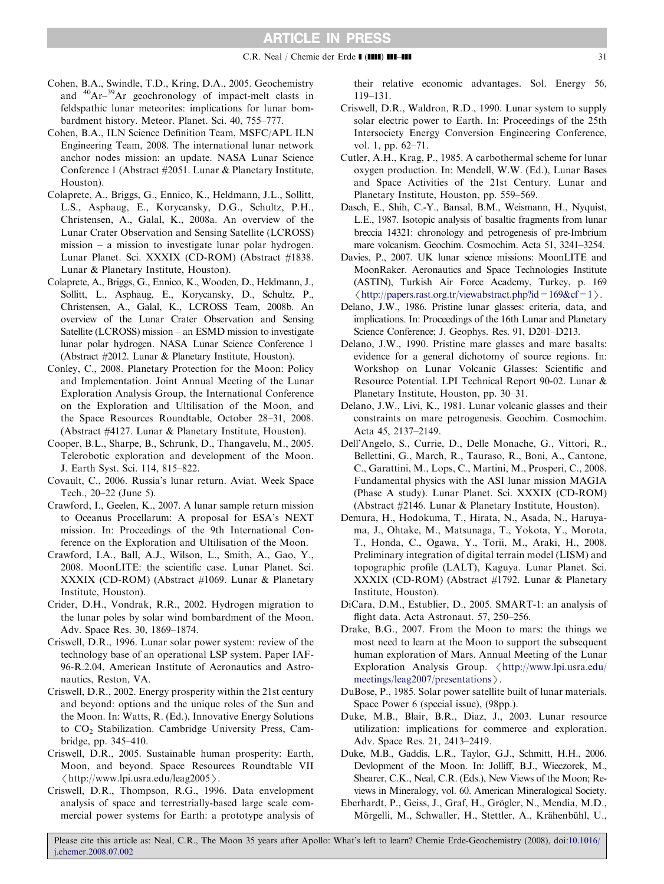- <span id="page-30-0"></span>Cohen, B.A., Swindle, T.D., Kring, D.A., 2005. Geochemistry and  ${}^{40}Ar-{}^{39}Ar$  geochronology of impact-melt clasts in feldspathic lunar meteorites: implications for lunar bombardment history. Meteor. Planet. Sci. 40, 755–777.
- Cohen, B.A., ILN Science Definition Team, MSFC/APL ILN Engineering Team, 2008. The international lunar network anchor nodes mission: an update. NASA Lunar Science Conference 1 (Abstract #2051. Lunar & Planetary Institute, Houston).
- Colaprete, A., Briggs, G., Ennico, K., Heldmann, J.L., Sollitt, L.S., Asphaug, E., Korycansky, D.G., Schultz, P.H., Christensen, A., Galal, K., 2008a. An overview of the Lunar Crater Observation and Sensing Satellite (LCROSS) mission – a mission to investigate lunar polar hydrogen. Lunar Planet. Sci. XXXIX (CD-ROM) (Abstract #1838. Lunar & Planetary Institute, Houston).
- Colaprete, A., Briggs, G., Ennico, K., Wooden, D., Heldmann, J., Sollitt, L., Asphaug, E., Korycansky, D., Schultz, P., Christensen, A., Galal, K., LCROSS Team, 2008b. An overview of the Lunar Crater Observation and Sensing Satellite (LCROSS) mission – an ESMD mission to investigate lunar polar hydrogen. NASA Lunar Science Conference 1 (Abstract #2012. Lunar & Planetary Institute, Houston).
- Conley, C., 2008. Planetary Protection for the Moon: Policy and Implementation. Joint Annual Meeting of the Lunar Exploration Analysis Group, the International Conference on the Exploration and Ultilisation of the Moon, and the Space Resources Roundtable, October 28–31, 2008. (Abstract #4127. Lunar & Planetary Institute, Houston).
- Cooper, B.L., Sharpe, B., Schrunk, D., Thangavelu, M., 2005. Telerobotic exploration and development of the Moon. J. Earth Syst. Sci. 114, 815–822.
- Covault, C., 2006. Russia's lunar return. Aviat. Week Space Tech., 20–22 (June 5).
- Crawford, I., Geelen, K., 2007. A lunar sample return mission to Oceanus Procellarum: A proposal for ESA's NEXT mission. In: Proceedings of the 9th International Conference on the Exploration and Ultilisation of the Moon.
- Crawford, I.A., Ball, A.J., Wilson, L., Smith, A., Gao, Y., 2008. MoonLITE: the scientific case. Lunar Planet. Sci. XXXIX (CD-ROM) (Abstract #1069. Lunar & Planetary Institute, Houston).
- Crider, D.H., Vondrak, R.R., 2002. Hydrogen migration to the lunar poles by solar wind bombardment of the Moon. Adv. Space Res. 30, 1869–1874.
- Criswell, D.R., 1996. Lunar solar power system: review of the technology base of an operational LSP system. Paper IAF-96-R.2.04, American Institute of Aeronautics and Astronautics, Reston, VA.
- Criswell, D.R., 2002. Energy prosperity within the 21st century and beyond: options and the unique roles of the Sun and the Moon. In: Watts, R. (Ed.), Innovative Energy Solutions to CO<sub>2</sub> Stabilization. Cambridge University Press, Cambridge, pp. 345–410.
- Criswell, D.R., 2005. Sustainable human prosperity: Earth, Moon, and beyond. Space Resources Roundtable VII  $\langle$ <http://www.lpi.usra.edu/leag2005> $\rangle$ .
- Criswell, D.R., Thompson, R.G., 1996. Data envelopment analysis of space and terrestrially-based large scale commercial power systems for Earth: a prototype analysis of

their relative economic advantages. Sol. Energy 56, 119–131.

- Criswell, D.R., Waldron, R.D., 1990. Lunar system to supply solar electric power to Earth. In: Proceedings of the 25th Intersociety Energy Conversion Engineering Conference, vol. 1, pp. 62–71.
- Cutler, A.H., Krag, P., 1985. A carbothermal scheme for lunar oxygen production. In: Mendell, W.W. (Ed.), Lunar Bases and Space Activities of the 21st Century. Lunar and Planetary Institute, Houston, pp. 559–569.
- Dasch, E., Shih, C.-Y., Bansal, B.M., Weismann, H., Nyquist, L.E., 1987. Isotopic analysis of basaltic fragments from lunar breccia 14321: chronology and petrogenesis of pre-Imbrium mare volcanism. Geochim. Cosmochim. Acta 51, 3241–3254.
- Davies, P., 2007. UK lunar science missions: MoonLITE and MoonRaker. Aeronautics and Space Technologies Institute (ASTIN), Turkish Air Force Academy, Turkey, p. 169  $\langle$  <http://papers.rast.org.tr/viewabstract.php?id=169&cf=1> $\rangle$ .
- Delano, J.W., 1986. Pristine lunar glasses: criteria, data, and implications. In: Proceedings of the 16th Lunar and Planetary Science Conference; J. Geophys. Res. 91, D201–D213.
- Delano, J.W., 1990. Pristine mare glasses and mare basalts: evidence for a general dichotomy of source regions. In: Workshop on Lunar Volcanic Glasses: Scientific and Resource Potential. LPI Technical Report 90-02. Lunar & Planetary Institute, Houston, pp. 30–31.
- Delano, J.W., Livi, K., 1981. Lunar volcanic glasses and their constraints on mare petrogenesis. Geochim. Cosmochim. Acta 45, 2137–2149.
- Dell'Angelo, S., Currie, D., Delle Monache, G., Vittori, R., Bellettini, G., March, R., Tauraso, R., Boni, A., Cantone, C., Garattini, M., Lops, C., Martini, M., Prosperi, C., 2008. Fundamental physics with the ASI lunar mission MAGIA (Phase A study). Lunar Planet. Sci. XXXIX (CD-ROM) (Abstract #2146. Lunar & Planetary Institute, Houston).
- Demura, H., Hodokuma, T., Hirata, N., Asada, N., Haruyama, J., Ohtake, M., Matsunaga, T., Yokota, Y., Morota, T., Honda, C., Ogawa, Y., Torii, M., Araki, H., 2008. Preliminary integration of digital terrain model (LISM) and topographic profile (LALT), Kaguya. Lunar Planet. Sci. XXXIX (CD-ROM) (Abstract #1792. Lunar & Planetary Institute, Houston).
- DiCara, D.M., Estublier, D., 2005. SMART-1: an analysis of flight data. Acta Astronaut. 57, 250–256.
- Drake, B.G., 2007. From the Moon to mars: the things we most need to learn at the Moon to support the subsequent human exploration of Mars. Annual Meeting of the Lunar Exploration Analysis Group.  $\langle$ [http://www.lpi.usra.edu/](http://www.lpi.usra.edu/meetings/leag2007/presentations) [meetings/leag2007/presentations](http://www.lpi.usra.edu/meetings/leag2007/presentations)  $\rangle$ .
- DuBose, P., 1985. Solar power satellite built of lunar materials. Space Power 6 (special issue), (98pp.).
- Duke, M.B., Blair, B.R., Diaz, J., 2003. Lunar resource utilization: implications for commerce and exploration. Adv. Space Res. 21, 2413–2419.
- Duke, M.B., Gaddis, L.R., Taylor, G.J., Schmitt, H.H., 2006. Devlopment of the Moon. In: Jolliff, B.J., Wieczorek, M., Shearer, C.K., Neal, C.R. (Eds.), New Views of the Moon; Reviews in Mineralogy, vol. 60. American Mineralogical Society.
- Eberhardt, P., Geiss, J., Graf, H., Grögler, N., Mendia, M.D., Mörgelli, M., Schwaller, H., Stettler, A., Krähenbühl, U.,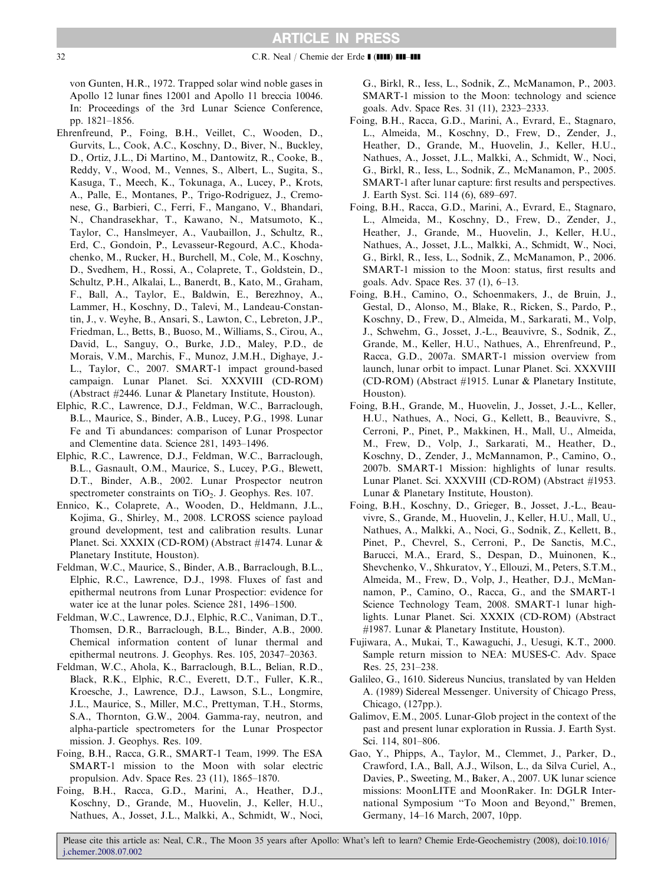<span id="page-31-0"></span>von Gunten, H.R., 1972. Trapped solar wind noble gases in Apollo 12 lunar fines 12001 and Apollo 11 breccia 10046. In: Proceedings of the 3rd Lunar Science Conference, pp. 1821–1856.

- Ehrenfreund, P., Foing, B.H., Veillet, C., Wooden, D., Gurvits, L., Cook, A.C., Koschny, D., Biver, N., Buckley, D., Ortiz, J.L., Di Martino, M., Dantowitz, R., Cooke, B., Reddy, V., Wood, M., Vennes, S., Albert, L., Sugita, S., Kasuga, T., Meech, K., Tokunaga, A., Lucey, P., Krots, A., Palle, E., Montanes, P., Trigo-Rodriguez, J., Cremonese, G., Barbieri, C., Ferri, F., Mangano, V., Bhandari, N., Chandrasekhar, T., Kawano, N., Matsumoto, K., Taylor, C., Hanslmeyer, A., Vaubaillon, J., Schultz, R., Erd, C., Gondoin, P., Levasseur-Regourd, A.C., Khodachenko, M., Rucker, H., Burchell, M., Cole, M., Koschny, D., Svedhem, H., Rossi, A., Colaprete, T., Goldstein, D., Schultz, P.H., Alkalai, L., Banerdt, B., Kato, M., Graham, F., Ball, A., Taylor, E., Baldwin, E., Berezhnoy, A., Lammer, H., Koschny, D., Talevi, M., Landeau-Constantin, J., v. Weyhe, B., Ansari, S., Lawton, C., Lebreton, J.P., Friedman, L., Betts, B., Buoso, M., Williams, S., Cirou, A., David, L., Sanguy, O., Burke, J.D., Maley, P.D., de Morais, V.M., Marchis, F., Munoz, J.M.H., Dighaye, J.- L., Taylor, C., 2007. SMART-1 impact ground-based campaign. Lunar Planet. Sci. XXXVIII (CD-ROM) (Abstract #2446. Lunar & Planetary Institute, Houston).
- Elphic, R.C., Lawrence, D.J., Feldman, W.C., Barraclough, B.L., Maurice, S., Binder, A.B., Lucey, P.G., 1998. Lunar Fe and Ti abundances: comparison of Lunar Prospector and Clementine data. Science 281, 1493–1496.
- Elphic, R.C., Lawrence, D.J., Feldman, W.C., Barraclough, B.L., Gasnault, O.M., Maurice, S., Lucey, P.G., Blewett, D.T., Binder, A.B., 2002. Lunar Prospector neutron spectrometer constraints on TiO<sub>2</sub>. J. Geophys. Res. 107.
- Ennico, K., Colaprete, A., Wooden, D., Heldmann, J.L., Kojima, G., Shirley, M., 2008. LCROSS science payload ground development, test and calibration results. Lunar Planet. Sci. XXXIX (CD-ROM) (Abstract #1474. Lunar & Planetary Institute, Houston).
- Feldman, W.C., Maurice, S., Binder, A.B., Barraclough, B.L., Elphic, R.C., Lawrence, D.J., 1998. Fluxes of fast and epithermal neutrons from Lunar Prospectior: evidence for water ice at the lunar poles. Science 281, 1496–1500.
- Feldman, W.C., Lawrence, D.J., Elphic, R.C., Vaniman, D.T., Thomsen, D.R., Barraclough, B.L., Binder, A.B., 2000. Chemical information content of lunar thermal and epithermal neutrons. J. Geophys. Res. 105, 20347–20363.
- Feldman, W.C., Ahola, K., Barraclough, B.L., Belian, R.D., Black, R.K., Elphic, R.C., Everett, D.T., Fuller, K.R., Kroesche, J., Lawrence, D.J., Lawson, S.L., Longmire, J.L., Maurice, S., Miller, M.C., Prettyman, T.H., Storms, S.A., Thornton, G.W., 2004. Gamma-ray, neutron, and alpha-particle spectrometers for the Lunar Prospector mission. J. Geophys. Res. 109.
- Foing, B.H., Racca, G.R., SMART-1 Team, 1999. The ESA SMART-1 mission to the Moon with solar electric propulsion. Adv. Space Res. 23 (11), 1865–1870.
- Foing, B.H., Racca, G.D., Marini, A., Heather, D.J., Koschny, D., Grande, M., Huovelin, J., Keller, H.U., Nathues, A., Josset, J.L., Malkki, A., Schmidt, W., Noci,

G., Birkl, R., Iess, L., Sodnik, Z., McManamon, P., 2003. SMART-1 mission to the Moon: technology and science goals. Adv. Space Res. 31 (11), 2323–2333.

- Foing, B.H., Racca, G.D., Marini, A., Evrard, E., Stagnaro, L., Almeida, M., Koschny, D., Frew, D., Zender, J., Heather, D., Grande, M., Huovelin, J., Keller, H.U., Nathues, A., Josset, J.L., Malkki, A., Schmidt, W., Noci, G., Birkl, R., Iess, L., Sodnik, Z., McManamon, P., 2005. SMART-1 after lunar capture: first results and perspectives. J. Earth Syst. Sci. 114 (6), 689–697.
- Foing, B.H., Racca, G.D., Marini, A., Evrard, E., Stagnaro, L., Almeida, M., Koschny, D., Frew, D., Zender, J., Heather, J., Grande, M., Huovelin, J., Keller, H.U., Nathues, A., Josset, J.L., Malkki, A., Schmidt, W., Noci, G., Birkl, R., Iess, L., Sodnik, Z., McManamon, P., 2006. SMART-1 mission to the Moon: status, first results and goals. Adv. Space Res. 37 (1), 6–13.
- Foing, B.H., Camino, O., Schoenmakers, J., de Bruin, J., Gestal, D., Alonso, M., Blake, R., Ricken, S., Pardo, P., Koschny, D., Frew, D., Almeida, M., Sarkarati, M., Volp, J., Schwehm, G., Josset, J.-L., Beauvivre, S., Sodnik, Z., Grande, M., Keller, H.U., Nathues, A., Ehrenfreund, P., Racca, G.D., 2007a. SMART-1 mission overview from launch, lunar orbit to impact. Lunar Planet. Sci. XXXVIII (CD-ROM) (Abstract #1915. Lunar & Planetary Institute, Houston).
- Foing, B.H., Grande, M., Huovelin, J., Josset, J.-L., Keller, H.U., Nathues, A., Noci, G., Kellett, B., Beauvivre, S., Cerroni, P., Pinet, P., Makkinen, H., Mall, U., Almeida, M., Frew, D., Volp, J., Sarkarati, M., Heather, D., Koschny, D., Zender, J., McMannamon, P., Camino, O., 2007b. SMART-1 Mission: highlights of lunar results. Lunar Planet. Sci. XXXVIII (CD-ROM) (Abstract #1953. Lunar & Planetary Institute, Houston).
- Foing, B.H., Koschny, D., Grieger, B., Josset, J.-L., Beauvivre, S., Grande, M., Huovelin, J., Keller, H.U., Mall, U., Nathues, A., Malkki, A., Noci, G., Sodnik, Z., Kellett, B., Pinet, P., Chevrel, S., Cerroni, P., De Sanctis, M.C., Barucci, M.A., Erard, S., Despan, D., Muinonen, K., Shevchenko, V., Shkuratov, Y., Ellouzi, M., Peters, S.T.M., Almeida, M., Frew, D., Volp, J., Heather, D.J., McMannamon, P., Camino, O., Racca, G., and the SMART-1 Science Technology Team, 2008. SMART-1 lunar highlights. Lunar Planet. Sci. XXXIX (CD-ROM) (Abstract #1987. Lunar & Planetary Institute, Houston).
- Fujiwara, A., Mukai, T., Kawaguchi, J., Uesugi, K.T., 2000. Sample return mission to NEA: MUSES-C. Adv. Space Res. 25, 231–238.
- Galileo, G., 1610. Sidereus Nuncius, translated by van Helden A. (1989) Sidereal Messenger. University of Chicago Press, Chicago, (127pp.).
- Galimov, E.M., 2005. Lunar-Glob project in the context of the past and present lunar exploration in Russia. J. Earth Syst. Sci. 114, 801–806.
- Gao, Y., Phipps, A., Taylor, M., Clemmet, J., Parker, D., Crawford, I.A., Ball, A.J., Wilson, L., da Silva Curiel, A., Davies, P., Sweeting, M., Baker, A., 2007. UK lunar science missions: MoonLITE and MoonRaker. In: DGLR International Symposium ''To Moon and Beyond,'' Bremen, Germany, 14–16 March, 2007, 10pp.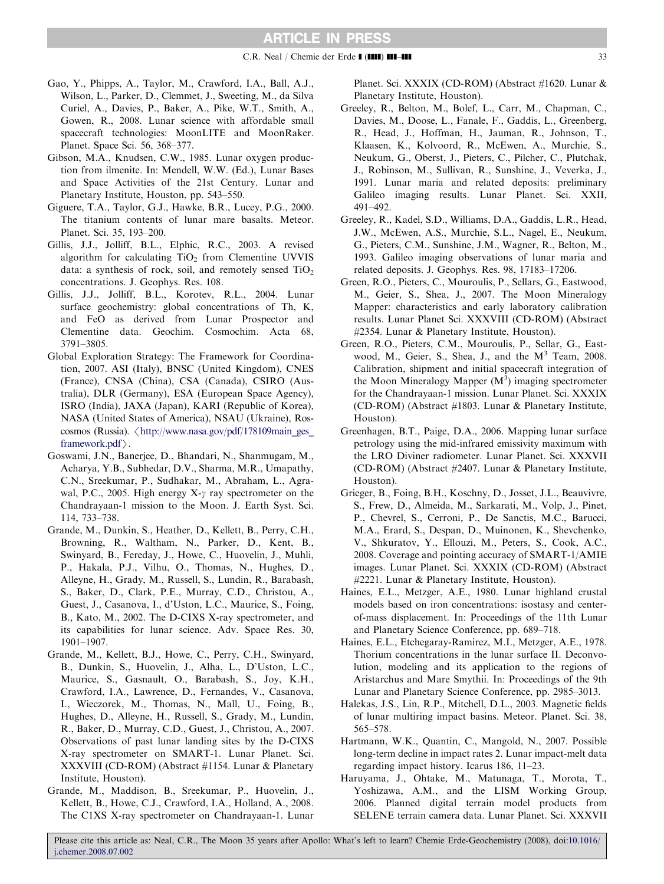- <span id="page-32-0"></span>Gao, Y., Phipps, A., Taylor, M., Crawford, I.A., Ball, A.J., Wilson, L., Parker, D., Clemmet, J., Sweeting, M., da Silva Curiel, A., Davies, P., Baker, A., Pike, W.T., Smith, A., Gowen, R., 2008. Lunar science with affordable small spacecraft technologies: MoonLITE and MoonRaker. Planet. Space Sci. 56, 368–377.
- Gibson, M.A., Knudsen, C.W., 1985. Lunar oxygen production from ilmenite. In: Mendell, W.W. (Ed.), Lunar Bases and Space Activities of the 21st Century. Lunar and Planetary Institute, Houston, pp. 543–550.
- Giguere, T.A., Taylor, G.J., Hawke, B.R., Lucey, P.G., 2000. The titanium contents of lunar mare basalts. Meteor. Planet. Sci. 35, 193–200.
- Gillis, J.J., Jolliff, B.L., Elphic, R.C., 2003. A revised algorithm for calculating  $TiO<sub>2</sub>$  from Clementine UVVIS data: a synthesis of rock, soil, and remotely sensed  $TiO<sub>2</sub>$ concentrations. J. Geophys. Res. 108.
- Gillis, J.J., Jolliff, B.L., Korotev, R.L., 2004. Lunar surface geochemistry: global concentrations of Th, K, and FeO as derived from Lunar Prospector and Clementine data. Geochim. Cosmochim. Acta 68, 3791–3805.
- Global Exploration Strategy: The Framework for Coordination, 2007. ASI (Italy), BNSC (United Kingdom), CNES (France), CNSA (China), CSA (Canada), CSIRO (Australia), DLR (Germany), ESA (European Space Agency), ISRO (India), JAXA (Japan), KARI (Republic of Korea), NASA (United States of America), NSAU (Ukraine), Roscosmos (Russia).  $\langle$ [http://www.nasa.gov/pdf/178109main\\_ges\\_](http://www.nasa.gov/pdf/178109main_ges_framework.pdf) [framework.pdf](http://www.nasa.gov/pdf/178109main_ges_framework.pdf) $\rangle$ .
- Goswami, J.N., Banerjee, D., Bhandari, N., Shanmugam, M., Acharya, Y.B., Subhedar, D.V., Sharma, M.R., Umapathy, C.N., Sreekumar, P., Sudhakar, M., Abraham, L., Agrawal, P.C., 2005. High energy  $X-\gamma$  ray spectrometer on the Chandrayaan-1 mission to the Moon. J. Earth Syst. Sci. 114, 733–738.
- Grande, M., Dunkin, S., Heather, D., Kellett, B., Perry, C.H., Browning, R., Waltham, N., Parker, D., Kent, B., Swinyard, B., Fereday, J., Howe, C., Huovelin, J., Muhli, P., Hakala, P.J., Vilhu, O., Thomas, N., Hughes, D., Alleyne, H., Grady, M., Russell, S., Lundin, R., Barabash, S., Baker, D., Clark, P.E., Murray, C.D., Christou, A., Guest, J., Casanova, I., d'Uston, L.C., Maurice, S., Foing, B., Kato, M., 2002. The D-CIXS X-ray spectrometer, and its capabilities for lunar science. Adv. Space Res. 30, 1901–1907.
- Grande, M., Kellett, B.J., Howe, C., Perry, C.H., Swinyard, B., Dunkin, S., Huovelin, J., Alha, L., D'Uston, L.C., Maurice, S., Gasnault, O., Barabash, S., Joy, K.H., Crawford, I.A., Lawrence, D., Fernandes, V., Casanova, I., Wieczorek, M., Thomas, N., Mall, U., Foing, B., Hughes, D., Alleyne, H., Russell, S., Grady, M., Lundin, R., Baker, D., Murray, C.D., Guest, J., Christou, A., 2007. Observations of past lunar landing sites by the D-CIXS X-ray spectrometer on SMART-1. Lunar Planet. Sci. XXXVIII (CD-ROM) (Abstract #1154. Lunar & Planetary Institute, Houston).
- Grande, M., Maddison, B., Sreekumar, P., Huovelin, J., Kellett, B., Howe, C.J., Crawford, I.A., Holland, A., 2008. The C1XS X-ray spectrometer on Chandrayaan-1. Lunar

Planet. Sci. XXXIX (CD-ROM) (Abstract #1620. Lunar & Planetary Institute, Houston).

- Greeley, R., Belton, M., Bolef, L., Carr, M., Chapman, C., Davies, M., Doose, L., Fanale, F., Gaddis, L., Greenberg, R., Head, J., Hoffman, H., Jauman, R., Johnson, T., Klaasen, K., Kolvoord, R., McEwen, A., Murchie, S., Neukum, G., Oberst, J., Pieters, C., Pilcher, C., Plutchak, J., Robinson, M., Sullivan, R., Sunshine, J., Veverka, J., 1991. Lunar maria and related deposits: preliminary Galileo imaging results. Lunar Planet. Sci. XXII, 491–492.
- Greeley, R., Kadel, S.D., Williams, D.A., Gaddis, L.R., Head, J.W., McEwen, A.S., Murchie, S.L., Nagel, E., Neukum, G., Pieters, C.M., Sunshine, J.M., Wagner, R., Belton, M., 1993. Galileo imaging observations of lunar maria and related deposits. J. Geophys. Res. 98, 17183–17206.
- Green, R.O., Pieters, C., Mouroulis, P., Sellars, G., Eastwood, M., Geier, S., Shea, J., 2007. The Moon Mineralogy Mapper: characteristics and early laboratory calibration results. Lunar Planet Sci. XXXVIII (CD-ROM) (Abstract #2354. Lunar & Planetary Institute, Houston).
- Green, R.O., Pieters, C.M., Mouroulis, P., Sellar, G., Eastwood, M., Geier, S., Shea, J., and the  $M<sup>3</sup>$  Team, 2008. Calibration, shipment and initial spacecraft integration of the Moon Mineralogy Mapper  $(M^3)$  imaging spectrometer for the Chandrayaan-1 mission. Lunar Planet. Sci. XXXIX (CD-ROM) (Abstract #1803. Lunar & Planetary Institute, Houston).
- Greenhagen, B.T., Paige, D.A., 2006. Mapping lunar surface petrology using the mid-infrared emissivity maximum with the LRO Diviner radiometer. Lunar Planet. Sci. XXXVII (CD-ROM) (Abstract #2407. Lunar & Planetary Institute, Houston).
- Grieger, B., Foing, B.H., Koschny, D., Josset, J.L., Beauvivre, S., Frew, D., Almeida, M., Sarkarati, M., Volp, J., Pinet, P., Chevrel, S., Cerroni, P., De Sanctis, M.C., Barucci, M.A., Erard, S., Despan, D., Muinonen, K., Shevchenko, V., Shkuratov, Y., Ellouzi, M., Peters, S., Cook, A.C., 2008. Coverage and pointing accuracy of SMART-1/AMIE images. Lunar Planet. Sci. XXXIX (CD-ROM) (Abstract #2221. Lunar & Planetary Institute, Houston).
- Haines, E.L., Metzger, A.E., 1980. Lunar highland crustal models based on iron concentrations: isostasy and centerof-mass displacement. In: Proceedings of the 11th Lunar and Planetary Science Conference, pp. 689–718.
- Haines, E.L., Etchegaray-Ramirez, M.I., Metzger, A.E., 1978. Thorium concentrations in the lunar surface II. Deconvolution, modeling and its application to the regions of Aristarchus and Mare Smythii. In: Proceedings of the 9th Lunar and Planetary Science Conference, pp. 2985–3013.
- Halekas, J.S., Lin, R.P., Mitchell, D.L., 2003. Magnetic fields of lunar multiring impact basins. Meteor. Planet. Sci. 38, 565–578.
- Hartmann, W.K., Quantin, C., Mangold, N., 2007. Possible long-term decline in impact rates 2. Lunar impact-melt data regarding impact history. Icarus 186, 11–23.
- Haruyama, J., Ohtake, M., Matunaga, T., Morota, T., Yoshizawa, A.M., and the LISM Working Group, 2006. Planned digital terrain model products from SELENE terrain camera data. Lunar Planet. Sci. XXXVII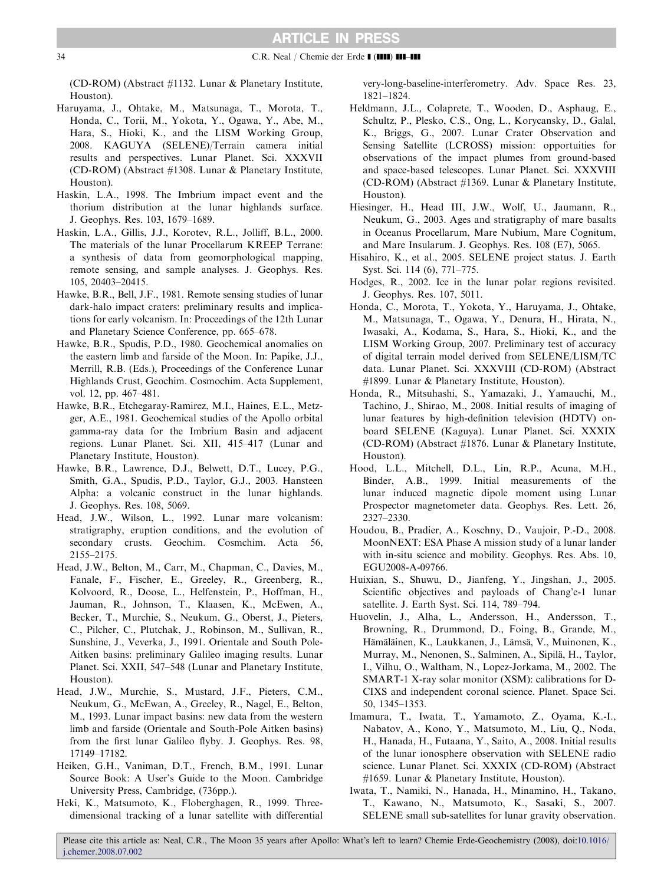## <span id="page-33-0"></span>34 C.R. Neal / Chemie der Erde I (IIII) III-III

(CD-ROM) (Abstract #1132. Lunar & Planetary Institute, Houston).

- Haruyama, J., Ohtake, M., Matsunaga, T., Morota, T., Honda, C., Torii, M., Yokota, Y., Ogawa, Y., Abe, M., Hara, S., Hioki, K., and the LISM Working Group, 2008. KAGUYA (SELENE)/Terrain camera initial results and perspectives. Lunar Planet. Sci. XXXVII (CD-ROM) (Abstract #1308. Lunar & Planetary Institute, Houston).
- Haskin, L.A., 1998. The Imbrium impact event and the thorium distribution at the lunar highlands surface. J. Geophys. Res. 103, 1679–1689.
- Haskin, L.A., Gillis, J.J., Korotev, R.L., Jolliff, B.L., 2000. The materials of the lunar Procellarum KREEP Terrane: a synthesis of data from geomorphological mapping, remote sensing, and sample analyses. J. Geophys. Res. 105, 20403–20415.
- Hawke, B.R., Bell, J.F., 1981. Remote sensing studies of lunar dark-halo impact craters: preliminary results and implications for early volcanism. In: Proceedings of the 12th Lunar and Planetary Science Conference, pp. 665–678.
- Hawke, B.R., Spudis, P.D., 1980. Geochemical anomalies on the eastern limb and farside of the Moon. In: Papike, J.J., Merrill, R.B. (Eds.), Proceedings of the Conference Lunar Highlands Crust, Geochim. Cosmochim. Acta Supplement, vol. 12, pp. 467–481.
- Hawke, B.R., Etchegaray-Ramirez, M.I., Haines, E.L., Metzger, A.E., 1981. Geochemical studies of the Apollo orbital gamma-ray data for the Imbrium Basin and adjacent regions. Lunar Planet. Sci. XII, 415–417 (Lunar and Planetary Institute, Houston).
- Hawke, B.R., Lawrence, D.J., Belwett, D.T., Lucey, P.G., Smith, G.A., Spudis, P.D., Taylor, G.J., 2003. Hansteen Alpha: a volcanic construct in the lunar highlands. J. Geophys. Res. 108, 5069.
- Head, J.W., Wilson, L., 1992. Lunar mare volcanism: stratigraphy, eruption conditions, and the evolution of secondary crusts. Geochim. Cosmchim. Acta 56, 2155–2175.
- Head, J.W., Belton, M., Carr, M., Chapman, C., Davies, M., Fanale, F., Fischer, E., Greeley, R., Greenberg, R., Kolvoord, R., Doose, L., Helfenstein, P., Hoffman, H., Jauman, R., Johnson, T., Klaasen, K., McEwen, A., Becker, T., Murchie, S., Neukum, G., Oberst, J., Pieters, C., Pilcher, C., Plutchak, J., Robinson, M., Sullivan, R., Sunshine, J., Veverka, J., 1991. Orientale and South Pole-Aitken basins: preliminary Galileo imaging results. Lunar Planet. Sci. XXII, 547–548 (Lunar and Planetary Institute, Houston).
- Head, J.W., Murchie, S., Mustard, J.F., Pieters, C.M., Neukum, G., McEwan, A., Greeley, R., Nagel, E., Belton, M., 1993. Lunar impact basins: new data from the western limb and farside (Orientale and South-Pole Aitken basins) from the first lunar Galileo flyby. J. Geophys. Res. 98, 17149–17182.
- Heiken, G.H., Vaniman, D.T., French, B.M., 1991. Lunar Source Book: A User's Guide to the Moon. Cambridge University Press, Cambridge, (736pp.).
- Heki, K., Matsumoto, K., Floberghagen, R., 1999. Threedimensional tracking of a lunar satellite with differential

very-long-baseline-interferometry. Adv. Space Res. 23, 1821–1824.

- Heldmann, J.L., Colaprete, T., Wooden, D., Asphaug, E., Schultz, P., Plesko, C.S., Ong, L., Korycansky, D., Galal, K., Briggs, G., 2007. Lunar Crater Observation and Sensing Satellite (LCROSS) mission: opportuities for observations of the impact plumes from ground-based and space-based telescopes. Lunar Planet. Sci. XXXVIII (CD-ROM) (Abstract #1369. Lunar & Planetary Institute, Houston).
- Hiesinger, H., Head III, J.W., Wolf, U., Jaumann, R., Neukum, G., 2003. Ages and stratigraphy of mare basalts in Oceanus Procellarum, Mare Nubium, Mare Cognitum, and Mare Insularum. J. Geophys. Res. 108 (E7), 5065.
- Hisahiro, K., et al., 2005. SELENE project status. J. Earth Syst. Sci. 114 (6), 771–775.
- Hodges, R., 2002. Ice in the lunar polar regions revisited. J. Geophys. Res. 107, 5011.
- Honda, C., Morota, T., Yokota, Y., Haruyama, J., Ohtake, M., Matsunaga, T., Ogawa, Y., Denura, H., Hirata, N., Iwasaki, A., Kodama, S., Hara, S., Hioki, K., and the LISM Working Group, 2007. Preliminary test of accuracy of digital terrain model derived from SELENE/LISM/TC data. Lunar Planet. Sci. XXXVIII (CD-ROM) (Abstract #1899. Lunar & Planetary Institute, Houston).
- Honda, R., Mitsuhashi, S., Yamazaki, J., Yamauchi, M., Tachino, J., Shirao, M., 2008. Initial results of imaging of lunar features by high-definition television (HDTV) onboard SELENE (Kaguya). Lunar Planet. Sci. XXXIX (CD-ROM) (Abstract #1876. Lunar & Planetary Institute, Houston).
- Hood, L.L., Mitchell, D.L., Lin, R.P., Acuna, M.H., Binder, A.B., 1999. Initial measurements of the lunar induced magnetic dipole moment using Lunar Prospector magnetometer data. Geophys. Res. Lett. 26, 2327–2330.
- Houdou, B., Pradier, A., Koschny, D., Vaujoir, P.-D., 2008. MoonNEXT: ESA Phase A mission study of a lunar lander with in-situ science and mobility. Geophys. Res. Abs. 10, EGU2008-A-09766.
- Huixian, S., Shuwu, D., Jianfeng, Y., Jingshan, J., 2005. Scientific objectives and payloads of Chang'e-1 lunar satellite. J. Earth Syst. Sci. 114, 789–794.
- Huovelin, J., Alha, L., Andersson, H., Andersson, T., Browning, R., Drummond, D., Foing, B., Grande, M., Hämäläinen, K., Laukkanen, J., Lämsä, V., Muinonen, K., Murray, M., Nenonen, S., Salminen, A., Sipilä, H., Taylor, I., Vilhu, O., Waltham, N., Lopez-Jorkama, M., 2002. The SMART-1 X-ray solar monitor (XSM): calibrations for D-CIXS and independent coronal science. Planet. Space Sci. 50, 1345–1353.
- Imamura, T., Iwata, T., Yamamoto, Z., Oyama, K.-I., Nabatov, A., Kono, Y., Matsumoto, M., Liu, Q., Noda, H., Hanada, H., Futaana, Y., Saito, A., 2008. Initial results of the lunar ionosphere observation with SELENE radio science. Lunar Planet. Sci. XXXIX (CD-ROM) (Abstract #1659. Lunar & Planetary Institute, Houston).
- Iwata, T., Namiki, N., Hanada, H., Minamino, H., Takano, T., Kawano, N., Matsumoto, K., Sasaki, S., 2007. SELENE small sub-satellites for lunar gravity observation.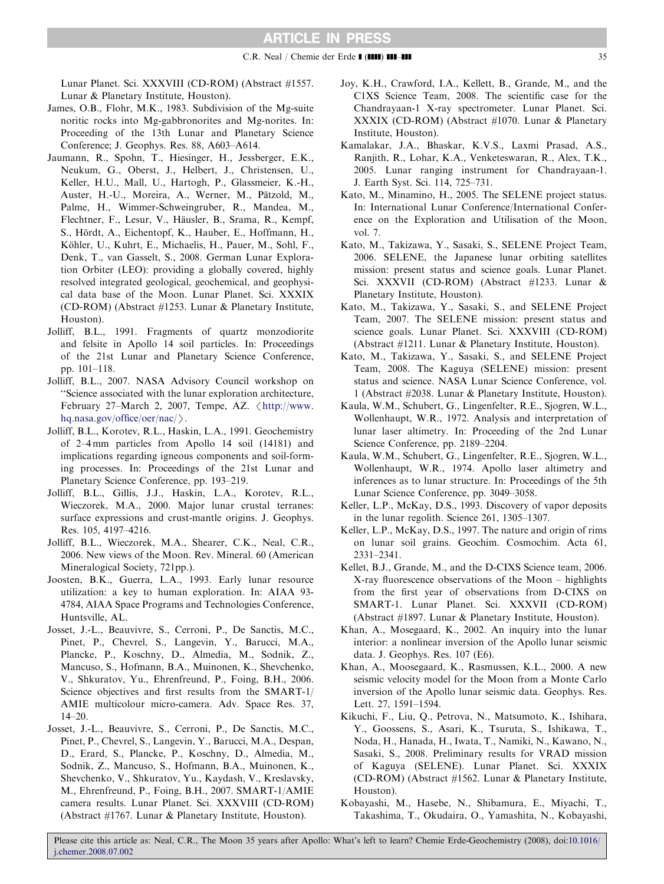<span id="page-34-0"></span>Lunar Planet. Sci. XXXVIII (CD-ROM) (Abstract #1557. Lunar & Planetary Institute, Houston).

- James, O.B., Flohr, M.K., 1983. Subdivision of the Mg-suite noritic rocks into Mg-gabbronorites and Mg-norites. In: Proceeding of the 13th Lunar and Planetary Science Conference; J. Geophys. Res. 88, A603–A614.
- Jaumann, R., Spohn, T., Hiesinger, H., Jessberger, E.K., Neukum, G., Oberst, J., Helbert, J., Christensen, U., Keller, H.U., Mall, U., Hartogh, P., Glassmeier, K.-H., Auster, H.-U., Moreira, A., Werner, M., Pätzold, M., Palme, H., Wimmer-Schweingruber, R., Mandea, M., Flechtner, F., Lesur, V., Häusler, B., Srama, R., Kempf, S., Hördt, A., Eichentopf, K., Hauber, E., Hoffmann, H., Köhler, U., Kuhrt, E., Michaelis, H., Pauer, M., Sohl, F., Denk, T., van Gasselt, S., 2008. German Lunar Exploration Orbiter (LEO): providing a globally covered, highly resolved integrated geological, geochemical, and geophysical data base of the Moon. Lunar Planet. Sci. XXXIX (CD-ROM) (Abstract #1253. Lunar & Planetary Institute, Houston).
- Jolliff, B.L., 1991. Fragments of quartz monzodiorite and felsite in Apollo 14 soil particles. In: Proceedings of the 21st Lunar and Planetary Science Conference, pp. 101–118.
- Jolliff, B.L., 2007. NASA Advisory Council workshop on ''Science associated with the lunar exploration architecture, February 27–March 2, 2007, Tempe, AZ.  $\langle$  [http://www.](http://www.hq.nasa.gov/office/oer/nac/) [hq.nasa.gov/office/oer/nac/](http://www.hq.nasa.gov/office/oer/nac/) $\rangle$ .
- Jolliff, B.L., Korotev, R.L., Haskin, L.A., 1991. Geochemistry of 2–4 mm particles from Apollo 14 soil (14181) and implications regarding igneous components and soil-forming processes. In: Proceedings of the 21st Lunar and Planetary Science Conference, pp. 193–219.
- Jolliff, B.L., Gillis, J.J., Haskin, L.A., Korotev, R.L., Wieczorek, M.A., 2000. Major lunar crustal terranes: surface expressions and crust-mantle origins. J. Geophys. Res. 105, 4197–4216.
- Jolliff, B.L., Wieczorek, M.A., Shearer, C.K., Neal, C.R., 2006. New views of the Moon. Rev. Mineral. 60 (American Mineralogical Society, 721pp.).
- Joosten, B.K., Guerra, L.A., 1993. Early lunar resource utilization: a key to human exploration. In: AIAA 93- 4784, AIAA Space Programs and Technologies Conference, Huntsville, AL.
- Josset, J.-L., Beauvivre, S., Cerroni, P., De Sanctis, M.C., Pinet, P., Chevrel, S., Langevin, Y., Barucci, M.A., Plancke, P., Koschny, D., Almedia, M., Sodnik, Z., Mancuso, S., Hofmann, B.A., Muinonen, K., Shevchenko, V., Shkuratov, Yu., Ehrenfreund, P., Foing, B.H., 2006. Science objectives and first results from the SMART-1/ AMIE multicolour micro-camera. Adv. Space Res. 37, 14–20.
- Josset, J.-L., Beauvivre, S., Cerroni, P., De Sanctis, M.C., Pinet, P., Chevrel, S., Langevin, Y., Barucci, M.A., Despan, D., Erard, S., Plancke, P., Koschny, D., Almedia, M., Sodnik, Z., Mancuso, S., Hofmann, B.A., Muinonen, K., Shevchenko, V., Shkuratov, Yu., Kaydash, V., Kreslavsky, M., Ehrenfreund, P., Foing, B.H., 2007. SMART-1/AMIE camera results. Lunar Planet. Sci. XXXVIII (CD-ROM) (Abstract #1767. Lunar & Planetary Institute, Houston).
- Joy, K.H., Crawford, I.A., Kellett, B., Grande, M., and the C1XS Science Team, 2008. The scientific case for the Chandrayaan-1 X-ray spectrometer. Lunar Planet. Sci. XXXIX (CD-ROM) (Abstract #1070. Lunar & Planetary Institute, Houston).
- Kamalakar, J.A., Bhaskar, K.V.S., Laxmi Prasad, A.S., Ranjith, R., Lohar, K.A., Venketeswaran, R., Alex, T.K., 2005. Lunar ranging instrument for Chandrayaan-1. J. Earth Syst. Sci. 114, 725–731.
- Kato, M., Minamino, H., 2005. The SELENE project status. In: International Lunar Conference/International Conference on the Exploration and Utilisation of the Moon, vol. 7.
- Kato, M., Takizawa, Y., Sasaki, S., SELENE Project Team, 2006. SELENE, the Japanese lunar orbiting satellites mission: present status and science goals. Lunar Planet. Sci. XXXVII (CD-ROM) (Abstract #1233. Lunar & Planetary Institute, Houston).
- Kato, M., Takizawa, Y., Sasaki, S., and SELENE Project Team, 2007. The SELENE mission: present status and science goals. Lunar Planet. Sci. XXXVIII (CD-ROM) (Abstract #1211. Lunar & Planetary Institute, Houston).
- Kato, M., Takizawa, Y., Sasaki, S., and SELENE Project Team, 2008. The Kaguya (SELENE) mission: present status and science. NASA Lunar Science Conference, vol. 1 (Abstract #2038. Lunar & Planetary Institute, Houston).
- Kaula, W.M., Schubert, G., Lingenfelter, R.E., Sjogren, W.L., Wollenhaupt, W.R., 1972. Analysis and interpretation of lunar laser altimetry. In: Proceeding of the 2nd Lunar Science Conference, pp. 2189–2204.
- Kaula, W.M., Schubert, G., Lingenfelter, R.E., Sjogren, W.L., Wollenhaupt, W.R., 1974. Apollo laser altimetry and inferences as to lunar structure. In: Proceedings of the 5th Lunar Science Conference, pp. 3049–3058.
- Keller, L.P., McKay, D.S., 1993. Discovery of vapor deposits in the lunar regolith. Science 261, 1305–1307.
- Keller, L.P., McKay, D.S., 1997. The nature and origin of rims on lunar soil grains. Geochim. Cosmochim. Acta 61, 2331–2341.
- Kellet, B.J., Grande, M., and the D-CIXS Science team, 2006. X-ray fluorescence observations of the Moon – highlights from the first year of observations from D-CIXS on SMART-1. Lunar Planet. Sci. XXXVII (CD-ROM) (Abstract #1897. Lunar & Planetary Institute, Houston).
- Khan, A., Mosegaard, K., 2002. An inquiry into the lunar interior: a nonlinear inversion of the Apollo lunar seismic data. J. Geophys. Res. 107 (E6).
- Khan, A., Moosegaard, K., Rasmussen, K.L., 2000. A new seismic velocity model for the Moon from a Monte Carlo inversion of the Apollo lunar seismic data. Geophys. Res. Lett. 27, 1591–1594.
- Kikuchi, F., Liu, Q., Petrova, N., Matsumoto, K., Ishihara, Y., Goossens, S., Asari, K., Tsuruta, S., Ishikawa, T., Noda, H., Hanada, H., Iwata, T., Namiki, N., Kawano, N., Sasaki, S., 2008. Preliminary results for VRAD mission of Kaguya (SELENE). Lunar Planet. Sci. XXXIX (CD-ROM) (Abstract #1562. Lunar & Planetary Institute, Houston).
- Kobayashi, M., Hasebe, N., Shibamura, E., Miyachi, T., Takashima, T., Okudaira, O., Yamashita, N., Kobayashi,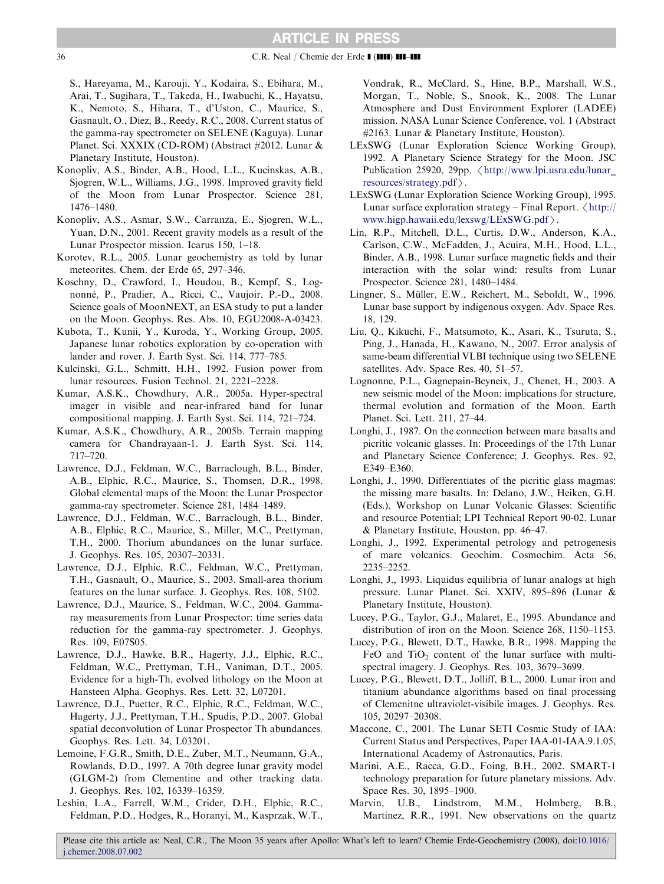#### <span id="page-35-0"></span>36 C.R. Neal / Chemie der Erde **[(IIII) III-III**

S., Hareyama, M., Karouji, Y., Kodaira, S., Ebihara, M., Arai, T., Sugihara, T., Takeda, H., Iwabuchi, K., Hayatsu, K., Nemoto, S., Hihara, T., d'Uston, C., Maurice, S., Gasnault, O., Diez, B., Reedy, R.C., 2008. Current status of the gamma-ray spectrometer on SELENE (Kaguya). Lunar Planet. Sci. XXXIX (CD-ROM) (Abstract #2012. Lunar & Planetary Institute, Houston).

- Konopliv, A.S., Binder, A.B., Hood, L.L., Kucinskas, A.B., Sjogren, W.L., Williams, J.G., 1998. Improved gravity field of the Moon from Lunar Prospector. Science 281, 1476–1480.
- Konopliv, A.S., Asmar, S.W., Carranza, E., Sjogren, W.L., Yuan, D.N., 2001. Recent gravity models as a result of the Lunar Prospector mission. Icarus 150, 1–18.
- Korotev, R.L., 2005. Lunar geochemistry as told by lunar meteorites. Chem. der Erde 65, 297–346.
- Koschny, D., Crawford, I., Houdou, B., Kempf, S., Lognonné, P., Pradier, A., Ricci, C., Vaujoir, P.-D., 2008. Science goals of MoonNEXT, an ESA study to put a lander on the Moon. Geophys. Res. Abs. 10, EGU2008-A-03423.
- Kubota, T., Kunii, Y., Kuroda, Y., Working Group, 2005. Japanese lunar robotics exploration by co-operation with lander and rover. J. Earth Syst. Sci. 114, 777–785.
- Kulcinski, G.L., Schmitt, H.H., 1992. Fusion power from lunar resources. Fusion Technol. 21, 2221–2228.
- Kumar, A.S.K., Chowdhury, A.R., 2005a. Hyper-spectral imager in visible and near-infrared band for lunar compositional mapping. J. Earth Syst. Sci. 114, 721–724.
- Kumar, A.S.K., Chowdhury, A.R., 2005b. Terrain mapping camera for Chandrayaan-1. J. Earth Syst. Sci. 114, 717–720.
- Lawrence, D.J., Feldman, W.C., Barraclough, B.L., Binder, A.B., Elphic, R.C., Maurice, S., Thomsen, D.R., 1998. Global elemental maps of the Moon: the Lunar Prospector gamma-ray spectrometer. Science 281, 1484–1489.
- Lawrence, D.J., Feldman, W.C., Barraclough, B.L., Binder, A.B., Elphic, R.C., Maurice, S., Miller, M.C., Prettyman, T.H., 2000. Thorium abundances on the lunar surface. J. Geophys. Res. 105, 20307–20331.
- Lawrence, D.J., Elphic, R.C., Feldman, W.C., Prettyman, T.H., Gasnault, O., Maurice, S., 2003. Small-area thorium features on the lunar surface. J. Geophys. Res. 108, 5102.
- Lawrence, D.J., Maurice, S., Feldman, W.C., 2004. Gammaray measurements from Lunar Prospector: time series data reduction for the gamma-ray spectrometer. J. Geophys. Res. 109, E07S05.
- Lawrence, D.J., Hawke, B.R., Hagerty, J.J., Elphic, R.C., Feldman, W.C., Prettyman, T.H., Vaniman, D.T., 2005. Evidence for a high-Th, evolved lithology on the Moon at Hansteen Alpha. Geophys. Res. Lett. 32, L07201.
- Lawrence, D.J., Puetter, R.C., Elphic, R.C., Feldman, W.C., Hagerty, J.J., Prettyman, T.H., Spudis, P.D., 2007. Global spatial deconvolution of Lunar Prospector Th abundances. Geophys. Res. Lett. 34, L03201.
- Lemoine, F.G.R., Smith, D.E., Zuber, M.T., Neumann, G.A., Rowlands, D.D., 1997. A 70th degree lunar gravity model (GLGM-2) from Clementine and other tracking data. J. Geophys. Res. 102, 16339–16359.
- Leshin, L.A., Farrell, W.M., Crider, D.H., Elphic, R.C., Feldman, P.D., Hodges, R., Horanyi, M., Kasprzak, W.T.,

Vondrak, R., McClard, S., Hine, B.P., Marshall, W.S., Morgan, T., Noble, S., Snook, K., 2008. The Lunar Atmosphere and Dust Environment Explorer (LADEE) mission. NASA Lunar Science Conference, vol. 1 (Abstract #2163. Lunar & Planetary Institute, Houston).

- LExSWG (Lunar Exploration Science Working Group), 1992. A Planetary Science Strategy for the Moon. JSC Publication 25920, 29pp.  $\langle$  http://www.lpi.usra.edu/lunar  $resources/strategy.pdf$ .
- LExSWG (Lunar Exploration Science Working Group), 1995. Lunar surface exploration strategy – Final Report.  $\langle$  [http://](http://www.higp.hawaii.edu/lexswg/LExSWG.pdf) [www.higp.hawaii.edu/lexswg/LExSWG.pdf](http://www.higp.hawaii.edu/lexswg/LExSWG.pdf)  $\rangle$ .
- Lin, R.P., Mitchell, D.L., Curtis, D.W., Anderson, K.A., Carlson, C.W., McFadden, J., Acuira, M.H., Hood, L.L., Binder, A.B., 1998. Lunar surface magnetic fields and their interaction with the solar wind: results from Lunar Prospector. Science 281, 1480–1484.
- Lingner, S., Müller, E.W., Reichert, M., Seboldt, W., 1996. Lunar base support by indigenous oxygen. Adv. Space Res. 18, 129.
- Liu, Q., Kikuchi, F., Matsumoto, K., Asari, K., Tsuruta, S., Ping, J., Hanada, H., Kawano, N., 2007. Error analysis of same-beam differential VLBI technique using two SELENE satellites. Adv. Space Res. 40, 51–57.
- Lognonne, P.L., Gagnepain-Beyneix, J., Chenet, H., 2003. A new seismic model of the Moon: implications for structure, thermal evolution and formation of the Moon. Earth Planet. Sci. Lett. 211, 27–44.
- Longhi, J., 1987. On the connection between mare basalts and picritic volcanic glasses. In: Proceedings of the 17th Lunar and Planetary Science Conference; J. Geophys. Res. 92, E349–E360.
- Longhi, J., 1990. Differentiates of the picritic glass magmas: the missing mare basalts. In: Delano, J.W., Heiken, G.H. (Eds.), Workshop on Lunar Volcanic Glasses: Scientific and resource Potential; LPI Technical Report 90-02. Lunar & Planetary Institute, Houston, pp. 46–47.
- Longhi, J., 1992. Experimental petrology and petrogenesis of mare volcanics. Geochim. Cosmochim. Acta 56, 2235–2252.
- Longhi, J., 1993. Liquidus equilibria of lunar analogs at high pressure. Lunar Planet. Sci. XXIV, 895–896 (Lunar & Planetary Institute, Houston).
- Lucey, P.G., Taylor, G.J., Malaret, E., 1995. Abundance and distribution of iron on the Moon. Science 268, 1150–1153.
- Lucey, P.G., Blewett, D.T., Hawke, B.R., 1998. Mapping the FeO and TiO<sub>2</sub> content of the lunar surface with multispectral imagery. J. Geophys. Res. 103, 3679–3699.
- Lucey, P.G., Blewett, D.T., Jolliff, B.L., 2000. Lunar iron and titanium abundance algorithms based on final processing of Clemenitne ultraviolet-visibile images. J. Geophys. Res. 105, 20297–20308.
- Maccone, C., 2001. The Lunar SETI Cosmic Study of IAA: Current Status and Perspectives, Paper IAA-01-IAA.9.1.05, International Academy of Astronautics, Paris.
- Marini, A.E., Racca, G.D., Foing, B.H., 2002. SMART-1 technology preparation for future planetary missions. Adv. Space Res. 30, 1895–1900.
- Marvin, U.B., Lindstrom, M.M., Holmberg, B.B., Martinez, R.R., 1991. New observations on the quartz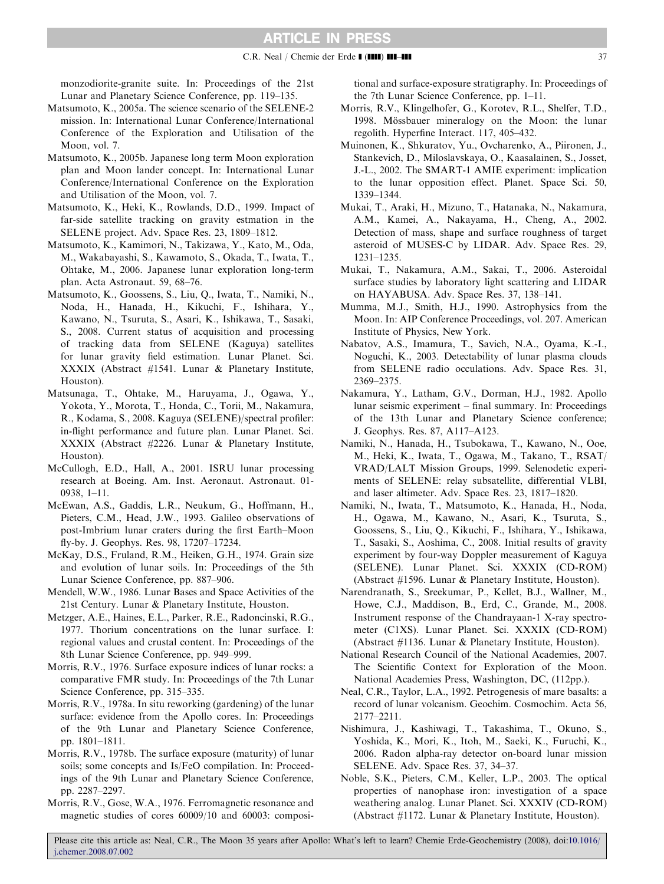#### C.R. Neal / Chemie der Erde  $\blacksquare$  ( $\blacksquare$ )  $\blacksquare$

<span id="page-36-0"></span>monzodiorite-granite suite. In: Proceedings of the 21st Lunar and Planetary Science Conference, pp. 119–135.

- Matsumoto, K., 2005a. The science scenario of the SELENE-2 mission. In: International Lunar Conference/International Conference of the Exploration and Utilisation of the Moon, vol. 7.
- Matsumoto, K., 2005b. Japanese long term Moon exploration plan and Moon lander concept. In: International Lunar Conference/International Conference on the Exploration and Utilisation of the Moon, vol. 7.
- Matsumoto, K., Heki, K., Rowlands, D.D., 1999. Impact of far-side satellite tracking on gravity estmation in the SELENE project. Adv. Space Res. 23, 1809–1812.
- Matsumoto, K., Kamimori, N., Takizawa, Y., Kato, M., Oda, M., Wakabayashi, S., Kawamoto, S., Okada, T., Iwata, T., Ohtake, M., 2006. Japanese lunar exploration long-term plan. Acta Astronaut. 59, 68–76.
- Matsumoto, K., Goossens, S., Liu, Q., Iwata, T., Namiki, N., Noda, H., Hanada, H., Kikuchi, F., Ishihara, Y., Kawano, N., Tsuruta, S., Asari, K., Ishikawa, T., Sasaki, S., 2008. Current status of acquisition and processing of tracking data from SELENE (Kaguya) satellites for lunar gravity field estimation. Lunar Planet. Sci. XXXIX (Abstract #1541. Lunar & Planetary Institute, Houston).
- Matsunaga, T., Ohtake, M., Haruyama, J., Ogawa, Y., Yokota, Y., Morota, T., Honda, C., Torii, M., Nakamura, R., Kodama, S., 2008. Kaguya (SELENE)/spectral profiler: in-flight performance and future plan. Lunar Planet. Sci. XXXIX (Abstract #2226. Lunar & Planetary Institute, Houston).
- McCullogh, E.D., Hall, A., 2001. ISRU lunar processing research at Boeing. Am. Inst. Aeronaut. Astronaut. 01- 0938, 1–11.
- McEwan, A.S., Gaddis, L.R., Neukum, G., Hoffmann, H., Pieters, C.M., Head, J.W., 1993. Galileo observations of post-Imbrium lunar craters during the first Earth–Moon fly-by. J. Geophys. Res. 98, 17207–17234.
- McKay, D.S., Fruland, R.M., Heiken, G.H., 1974. Grain size and evolution of lunar soils. In: Proceedings of the 5th Lunar Science Conference, pp. 887–906.
- Mendell, W.W., 1986. Lunar Bases and Space Activities of the 21st Century. Lunar & Planetary Institute, Houston.
- Metzger, A.E., Haines, E.L., Parker, R.E., Radoncinski, R.G., 1977. Thorium concentrations on the lunar surface. I: regional values and crustal content. In: Proceedings of the 8th Lunar Science Conference, pp. 949–999.
- Morris, R.V., 1976. Surface exposure indices of lunar rocks: a comparative FMR study. In: Proceedings of the 7th Lunar Science Conference, pp. 315–335.
- Morris, R.V., 1978a. In situ reworking (gardening) of the lunar surface: evidence from the Apollo cores. In: Proceedings of the 9th Lunar and Planetary Science Conference, pp. 1801–1811.
- Morris, R.V., 1978b. The surface exposure (maturity) of lunar soils; some concepts and Is/FeO compilation. In: Proceedings of the 9th Lunar and Planetary Science Conference, pp. 2287–2297.
- Morris, R.V., Gose, W.A., 1976. Ferromagnetic resonance and magnetic studies of cores 60009/10 and 60003: composi-

tional and surface-exposure stratigraphy. In: Proceedings of the 7th Lunar Science Conference, pp. 1–11.

- Morris, R.V., Klingelhofer, G., Korotev, R.L., Shelfer, T.D., 1998. Mössbauer mineralogy on the Moon: the lunar regolith. Hyperfine Interact. 117, 405–432.
- Muinonen, K., Shkuratov, Yu., Ovcharenko, A., Piironen, J., Stankevich, D., Miloslavskaya, O., Kaasalainen, S., Josset, J.-L., 2002. The SMART-1 AMIE experiment: implication to the lunar opposition effect. Planet. Space Sci. 50, 1339–1344.
- Mukai, T., Araki, H., Mizuno, T., Hatanaka, N., Nakamura, A.M., Kamei, A., Nakayama, H., Cheng, A., 2002. Detection of mass, shape and surface roughness of target asteroid of MUSES-C by LIDAR. Adv. Space Res. 29, 1231–1235.
- Mukai, T., Nakamura, A.M., Sakai, T., 2006. Asteroidal surface studies by laboratory light scattering and LIDAR on HAYABUSA. Adv. Space Res. 37, 138–141.
- Mumma, M.J., Smith, H.J., 1990. Astrophysics from the Moon. In: AIP Conference Proceedings, vol. 207. American Institute of Physics, New York.
- Nabatov, A.S., Imamura, T., Savich, N.A., Oyama, K.-I., Noguchi, K., 2003. Detectability of lunar plasma clouds from SELENE radio occulations. Adv. Space Res. 31, 2369–2375.
- Nakamura, Y., Latham, G.V., Dorman, H.J., 1982. Apollo lunar seismic experiment – final summary. In: Proceedings of the 13th Lunar and Planetary Science conference; J. Geophys. Res. 87, A117–A123.
- Namiki, N., Hanada, H., Tsubokawa, T., Kawano, N., Ooe, M., Heki, K., Iwata, T., Ogawa, M., Takano, T., RSAT/ VRAD/LALT Mission Groups, 1999. Selenodetic experiments of SELENE: relay subsatellite, differential VLBI, and laser altimeter. Adv. Space Res. 23, 1817–1820.
- Namiki, N., Iwata, T., Matsumoto, K., Hanada, H., Noda, H., Ogawa, M., Kawano, N., Asari, K., Tsuruta, S., Goossens, S., Liu, Q., Kikuchi, F., Ishihara, Y., Ishikawa, T., Sasaki, S., Aoshima, C., 2008. Initial results of gravity experiment by four-way Doppler measurement of Kaguya (SELENE). Lunar Planet. Sci. XXXIX (CD-ROM) (Abstract #1596. Lunar & Planetary Institute, Houston).
- Narendranath, S., Sreekumar, P., Kellet, B.J., Wallner, M., Howe, C.J., Maddison, B., Erd, C., Grande, M., 2008. Instrument response of the Chandrayaan-1 X-ray spectrometer (C1XS). Lunar Planet. Sci. XXXIX (CD-ROM) (Abstract #1136. Lunar & Planetary Institute, Houston).
- National Research Council of the National Academies, 2007. The Scientific Context for Exploration of the Moon. National Academies Press, Washington, DC, (112pp.).
- Neal, C.R., Taylor, L.A., 1992. Petrogenesis of mare basalts: a record of lunar volcanism. Geochim. Cosmochim. Acta 56, 2177–2211.
- Nishimura, J., Kashiwagi, T., Takashima, T., Okuno, S., Yoshida, K., Mori, K., Itoh, M., Saeki, K., Furuchi, K., 2006. Radon alpha-ray detector on-board lunar mission SELENE. Adv. Space Res. 37, 34–37.
- Noble, S.K., Pieters, C.M., Keller, L.P., 2003. The optical properties of nanophase iron: investigation of a space weathering analog. Lunar Planet. Sci. XXXIV (CD-ROM) (Abstract #1172. Lunar & Planetary Institute, Houston).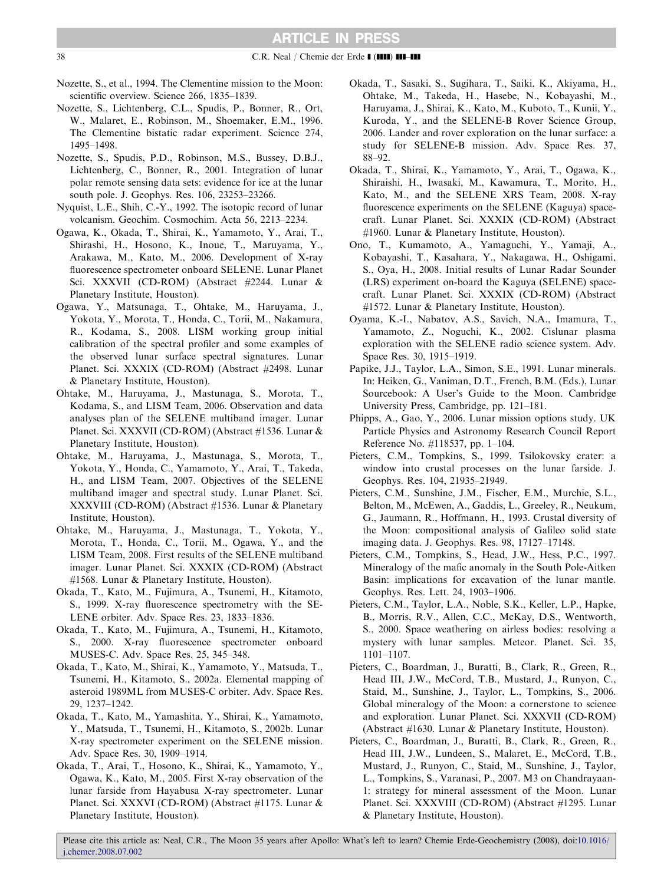<span id="page-37-0"></span>38 C.R. Neal / Chemie der Erde **[(IIII) III-III** 

- Nozette, S., et al., 1994. The Clementine mission to the Moon: scientific overview. Science 266, 1835–1839.
- Nozette, S., Lichtenberg, C.L., Spudis, P., Bonner, R., Ort, W., Malaret, E., Robinson, M., Shoemaker, E.M., 1996. The Clementine bistatic radar experiment. Science 274, 1495–1498.
- Nozette, S., Spudis, P.D., Robinson, M.S., Bussey, D.B.J., Lichtenberg, C., Bonner, R., 2001. Integration of lunar polar remote sensing data sets: evidence for ice at the lunar south pole. J. Geophys. Res. 106, 23253–23266.
- Nyquist, L.E., Shih, C.-Y., 1992. The isotopic record of lunar volcanism. Geochim. Cosmochim. Acta 56, 2213–2234.
- Ogawa, K., Okada, T., Shirai, K., Yamamoto, Y., Arai, T., Shirashi, H., Hosono, K., Inoue, T., Maruyama, Y., Arakawa, M., Kato, M., 2006. Development of X-ray fluorescence spectrometer onboard SELENE. Lunar Planet Sci. XXXVII (CD-ROM) (Abstract #2244. Lunar & Planetary Institute, Houston).
- Ogawa, Y., Matsunaga, T., Ohtake, M., Haruyama, J., Yokota, Y., Morota, T., Honda, C., Torii, M., Nakamura, R., Kodama, S., 2008. LISM working group initial calibration of the spectral profiler and some examples of the observed lunar surface spectral signatures. Lunar Planet. Sci. XXXIX (CD-ROM) (Abstract #2498. Lunar & Planetary Institute, Houston).
- Ohtake, M., Haruyama, J., Mastunaga, S., Morota, T., Kodama, S., and LISM Team, 2006. Observation and data analyses plan of the SELENE multiband imager. Lunar Planet. Sci. XXXVII (CD-ROM) (Abstract #1536. Lunar & Planetary Institute, Houston).
- Ohtake, M., Haruyama, J., Mastunaga, S., Morota, T., Yokota, Y., Honda, C., Yamamoto, Y., Arai, T., Takeda, H., and LISM Team, 2007. Objectives of the SELENE multiband imager and spectral study. Lunar Planet. Sci. XXXVIII (CD-ROM) (Abstract #1536. Lunar & Planetary Institute, Houston).
- Ohtake, M., Haruyama, J., Mastunaga, T., Yokota, Y., Morota, T., Honda, C., Torii, M., Ogawa, Y., and the LISM Team, 2008. First results of the SELENE multiband imager. Lunar Planet. Sci. XXXIX (CD-ROM) (Abstract #1568. Lunar & Planetary Institute, Houston).
- Okada, T., Kato, M., Fujimura, A., Tsunemi, H., Kitamoto, S., 1999. X-ray fluorescence spectrometry with the SE-LENE orbiter. Adv. Space Res. 23, 1833–1836.
- Okada, T., Kato, M., Fujimura, A., Tsunemi, H., Kitamoto, S., 2000. X-ray fluorescence spectrometer onboard MUSES-C. Adv. Space Res. 25, 345–348.
- Okada, T., Kato, M., Shirai, K., Yamamoto, Y., Matsuda, T., Tsunemi, H., Kitamoto, S., 2002a. Elemental mapping of asteroid 1989ML from MUSES-C orbiter. Adv. Space Res. 29, 1237–1242.
- Okada, T., Kato, M., Yamashita, Y., Shirai, K., Yamamoto, Y., Matsuda, T., Tsunemi, H., Kitamoto, S., 2002b. Lunar X-ray spectrometer experiment on the SELENE mission. Adv. Space Res. 30, 1909–1914.
- Okada, T., Arai, T., Hosono, K., Shirai, K., Yamamoto, Y., Ogawa, K., Kato, M., 2005. First X-ray observation of the lunar farside from Hayabusa X-ray spectrometer. Lunar Planet. Sci. XXXVI (CD-ROM) (Abstract #1175. Lunar & Planetary Institute, Houston).
- Okada, T., Sasaki, S., Sugihara, T., Saiki, K., Akiyama, H., Ohtake, M., Takeda, H., Hasebe, N., Kobayashi, M., Haruyama, J., Shirai, K., Kato, M., Kuboto, T., Kunii, Y., Kuroda, Y., and the SELENE-B Rover Science Group, 2006. Lander and rover exploration on the lunar surface: a study for SELENE-B mission. Adv. Space Res. 37, 88–92.
- Okada, T., Shirai, K., Yamamoto, Y., Arai, T., Ogawa, K., Shiraishi, H., Iwasaki, M., Kawamura, T., Morito, H., Kato, M., and the SELENE XRS Team, 2008. X-ray fluorescence experiments on the SELENE (Kaguya) spacecraft. Lunar Planet. Sci. XXXIX (CD-ROM) (Abstract #1960. Lunar & Planetary Institute, Houston).
- Ono, T., Kumamoto, A., Yamaguchi, Y., Yamaji, A., Kobayashi, T., Kasahara, Y., Nakagawa, H., Oshigami, S., Oya, H., 2008. Initial results of Lunar Radar Sounder (LRS) experiment on-board the Kaguya (SELENE) spacecraft. Lunar Planet. Sci. XXXIX (CD-ROM) (Abstract #1572. Lunar & Planetary Institute, Houston).
- Oyama, K.-I., Nabatov, A.S., Savich, N.A., Imamura, T., Yamamoto, Z., Noguchi, K., 2002. Cislunar plasma exploration with the SELENE radio science system. Adv. Space Res. 30, 1915–1919.
- Papike, J.J., Taylor, L.A., Simon, S.E., 1991. Lunar minerals. In: Heiken, G., Vaniman, D.T., French, B.M. (Eds.), Lunar Sourcebook: A User's Guide to the Moon. Cambridge University Press, Cambridge, pp. 121–181.
- Phipps, A., Gao, Y., 2006. Lunar mission options study. UK Particle Physics and Astronomy Research Council Report Reference No. #118537, pp. 1–104.
- Pieters, C.M., Tompkins, S., 1999. Tsilokovsky crater: a window into crustal processes on the lunar farside. J. Geophys. Res. 104, 21935–21949.
- Pieters, C.M., Sunshine, J.M., Fischer, E.M., Murchie, S.L., Belton, M., McEwen, A., Gaddis, L., Greeley, R., Neukum, G., Jaumann, R., Hoffmann, H., 1993. Crustal diversity of the Moon: compositional analysis of Galileo solid state imaging data. J. Geophys. Res. 98, 17127–17148.
- Pieters, C.M., Tompkins, S., Head, J.W., Hess, P.C., 1997. Mineralogy of the mafic anomaly in the South Pole-Aitken Basin: implications for excavation of the lunar mantle. Geophys. Res. Lett. 24, 1903–1906.
- Pieters, C.M., Taylor, L.A., Noble, S.K., Keller, L.P., Hapke, B., Morris, R.V., Allen, C.C., McKay, D.S., Wentworth, S., 2000. Space weathering on airless bodies: resolving a mystery with lunar samples. Meteor. Planet. Sci. 35, 1101–1107.
- Pieters, C., Boardman, J., Buratti, B., Clark, R., Green, R., Head III, J.W., McCord, T.B., Mustard, J., Runyon, C., Staid, M., Sunshine, J., Taylor, L., Tompkins, S., 2006. Global mineralogy of the Moon: a cornerstone to science and exploration. Lunar Planet. Sci. XXXVII (CD-ROM) (Abstract #1630. Lunar & Planetary Institute, Houston).
- Pieters, C., Boardman, J., Buratti, B., Clark, R., Green, R., Head III, J.W., Lundeen, S., Malaret, E., McCord, T.B., Mustard, J., Runyon, C., Staid, M., Sunshine, J., Taylor, L., Tompkins, S., Varanasi, P., 2007. M3 on Chandrayaan-1: strategy for mineral assessment of the Moon. Lunar Planet. Sci. XXXVIII (CD-ROM) (Abstract #1295. Lunar & Planetary Institute, Houston).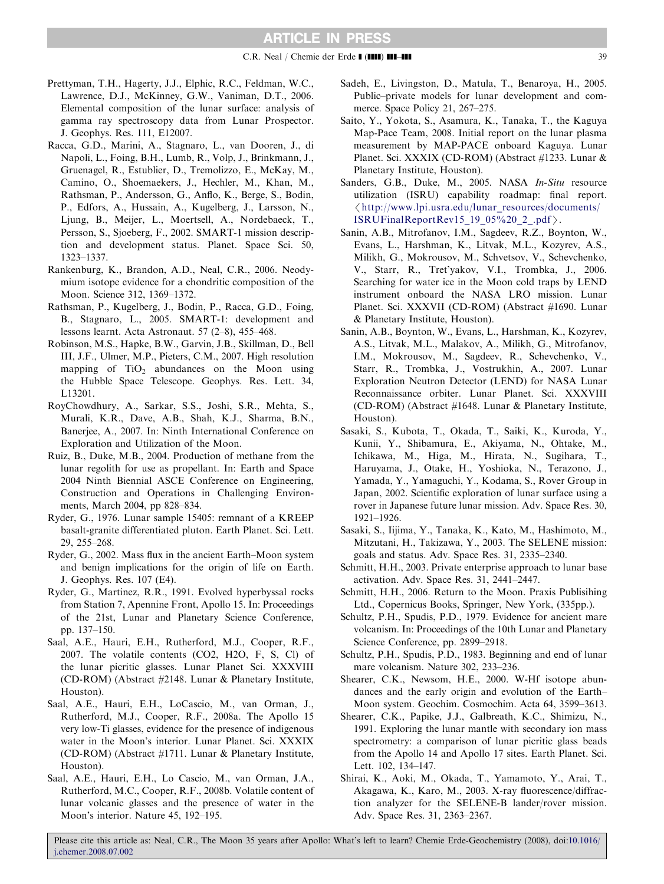- <span id="page-38-0"></span>Prettyman, T.H., Hagerty, J.J., Elphic, R.C., Feldman, W.C., Lawrence, D.J., McKinney, G.W., Vaniman, D.T., 2006. Elemental composition of the lunar surface: analysis of gamma ray spectroscopy data from Lunar Prospector. J. Geophys. Res. 111, E12007.
- Racca, G.D., Marini, A., Stagnaro, L., van Dooren, J., di Napoli, L., Foing, B.H., Lumb, R., Volp, J., Brinkmann, J., Gruenagel, R., Estublier, D., Tremolizzo, E., McKay, M., Camino, O., Shoemaekers, J., Hechler, M., Khan, M., Rathsman, P., Andersson, G., Anflo, K., Berge, S., Bodin, P., Edfors, A., Hussain, A., Kugelberg, J., Larsson, N., Ljung, B., Meijer, L., Moertsell, A., Nordebaeck, T., Persson, S., Sjoeberg, F., 2002. SMART-1 mission description and development status. Planet. Space Sci. 50, 1323–1337.
- Rankenburg, K., Brandon, A.D., Neal, C.R., 2006. Neodymium isotope evidence for a chondritic composition of the Moon. Science 312, 1369–1372.
- Rathsman, P., Kugelberg, J., Bodin, P., Racca, G.D., Foing, B., Stagnaro, L., 2005. SMART-1: development and lessons learnt. Acta Astronaut. 57 (2–8), 455–468.
- Robinson, M.S., Hapke, B.W., Garvin, J.B., Skillman, D., Bell III, J.F., Ulmer, M.P., Pieters, C.M., 2007. High resolution mapping of  $TiO<sub>2</sub>$  abundances on the Moon using the Hubble Space Telescope. Geophys. Res. Lett. 34, L13201.
- RoyChowdhury, A., Sarkar, S.S., Joshi, S.R., Mehta, S., Murali, K.R., Dave, A.B., Shah, K.J., Sharma, B.N., Banerjee, A., 2007. In: Ninth International Conference on Exploration and Utilization of the Moon.
- Ruiz, B., Duke, M.B., 2004. Production of methane from the lunar regolith for use as propellant. In: Earth and Space 2004 Ninth Biennial ASCE Conference on Engineering, Construction and Operations in Challenging Environments, March 2004, pp 828–834.
- Ryder, G., 1976. Lunar sample 15405: remnant of a KREEP basalt-granite differentiated pluton. Earth Planet. Sci. Lett. 29, 255–268.
- Ryder, G., 2002. Mass flux in the ancient Earth–Moon system and benign implications for the origin of life on Earth. J. Geophys. Res. 107 (E4).
- Ryder, G., Martinez, R.R., 1991. Evolved hyperbyssal rocks from Station 7, Apennine Front, Apollo 15. In: Proceedings of the 21st, Lunar and Planetary Science Conference, pp. 137–150.
- Saal, A.E., Hauri, E.H., Rutherford, M.J., Cooper, R.F., 2007. The volatile contents (CO2, H2O, F, S, Cl) of the lunar picritic glasses. Lunar Planet Sci. XXXVIII (CD-ROM) (Abstract #2148. Lunar & Planetary Institute, Houston).
- Saal, A.E., Hauri, E.H., LoCascio, M., van Orman, J., Rutherford, M.J., Cooper, R.F., 2008a. The Apollo 15 very low-Ti glasses, evidence for the presence of indigenous water in the Moon's interior. Lunar Planet. Sci. XXXIX (CD-ROM) (Abstract #1711. Lunar & Planetary Institute, Houston).
- Saal, A.E., Hauri, E.H., Lo Cascio, M., van Orman, J.A., Rutherford, M.C., Cooper, R.F., 2008b. Volatile content of lunar volcanic glasses and the presence of water in the Moon's interior. Nature 45, 192–195.
- Sadeh, E., Livingston, D., Matula, T., Benaroya, H., 2005. Public–private models for lunar development and commerce. Space Policy 21, 267–275.
- Saito, Y., Yokota, S., Asamura, K., Tanaka, T., the Kaguya Map-Pace Team, 2008. Initial report on the lunar plasma measurement by MAP-PACE onboard Kaguya. Lunar Planet. Sci. XXXIX (CD-ROM) (Abstract #1233. Lunar & Planetary Institute, Houston).
- Sanders, G.B., Duke, M., 2005. NASA In-Situ resource utilization (ISRU) capability roadmap: final report. /[http://www.lpi.usra.edu/lunar\\_resources/documents/](http://www.lpi.usra.edu/lunar_resources/documents/ISRUFinalReportRev15_19_05%20_2_.pdf) [ISRUFinalReportRev15\\_19\\_05%20\\_2\\_.pdf](http://www.lpi.usra.edu/lunar_resources/documents/ISRUFinalReportRev15_19_05%20_2_.pdf) $\rangle$ .
- Sanin, A.B., Mitrofanov, I.M., Sagdeev, R.Z., Boynton, W., Evans, L., Harshman, K., Litvak, M.L., Kozyrev, A.S., Milikh, G., Mokrousov, M., Schvetsov, V., Schevchenko, V., Starr, R., Tret'yakov, V.I., Trombka, J., 2006. Searching for water ice in the Moon cold traps by LEND instrument onboard the NASA LRO mission. Lunar Planet. Sci. XXXVII (CD-ROM) (Abstract #1690. Lunar & Planetary Institute, Houston).
- Sanin, A.B., Boynton, W., Evans, L., Harshman, K., Kozyrev, A.S., Litvak, M.L., Malakov, A., Milikh, G., Mitrofanov, I.M., Mokrousov, M., Sagdeev, R., Schevchenko, V., Starr, R., Trombka, J., Vostrukhin, A., 2007. Lunar Exploration Neutron Detector (LEND) for NASA Lunar Reconnaissance orbiter. Lunar Planet. Sci. XXXVIII (CD-ROM) (Abstract #1648. Lunar & Planetary Institute, Houston).
- Sasaki, S., Kubota, T., Okada, T., Saiki, K., Kuroda, Y., Kunii, Y., Shibamura, E., Akiyama, N., Ohtake, M., Ichikawa, M., Higa, M., Hirata, N., Sugihara, T., Haruyama, J., Otake, H., Yoshioka, N., Terazono, J., Yamada, Y., Yamaguchi, Y., Kodama, S., Rover Group in Japan, 2002. Scientific exploration of lunar surface using a rover in Japanese future lunar mission. Adv. Space Res. 30, 1921–1926.
- Sasaki, S., Iijima, Y., Tanaka, K., Kato, M., Hashimoto, M., Mitzutani, H., Takizawa, Y., 2003. The SELENE mission: goals and status. Adv. Space Res. 31, 2335–2340.
- Schmitt, H.H., 2003. Private enterprise approach to lunar base activation. Adv. Space Res. 31, 2441–2447.
- Schmitt, H.H., 2006. Return to the Moon. Praxis Publisihing Ltd., Copernicus Books, Springer, New York, (335pp.).
- Schultz, P.H., Spudis, P.D., 1979. Evidence for ancient mare volcanism. In: Proceedings of the 10th Lunar and Planetary Science Conference, pp. 2899–2918.
- Schultz, P.H., Spudis, P.D., 1983. Beginning and end of lunar mare volcanism. Nature 302, 233–236.
- Shearer, C.K., Newsom, H.E., 2000. W-Hf isotope abundances and the early origin and evolution of the Earth– Moon system. Geochim. Cosmochim. Acta 64, 3599–3613.
- Shearer, C.K., Papike, J.J., Galbreath, K.C., Shimizu, N., 1991. Exploring the lunar mantle with secondary ion mass spectrometry: a comparison of lunar picritic glass beads from the Apollo 14 and Apollo 17 sites. Earth Planet. Sci. Lett. 102, 134–147.
- Shirai, K., Aoki, M., Okada, T., Yamamoto, Y., Arai, T., Akagawa, K., Karo, M., 2003. X-ray fluorescence/diffraction analyzer for the SELENE-B lander/rover mission. Adv. Space Res. 31, 2363–2367.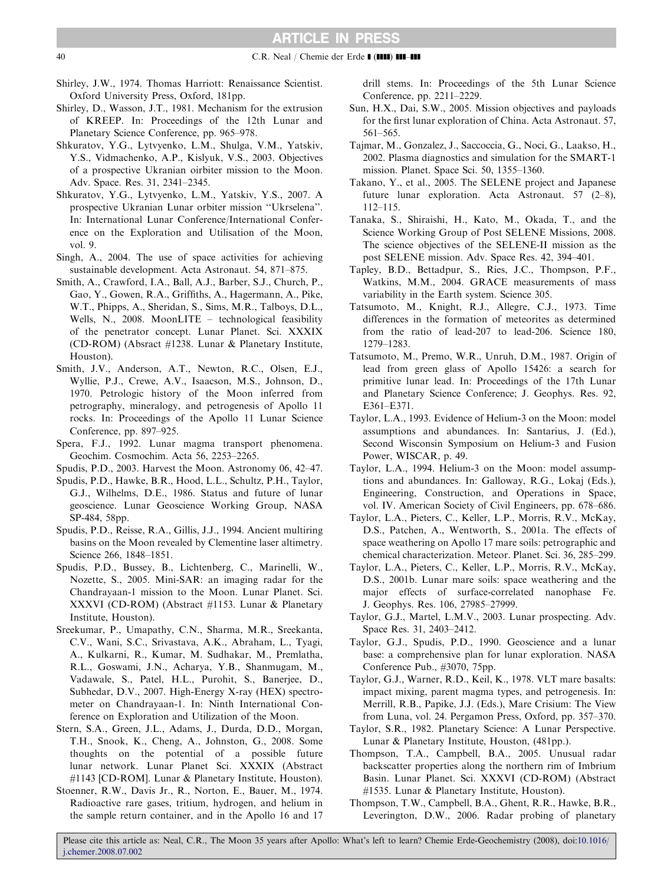#### <span id="page-39-0"></span>40 C.R. Neal / Chemie der Erde **[(IIII) III-III**

- Shirley, J.W., 1974. Thomas Harriott: Renaissance Scientist. Oxford University Press, Oxford, 181pp.
- Shirley, D., Wasson, J.T., 1981. Mechanism for the extrusion of KREEP. In: Proceedings of the 12th Lunar and Planetary Science Conference, pp. 965–978.
- Shkuratov, Y.G., Lytvyenko, L.M., Shulga, V.M., Yatskiv, Y.S., Vidmachenko, A.P., Kislyuk, V.S., 2003. Objectives of a prospective Ukranian oirbiter mission to the Moon. Adv. Space. Res. 31, 2341–2345.
- Shkuratov, Y.G., Lytvyenko, L.M., Yatskiv, Y.S., 2007. A prospective Ukranian Lunar orbiter mission ''Ukrselena''. In: International Lunar Conference/International Conference on the Exploration and Utilisation of the Moon, vol. 9.
- Singh, A., 2004. The use of space activities for achieving sustainable development. Acta Astronaut. 54, 871–875.
- Smith, A., Crawford, I.A., Ball, A.J., Barber, S.J., Church, P., Gao, Y., Gowen, R.A., Griffiths, A., Hagermann, A., Pike, W.T., Phipps, A., Sheridan, S., Sims, M.R., Talboys, D.L., Wells, N., 2008. MoonLITE – technological feasibility of the penetrator concept. Lunar Planet. Sci. XXXIX (CD-ROM) (Absract #1238. Lunar & Planetary Institute, Houston).
- Smith, J.V., Anderson, A.T., Newton, R.C., Olsen, E.J., Wyllie, P.J., Crewe, A.V., Isaacson, M.S., Johnson, D., 1970. Petrologic history of the Moon inferred from petrography, mineralogy, and petrogenesis of Apollo 11 rocks. In: Proceedings of the Apollo 11 Lunar Science Conference, pp. 897–925.
- Spera, F.J., 1992. Lunar magma transport phenomena. Geochim. Cosmochim. Acta 56, 2253–2265.

Spudis, P.D., 2003. Harvest the Moon. Astronomy 06, 42–47.

- Spudis, P.D., Hawke, B.R., Hood, L.L., Schultz, P.H., Taylor, G.J., Wilhelms, D.E., 1986. Status and future of lunar geoscience. Lunar Geoscience Working Group, NASA SP-484, 58pp.
- Spudis, P.D., Reisse, R.A., Gillis, J.J., 1994. Ancient multiring basins on the Moon revealed by Clementine laser altimetry. Science 266, 1848–1851.
- Spudis, P.D., Bussey, B., Lichtenberg, C., Marinelli, W., Nozette, S., 2005. Mini-SAR: an imaging radar for the Chandrayaan-1 mission to the Moon. Lunar Planet. Sci. XXXVI (CD-ROM) (Abstract #1153. Lunar & Planetary Institute, Houston).
- Sreekumar, P., Umapathy, C.N., Sharma, M.R., Sreekanta, C.V., Wani, S.C., Srivastava, A.K., Abraham, L., Tyagi, A., Kulkarni, R., Kumar, M. Sudhakar, M., Premlatha, R.L., Goswami, J.N., Acharya, Y.B., Shanmugam, M., Vadawale, S., Patel, H.L., Purohit, S., Banerjee, D., Subhedar, D.V., 2007. High-Energy X-ray (HEX) spectrometer on Chandrayaan-1. In: Ninth International Conference on Exploration and Utilization of the Moon.
- Stern, S.A., Green, J.L., Adams, J., Durda, D.D., Morgan, T.H., Snook, K., Cheng, A., Johnston, G., 2008. Some thoughts on the potential of a possible future lunar network. Lunar Planet Sci. XXXIX (Abstract #1143 [CD-ROM]. Lunar & Planetary Institute, Houston).
- Stoenner, R.W., Davis Jr., R., Norton, E., Bauer, M., 1974. Radioactive rare gases, tritium, hydrogen, and helium in the sample return container, and in the Apollo 16 and 17

drill stems. In: Proceedings of the 5th Lunar Science Conference, pp. 2211–2229.

- Sun, H.X., Dai, S.W., 2005. Mission objectives and payloads for the first lunar exploration of China. Acta Astronaut. 57, 561–565.
- Tajmar, M., Gonzalez, J., Saccoccia, G., Noci, G., Laakso, H., 2002. Plasma diagnostics and simulation for the SMART-1 mission. Planet. Space Sci. 50, 1355–1360.
- Takano, Y., et al., 2005. The SELENE project and Japanese future lunar exploration. Acta Astronaut. 57 (2–8), 112–115.
- Tanaka, S., Shiraishi, H., Kato, M., Okada, T., and the Science Working Group of Post SELENE Missions, 2008. The science objectives of the SELENE-II mission as the post SELENE mission. Adv. Space Res. 42, 394–401.
- Tapley, B.D., Bettadpur, S., Ries, J.C., Thompson, P.F., Watkins, M.M., 2004. GRACE measurements of mass variability in the Earth system. Science 305.
- Tatsumoto, M., Knight, R.J., Allegre, C.J., 1973. Time differences in the formation of meteorites as determined from the ratio of lead-207 to lead-206. Science 180, 1279–1283.
- Tatsumoto, M., Premo, W.R., Unruh, D.M., 1987. Origin of lead from green glass of Apollo 15426: a search for primitive lunar lead. In: Proceedings of the 17th Lunar and Planetary Science Conference; J. Geophys. Res. 92, E361–E371.
- Taylor, L.A., 1993. Evidence of Helium-3 on the Moon: model assumptions and abundances. In: Santarius, J. (Ed.), Second Wisconsin Symposium on Helium-3 and Fusion Power, WISCAR, p. 49.
- Taylor, L.A., 1994. Helium-3 on the Moon: model assumptions and abundances. In: Galloway, R.G., Lokaj (Eds.), Engineering, Construction, and Operations in Space, vol. IV. American Society of Civil Engineers, pp. 678–686.
- Taylor, L.A., Pieters, C., Keller, L.P., Morris, R.V., McKay, D.S., Patchen, A., Wentworth, S., 2001a. The effects of space weathering on Apollo 17 mare soils: petrographic and chemical characterization. Meteor. Planet. Sci. 36, 285–299.
- Taylor, L.A., Pieters, C., Keller, L.P., Morris, R.V., McKay, D.S., 2001b. Lunar mare soils: space weathering and the major effects of surface-correlated nanophase Fe. J. Geophys. Res. 106, 27985–27999.
- Taylor, G.J., Martel, L.M.V., 2003. Lunar prospecting. Adv. Space Res. 31, 2403–2412.
- Taylor, G.J., Spudis, P.D., 1990. Geoscience and a lunar base: a comprehensive plan for lunar exploration. NASA Conference Pub., #3070, 75pp.
- Taylor, G.J., Warner, R.D., Keil, K., 1978. VLT mare basalts: impact mixing, parent magma types, and petrogenesis. In: Merrill, R.B., Papike, J.J. (Eds.), Mare Crisium: The View from Luna, vol. 24. Pergamon Press, Oxford, pp. 357–370.
- Taylor, S.R., 1982. Planetary Science: A Lunar Perspective. Lunar & Planetary Institute, Houston, (481pp.).
- Thompson, T.A., Campbell, B.A., 2005. Unusual radar backscatter properties along the northern rim of Imbrium Basin. Lunar Planet. Sci. XXXVI (CD-ROM) (Abstract #1535. Lunar & Planetary Institute, Houston).
- Thompson, T.W., Campbell, B.A., Ghent, R.R., Hawke, B.R., Leverington, D.W., 2006. Radar probing of planetary